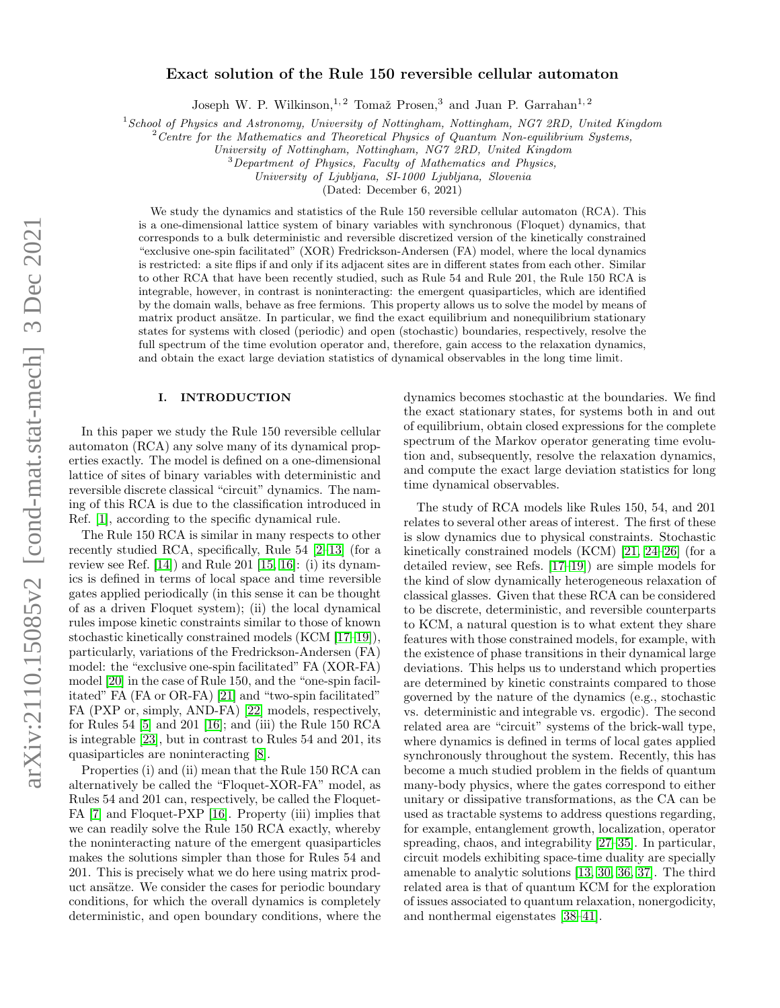## Exact solution of the Rule 150 reversible cellular automaton

Joseph W. P. Wilkinson,<sup>1, 2</sup> Tomaž Prosen,<sup>3</sup> and Juan P. Garrahan<sup>1, 2</sup>

 $1$ School of Physics and Astronomy, University of Nottingham, Nottingham, NG7 2RD, United Kingdom

 $2$  Centre for the Mathematics and Theoretical Physics of Quantum Non-equilibrium Systems,

University of Nottingham, Nottingham, NG7 2RD, United Kingdom

<sup>3</sup>Department of Physics, Faculty of Mathematics and Physics,

University of Ljubljana, SI-1000 Ljubljana, Slovenia

(Dated: December 6, 2021)

We study the dynamics and statistics of the Rule 150 reversible cellular automaton (RCA). This is a one-dimensional lattice system of binary variables with synchronous (Floquet) dynamics, that corresponds to a bulk deterministic and reversible discretized version of the kinetically constrained "exclusive one-spin facilitated" (XOR) Fredrickson-Andersen (FA) model, where the local dynamics is restricted: a site flips if and only if its adjacent sites are in different states from each other. Similar to other RCA that have been recently studied, such as Rule 54 and Rule 201, the Rule 150 RCA is integrable, however, in contrast is noninteracting: the emergent quasiparticles, which are identified by the domain walls, behave as free fermions. This property allows us to solve the model by means of matrix product ansätze. In particular, we find the exact equilibrium and nonequilibrium stationary states for systems with closed (periodic) and open (stochastic) boundaries, respectively, resolve the full spectrum of the time evolution operator and, therefore, gain access to the relaxation dynamics, and obtain the exact large deviation statistics of dynamical observables in the long time limit.

### I. INTRODUCTION

In this paper we study the Rule 150 reversible cellular automaton (RCA) any solve many of its dynamical properties exactly. The model is defined on a one-dimensional lattice of sites of binary variables with deterministic and reversible discrete classical "circuit" dynamics. The naming of this RCA is due to the classification introduced in Ref. [\[1\]](#page-26-0), according to the specific dynamical rule.

The Rule 150 RCA is similar in many respects to other recently studied RCA, specifically, Rule 54 [\[2](#page-26-1)[–13\]](#page-26-2) (for a review see Ref. [\[14\]](#page-26-3)) and Rule 201 [\[15,](#page-26-4) [16\]](#page-26-5): (i) its dynamics is defined in terms of local space and time reversible gates applied periodically (in this sense it can be thought of as a driven Floquet system); (ii) the local dynamical rules impose kinetic constraints similar to those of known stochastic kinetically constrained models (KCM [\[17–](#page-26-6)[19\]](#page-26-7)), particularly, variations of the Fredrickson-Andersen (FA) model: the "exclusive one-spin facilitated" FA (XOR-FA) model [\[20\]](#page-26-8) in the case of Rule 150, and the "one-spin facilitated" FA (FA or OR-FA) [\[21\]](#page-26-9) and "two-spin facilitated" FA (PXP or, simply, AND-FA) [\[22\]](#page-26-10) models, respectively, for Rules 54 [\[5\]](#page-26-11) and 201 [\[16\]](#page-26-5); and (iii) the Rule 150 RCA is integrable [\[23\]](#page-26-12), but in contrast to Rules 54 and 201, its quasiparticles are noninteracting [\[8\]](#page-26-13).

Properties (i) and (ii) mean that the Rule 150 RCA can alternatively be called the "Floquet-XOR-FA" model, as Rules 54 and 201 can, respectively, be called the Floquet-FA [\[7\]](#page-26-14) and Floquet-PXP [\[16\]](#page-26-5). Property (iii) implies that we can readily solve the Rule 150 RCA exactly, whereby the noninteracting nature of the emergent quasiparticles makes the solutions simpler than those for Rules 54 and 201. This is precisely what we do here using matrix product ansätze. We consider the cases for periodic boundary conditions, for which the overall dynamics is completely deterministic, and open boundary conditions, where the dynamics becomes stochastic at the boundaries. We find the exact stationary states, for systems both in and out of equilibrium, obtain closed expressions for the complete spectrum of the Markov operator generating time evolution and, subsequently, resolve the relaxation dynamics, and compute the exact large deviation statistics for long time dynamical observables.

The study of RCA models like Rules 150, 54, and 201 relates to several other areas of interest. The first of these is slow dynamics due to physical constraints. Stochastic kinetically constrained models (KCM) [\[21,](#page-26-9) [24–](#page-26-15)[26\]](#page-27-0) (for a detailed review, see Refs. [\[17](#page-26-6)[–19\]](#page-26-7)) are simple models for the kind of slow dynamically heterogeneous relaxation of classical glasses. Given that these RCA can be considered to be discrete, deterministic, and reversible counterparts to KCM, a natural question is to what extent they share features with those constrained models, for example, with the existence of phase transitions in their dynamical large deviations. This helps us to understand which properties are determined by kinetic constraints compared to those governed by the nature of the dynamics (e.g., stochastic vs. deterministic and integrable vs. ergodic). The second related area are "circuit" systems of the brick-wall type, where dynamics is defined in terms of local gates applied synchronously throughout the system. Recently, this has become a much studied problem in the fields of quantum many-body physics, where the gates correspond to either unitary or dissipative transformations, as the CA can be used as tractable systems to address questions regarding, for example, entanglement growth, localization, operator spreading, chaos, and integrability [\[27](#page-27-1)[–35\]](#page-27-2). In particular, circuit models exhibiting space-time duality are specially amenable to analytic solutions [\[13,](#page-26-2) [30,](#page-27-3) [36,](#page-27-4) [37\]](#page-27-5). The third related area is that of quantum KCM for the exploration of issues associated to quantum relaxation, nonergodicity, and nonthermal eigenstates [\[38](#page-27-6)[–41\]](#page-27-7).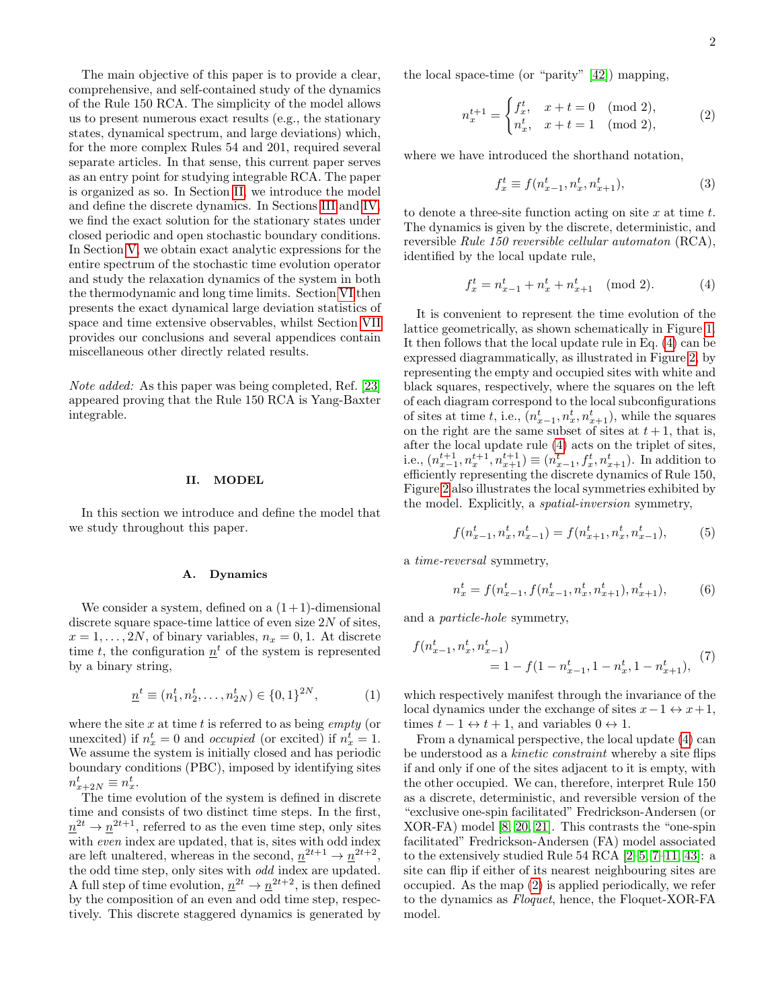The main objective of this paper is to provide a clear, comprehensive, and self-contained study of the dynamics of the Rule 150 RCA. The simplicity of the model allows us to present numerous exact results (e.g., the stationary states, dynamical spectrum, and large deviations) which, for the more complex Rules 54 and 201, required several separate articles. In that sense, this current paper serves as an entry point for studying integrable RCA. The paper is organized as so. In Section [II,](#page-1-0) we introduce the model and define the discrete dynamics. In Sections [III](#page-3-0) and [IV,](#page-7-0) we find the exact solution for the stationary states under closed periodic and open stochastic boundary conditions. In Section [V,](#page-12-0) we obtain exact analytic expressions for the entire spectrum of the stochastic time evolution operator and study the relaxation dynamics of the system in both the thermodynamic and long time limits. Section [VI](#page-19-0) then presents the exact dynamical large deviation statistics of space and time extensive observables, whilst Section [VII](#page-26-16) provides our conclusions and several appendices contain miscellaneous other directly related results.

Note added: As this paper was being completed, Ref. [\[23\]](#page-26-12) appeared proving that the Rule 150 RCA is Yang-Baxter integrable.

### <span id="page-1-0"></span>II. MODEL

In this section we introduce and define the model that we study throughout this paper.

## A. Dynamics

We consider a system, defined on a  $(1+1)$ -dimensional discrete square space-time lattice of even size  $2N$  of sites,  $x = 1, \ldots, 2N$ , of binary variables,  $n_x = 0, 1$ . At discrete time t, the configuration  $\underline{n}^t$  of the system is represented by a binary string,

$$
\underline{n}^t \equiv (n_1^t, n_2^t, \dots, n_{2N}^t) \in \{0, 1\}^{2N},\tag{1}
$$

where the site  $x$  at time  $t$  is referred to as being *empty* (or unexcited) if  $n_x^t = 0$  and *occupied* (or excited) if  $n_x^t = 1$ . We assume the system is initially closed and has periodic boundary conditions (PBC), imposed by identifying sites  $n_{x+2N}^t \equiv n_x^t$ .

The time evolution of the system is defined in discrete time and consists of two distinct time steps. In the first,  $n^{2t} \to n^{2t+1}$ , referred to as the even time step, only sites with even index are updated, that is, sites with odd index are left unaltered, whereas in the second,  $\underline{n}^{2t+1} \to \underline{n}^{2t+2}$ , the odd time step, only sites with odd index are updated. A full step of time evolution,  $\underline{n}^{2t} \to \underline{n}^{2t+2}$ , is then defined by the composition of an even and odd time step, respectively. This discrete staggered dynamics is generated by the local space-time (or "parity" [\[42\]](#page-27-8)) mapping,

$$
n_x^{t+1} = \begin{cases} f_x^t, & x+t = 0 \pmod{2}, \\ n_x^t, & x+t = 1 \pmod{2}, \end{cases}
$$
 (2)

where we have introduced the shorthand notation,

<span id="page-1-2"></span><span id="page-1-1"></span>
$$
f_x^t \equiv f(n_{x-1}^t, n_x^t, n_{x+1}^t), \tag{3}
$$

to denote a three-site function acting on site  $x$  at time  $t$ . The dynamics is given by the discrete, deterministic, and reversible Rule 150 reversible cellular automaton (RCA), identified by the local update rule,

$$
f_x^t = n_{x-1}^t + n_x^t + n_{x+1}^t \pmod{2}.
$$
 (4)

It is convenient to represent the time evolution of the lattice geometrically, as shown schematically in Figure [1.](#page-2-0) It then follows that the local update rule in Eq. [\(4\)](#page-1-1) can be expressed diagrammatically, as illustrated in Figure [2,](#page-2-1) by representing the empty and occupied sites with white and black squares, respectively, where the squares on the left of each diagram correspond to the local subconfigurations of sites at time t, i.e.,  $(n_{x-1}^t, n_x^t, n_{x+1}^t)$ , while the squares on the right are the same subset of sites at  $t + 1$ , that is, after the local update rule [\(4\)](#page-1-1) acts on the triplet of sites, i.e.,  $(n_{x-1}^{t+1}, n_{x}^{t+1}, n_{x+1}^{t+1}) \equiv (n_{x-1}^{t}, f_{x}^{t}, n_{x+1}^{t}).$  In addition to efficiently representing the discrete dynamics of Rule 150, Figure [2](#page-2-1) also illustrates the local symmetries exhibited by the model. Explicitly, a spatial-inversion symmetry,

<span id="page-1-3"></span>
$$
f(n_{x-1}^t, n_x^t, n_{x-1}^t) = f(n_{x+1}^t, n_x^t, n_{x-1}^t),
$$
 (5)

a time-reversal symmetry,

<span id="page-1-5"></span><span id="page-1-4"></span>
$$
n_x^t = f(n_{x-1}^t, f(n_{x-1}^t, n_x^t, n_{x+1}^t), n_{x+1}^t),
$$
 (6)

and a particle-hole symmetry,

$$
f(n_{x-1}^t, n_x^t, n_{x-1}^t) = 1 - f(1 - n_{x-1}^t, 1 - n_x^t, 1 - n_{x+1}^t),
$$
 (7)

which respectively manifest through the invariance of the local dynamics under the exchange of sites  $x-1 \leftrightarrow x+1$ , times  $t - 1 \leftrightarrow t + 1$ , and variables  $0 \leftrightarrow 1$ .

From a dynamical perspective, the local update [\(4\)](#page-1-1) can be understood as a kinetic constraint whereby a site flips if and only if one of the sites adjacent to it is empty, with the other occupied. We can, therefore, interpret Rule 150 as a discrete, deterministic, and reversible version of the "exclusive one-spin facilitated" Fredrickson-Andersen (or XOR-FA) model [\[8,](#page-26-13) [20,](#page-26-8) [21\]](#page-26-9). This contrasts the "one-spin facilitated" Fredrickson-Andersen (FA) model associated to the extensively studied Rule 54 RCA [\[2–](#page-26-1)[5,](#page-26-11) [7](#page-26-14)[–11,](#page-26-17) [43\]](#page-27-9): a site can flip if either of its nearest neighbouring sites are occupied. As the map [\(2\)](#page-1-2) is applied periodically, we refer to the dynamics as Floquet, hence, the Floquet-XOR-FA model.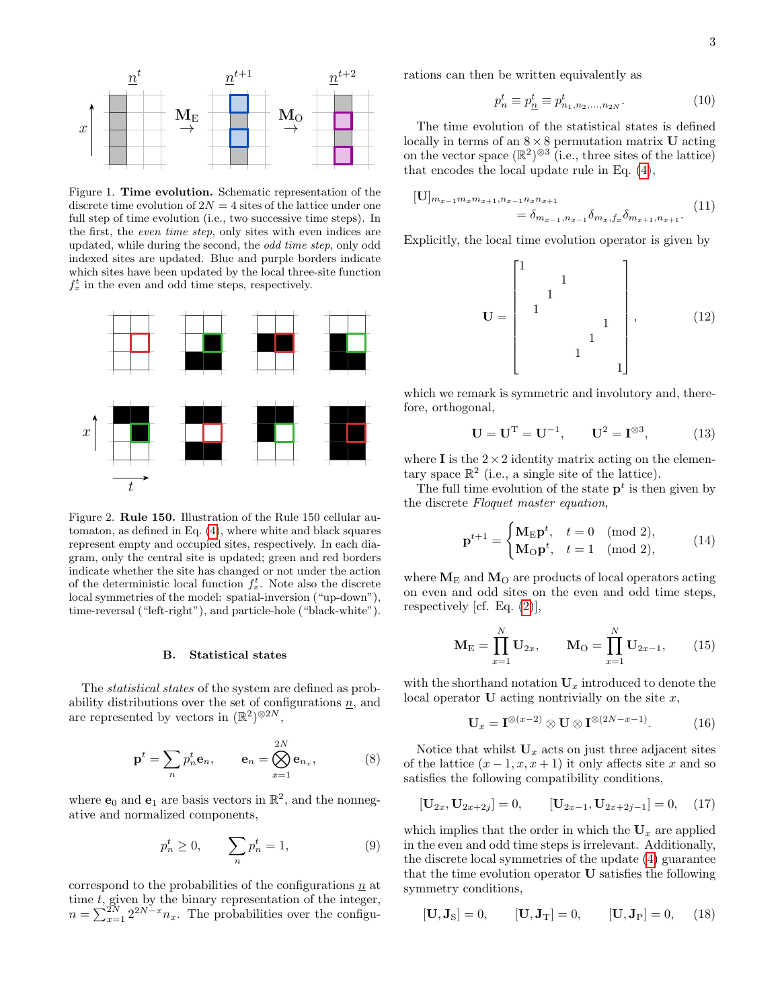

<span id="page-2-0"></span>Figure 1. Time evolution. Schematic representation of the discrete time evolution of  $2N = 4$  sites of the lattice under one full step of time evolution (i.e., two successive time steps). In the first, the even time step, only sites with even indices are updated, while during the second, the odd time step, only odd indexed sites are updated. Blue and purple borders indicate which sites have been updated by the local three-site function  $f_x^t$  in the even and odd time steps, respectively.



<span id="page-2-1"></span>Figure 2. Rule 150. Illustration of the Rule 150 cellular automaton, as defined in Eq. [\(4\)](#page-1-1), where white and black squares represent empty and occupied sites, respectively. In each diagram, only the central site is updated; green and red borders indicate whether the site has changed or not under the action of the deterministic local function  $f_x^t$ . Note also the discrete local symmetries of the model: spatial-inversion ("up-down"), time-reversal ("left-right"), and particle-hole ("black-white").

#### <span id="page-2-5"></span>B. Statistical states

The *statistical states* of the system are defined as probability distributions over the set of configurations  $n$ , and are represented by vectors in  $(\mathbb{R}^2)^{\otimes 2N}$ ,

$$
\mathbf{p}^t = \sum_n p_n^t \mathbf{e}_n, \qquad \mathbf{e}_n = \bigotimes_{x=1}^{2N} \mathbf{e}_{n_x}, \tag{8}
$$

where  $\mathbf{e}_0$  and  $\mathbf{e}_1$  are basis vectors in  $\mathbb{R}^2$ , and the nonnegative and normalized components,

<span id="page-2-2"></span>
$$
p_n^t \ge 0, \qquad \sum_n p_n^t = 1,\tag{9}
$$

correspond to the probabilities of the configurations  $n$  at time t, given by the binary representation of the integer,  $n = \sum_{x=1}^{2N} 2^{2N-x} n_x$ . The probabilities over the configurations can then be written equivalently as

$$
p_n^t \equiv p_{n_1}^t \equiv p_{n_1, n_2, \dots, n_{2N}}^t. \tag{10}
$$

The time evolution of the statistical states is defined locally in terms of an  $8 \times 8$  permutation matrix U acting on the vector space  $(\mathbb{R}^2)^{\otimes 3}$  (i.e., three sites of the lattice) that encodes the local update rule in Eq. [\(4\)](#page-1-1),

$$
[U]_{m_{x-1}m_xm_{x+1},n_{x-1}n_xn_{x+1}} = \delta_{m_{x-1},n_{x-1}}\delta_{m_x,f_x}\delta_{m_{x+1},n_{x+1}}.
$$
 (11)

Explicitly, the local time evolution operator is given by

<span id="page-2-4"></span>
$$
\mathbf{U} = \begin{bmatrix} 1 & & & & & & \\ & 1 & & & & & \\ & 1 & & & & & \\ & & 1 & & & & \\ & & & 1 & & & \\ & & & 1 & & & \\ & & & & 1 & & \\ & & & & & 1 & & \\ & & & & & & 1 \end{bmatrix}, \tag{12}
$$

which we remark is symmetric and involutory and, therefore, orthogonal,

$$
\mathbf{U} = \mathbf{U}^{\mathrm{T}} = \mathbf{U}^{-1}, \qquad \mathbf{U}^2 = \mathbf{I}^{\otimes 3}, \tag{13}
$$

where **I** is the  $2 \times 2$  identity matrix acting on the elementary space  $\mathbb{R}^2$  (i.e., a single site of the lattice).

The full time evolution of the state  $p<sup>t</sup>$  is then given by the discrete Floquet master equation,

<span id="page-2-7"></span>
$$
\mathbf{p}^{t+1} = \begin{cases} \mathbf{M}_{\mathrm{E}} \mathbf{p}^t, & t = 0 \pmod{2}, \\ \mathbf{M}_{\mathrm{O}} \mathbf{p}^t, & t = 1 \pmod{2}, \end{cases}
$$
(14)

where  $M_E$  and  $M_O$  are products of local operators acting on even and odd sites on the even and odd time steps, respectively [cf. Eq.  $(2)$ ],

$$
\mathbf{M}_{\rm E} = \prod_{x=1}^{N} \mathbf{U}_{2x}, \qquad \mathbf{M}_{\rm O} = \prod_{x=1}^{N} \mathbf{U}_{2x-1}, \qquad (15)
$$

with the shorthand notation  $U_x$  introduced to denote the local operator  **acting nontrivially on the site**  $x$ **,** 

<span id="page-2-3"></span>
$$
\mathbf{U}_x = \mathbf{I}^{\otimes (x-2)} \otimes \mathbf{U} \otimes \mathbf{I}^{\otimes (2N-x-1)}.
$$
 (16)

Notice that whilst  $U_x$  acts on just three adjacent sites of the lattice  $(x-1, x, x+1)$  it only affects site x and so satisfies the following compatibility conditions,

$$
[\mathbf{U}_{2x}, \mathbf{U}_{2x+2j}] = 0, \qquad [\mathbf{U}_{2x-1}, \mathbf{U}_{2x+2j-1}] = 0, \quad (17)
$$

which implies that the order in which the  $U_x$  are applied in the even and odd time steps is irrelevant. Additionally, the discrete local symmetries of the update [\(4\)](#page-1-1) guarantee that the time evolution operator U satisfies the following symmetry conditions,

<span id="page-2-6"></span>
$$
[\mathbf{U}, \mathbf{J}_{\mathrm{S}}] = 0, \qquad [\mathbf{U}, \mathbf{J}_{\mathrm{T}}] = 0, \qquad [\mathbf{U}, \mathbf{J}_{\mathrm{P}}] = 0, \qquad (18)
$$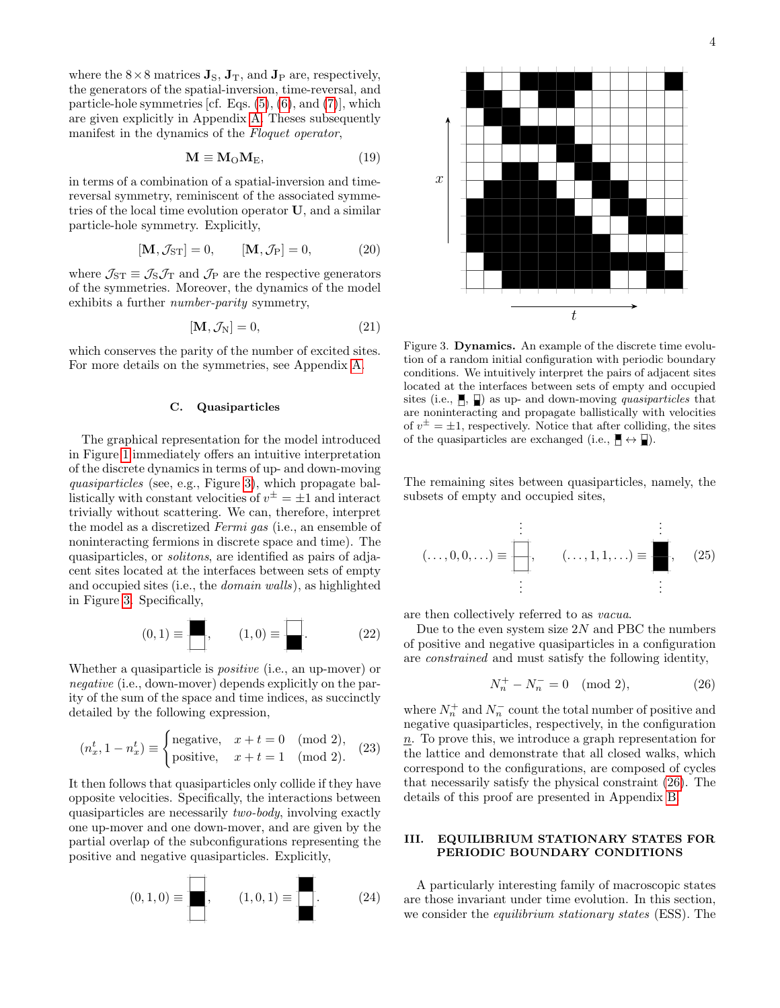where the  $8\times 8$  matrices  $\mathbf{J}_\text{S}$ ,  $\mathbf{J}_\text{T}$ , and  $\mathbf{J}_\text{P}$  are, respectively, the generators of the spatial-inversion, time-reversal, and particle-hole symmetries [cf. Eqs.  $(5)$ ,  $(6)$ , and  $(7)$ ], which are given explicitly in Appendix [A.](#page-28-0) Theses subsequently manifest in the dynamics of the Floquet operator,

<span id="page-3-4"></span>
$$
\mathbf{M} \equiv \mathbf{M}_{\mathcal{O}} \mathbf{M}_{\mathcal{E}},\tag{19}
$$

in terms of a combination of a spatial-inversion and timereversal symmetry, reminiscent of the associated symmetries of the local time evolution operator U, and a similar particle-hole symmetry. Explicitly,

$$
[\mathbf{M}, \mathcal{J}_{ST}] = 0, \qquad [\mathbf{M}, \mathcal{J}_P] = 0, \tag{20}
$$

where  $\mathcal{J}_{ST} \equiv \mathcal{J}_S \mathcal{J}_T$  and  $\mathcal{J}_P$  are the respective generators of the symmetries. Moreover, the dynamics of the model exhibits a further number-parity symmetry,

$$
[\mathbf{M}, \mathcal{J}_N] = 0,\t(21)
$$

which conserves the parity of the number of excited sites. For more details on the symmetries, see Appendix [A.](#page-28-0)

## C. Quasiparticles

The graphical representation for the model introduced in Figure [1](#page-2-0) immediately offers an intuitive interpretation of the discrete dynamics in terms of up- and down-moving quasiparticles (see, e.g., Figure [3\)](#page-3-1), which propagate ballistically with constant velocities of  $v^{\pm} = \pm 1$  and interact trivially without scattering. We can, therefore, interpret the model as a discretized Fermi gas (i.e., an ensemble of noninteracting fermions in discrete space and time). The quasiparticles, or solitons, are identified as pairs of adjacent sites located at the interfaces between sets of empty and occupied sites (i.e., the domain walls), as highlighted in Figure [3.](#page-3-1) Specifically,

$$
(0,1) \equiv \boxed{\phantom{0}} ,\qquad (1,0) \equiv \boxed{\phantom{0}} . \tag{22}
$$

Whether a quasiparticle is positive (i.e., an up-mover) or negative (i.e., down-mover) depends explicitly on the parity of the sum of the space and time indices, as succinctly detailed by the following expression,

$$
(n_x^t, 1 - n_x^t) \equiv \begin{cases} \text{negative}, & x + t = 0 \pmod{2}, \\ \text{positive}, & x + t = 1 \pmod{2}. \end{cases} (23)
$$

It then follows that quasiparticles only collide if they have opposite velocities. Specifically, the interactions between quasiparticles are necessarily two-body, involving exactly one up-mover and one down-mover, and are given by the partial overlap of the subconfigurations representing the positive and negative quasiparticles. Explicitly,

(0, 1, 0) ≡ , (1, 0, 1) ≡ . (24)



<span id="page-3-5"></span><span id="page-3-1"></span>Figure 3. Dynamics. An example of the discrete time evolution of a random initial configuration with periodic boundary conditions. We intuitively interpret the pairs of adjacent sites located at the interfaces between sets of empty and occupied sites (i.e.,  $\parallel$ ,  $\parallel$ ) as up- and down-moving *quasiparticles* that are noninteracting and propagate ballistically with velocities of  $v^{\pm} = \pm 1$ , respectively. Notice that after colliding, the sites of the quasiparticles are exchanged (i.e.,  $\mathbb{H} \leftrightarrow \mathbb{I}$ ).

The remaining sites between quasiparticles, namely, the subsets of empty and occupied sites,

$$
(\ldots,0,0,\ldots) \equiv \begin{array}{|c|c|}\n\vdots & & \vdots \\
\hline\n\vdots & & \vdots \\
\hline\n\vdots & & \vdots\n\end{array}
$$
 (25)

are then collectively referred to as vacua.

Due to the even system size  $2N$  and PBC the numbers of positive and negative quasiparticles in a configuration are constrained and must satisfy the following identity,

<span id="page-3-2"></span>
$$
N_n^+ - N_n^- = 0 \pmod{2},\tag{26}
$$

<span id="page-3-3"></span>where  $N_n^+$  and  $N_n^-$  count the total number of positive and negative quasiparticles, respectively, in the configuration n. To prove this, we introduce a graph representation for the lattice and demonstrate that all closed walks, which correspond to the configurations, are composed of cycles that necessarily satisfy the physical constraint [\(26\)](#page-3-2). The details of this proof are presented in Appendix [B.](#page-28-1)

## <span id="page-3-0"></span>III. EQUILIBRIUM STATIONARY STATES FOR PERIODIC BOUNDARY CONDITIONS

A particularly interesting family of macroscopic states are those invariant under time evolution. In this section, we consider the equilibrium stationary states (ESS). The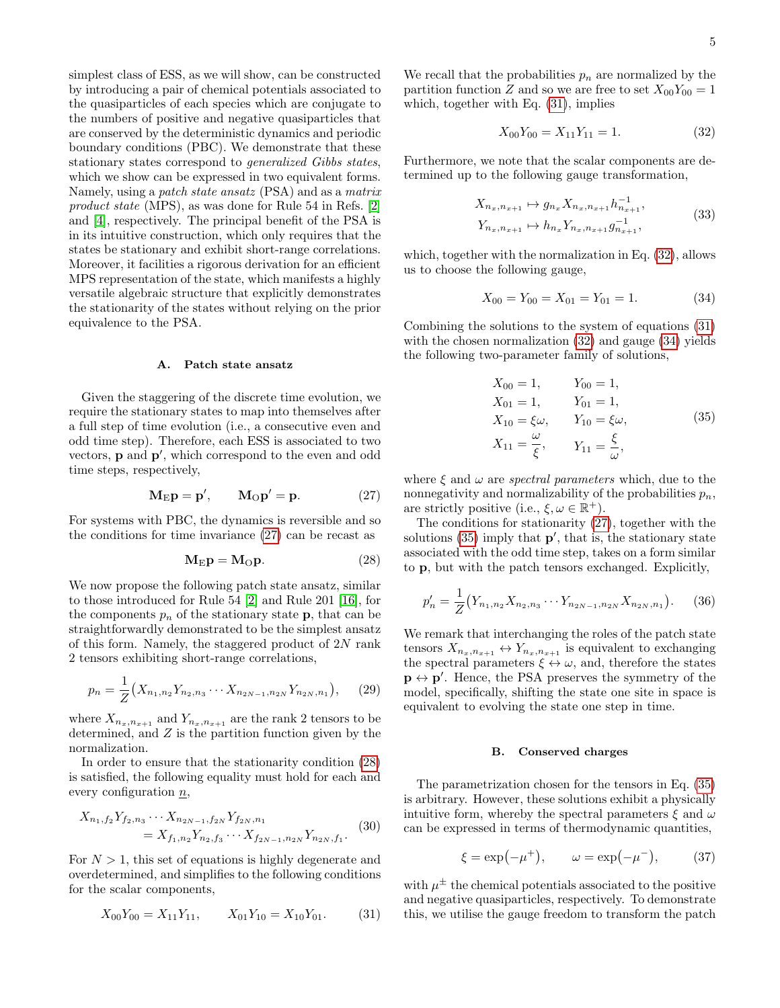simplest class of ESS, as we will show, can be constructed by introducing a pair of chemical potentials associated to the quasiparticles of each species which are conjugate to the numbers of positive and negative quasiparticles that are conserved by the deterministic dynamics and periodic boundary conditions (PBC). We demonstrate that these stationary states correspond to generalized Gibbs states, which we show can be expressed in two equivalent forms. Namely, using a patch state ansatz (PSA) and as a matrix product state (MPS), as was done for Rule 54 in Refs. [\[2\]](#page-26-1) and [\[4\]](#page-26-18), respectively. The principal benefit of the PSA is in its intuitive construction, which only requires that the states be stationary and exhibit short-range correlations. Moreover, it facilities a rigorous derivation for an efficient MPS representation of the state, which manifests a highly versatile algebraic structure that explicitly demonstrates the stationarity of the states without relying on the prior equivalence to the PSA.

### <span id="page-4-7"></span>A. Patch state ansatz

Given the staggering of the discrete time evolution, we require the stationary states to map into themselves after a full step of time evolution (i.e., a consecutive even and odd time step). Therefore, each ESS is associated to two vectors,  $\bf{p}$  and  $\bf{p}'$ , which correspond to the even and odd time steps, respectively,

<span id="page-4-0"></span>
$$
\mathbf{M}_{\mathrm{E}}\mathbf{p} = \mathbf{p}', \qquad \mathbf{M}_{\mathrm{O}}\mathbf{p}' = \mathbf{p}.\tag{27}
$$

For systems with PBC, the dynamics is reversible and so the conditions for time invariance [\(27\)](#page-4-0) can be recast as

$$
\mathbf{M}_{\mathrm{E}}\mathbf{p} = \mathbf{M}_{\mathrm{O}}\mathbf{p}.\tag{28}
$$

We now propose the following patch state ansatz, similar to those introduced for Rule 54 [\[2\]](#page-26-1) and Rule 201 [\[16\]](#page-26-5), for the components  $p_n$  of the stationary state **p**, that can be straightforwardly demonstrated to be the simplest ansatz of this form. Namely, the staggered product of 2N rank 2 tensors exhibiting short-range correlations,

$$
p_n = \frac{1}{Z} \left( X_{n_1, n_2} Y_{n_2, n_3} \cdots X_{n_{2N-1}, n_{2N}} Y_{n_{2N}, n_1} \right), \quad (29)
$$

where  $X_{n_x,n_{x+1}}$  and  $Y_{n_x,n_{x+1}}$  are the rank 2 tensors to be determined, and  $Z$  is the partition function given by the normalization.

In order to ensure that the stationarity condition [\(28\)](#page-4-1) is satisfied, the following equality must hold for each and every configuration  $n$ ,

<span id="page-4-6"></span>
$$
X_{n_1,f_2} Y_{f_2,n_3} \cdots X_{n_{2N-1},f_{2N}} Y_{f_{2N},n_1}
$$
  
=  $X_{f_1,n_2} Y_{n_2,f_3} \cdots X_{f_{2N-1},n_{2N}} Y_{n_{2N},f_1}.$  (30)

For  $N > 1$ , this set of equations is highly degenerate and overdetermined, and simplifies to the following conditions for the scalar components,

<span id="page-4-2"></span>
$$
X_{00}Y_{00} = X_{11}Y_{11}, \qquad X_{01}Y_{10} = X_{10}Y_{01}.
$$
 (31)

We recall that the probabilities  $p_n$  are normalized by the partition function Z and so we are free to set  $X_{00}Y_{00} = 1$ which, together with Eq.  $(31)$ , implies

<span id="page-4-3"></span>
$$
X_{00}Y_{00} = X_{11}Y_{11} = 1.
$$
 (32)

Furthermore, we note that the scalar components are determined up to the following gauge transformation,

$$
X_{n_x, n_{x+1}} \mapsto g_{n_x} X_{n_x, n_{x+1}} h_{n_{x+1}}^{-1},
$$
  
\n
$$
Y_{n_x, n_{x+1}} \mapsto h_{n_x} Y_{n_x, n_{x+1}} g_{n_{x+1}}^{-1},
$$
\n(33)

which, together with the normalization in Eq. [\(32\)](#page-4-3), allows us to choose the following gauge,

<span id="page-4-4"></span>
$$
X_{00} = Y_{00} = X_{01} = Y_{01} = 1.
$$
 (34)

Combining the solutions to the system of equations [\(31\)](#page-4-2) with the chosen normalization  $(32)$  and gauge  $(34)$  yields the following two-parameter family of solutions,

<span id="page-4-5"></span>
$$
X_{00} = 1, \t Y_{00} = 1,X_{01} = 1, \t Y_{01} = 1,X_{10} = \xi \omega, \t Y_{10} = \xi \omega, \t (35)X_{11} = \frac{\omega}{\xi}, \t Y_{11} = \frac{\xi}{\omega},
$$

where  $\xi$  and  $\omega$  are *spectral parameters* which, due to the nonnegativity and normalizability of the probabilities  $p_n$ , are strictly positive (i.e.,  $\xi, \omega \in \mathbb{R}^+$ ).

<span id="page-4-1"></span>The conditions for stationarity [\(27\)](#page-4-0), together with the solutions  $(35)$  imply that  $p'$ , that is, the stationary state associated with the odd time step, takes on a form similar to p, but with the patch tensors exchanged. Explicitly,

$$
p'_n = \frac{1}{Z} \left( Y_{n_1, n_2} X_{n_2, n_3} \cdots Y_{n_{2N-1}, n_{2N}} X_{n_{2N}, n_1} \right). \tag{36}
$$

We remark that interchanging the roles of the patch state tensors  $X_{n_x,n_{x+1}} \leftrightarrow Y_{n_x,n_{x+1}}$  is equivalent to exchanging the spectral parameters  $\xi \leftrightarrow \omega$ , and, therefore the states  $\mathbf{p} \leftrightarrow \mathbf{p}'$ . Hence, the PSA preserves the symmetry of the model, specifically, shifting the state one site in space is equivalent to evolving the state one step in time.

### <span id="page-4-8"></span>B. Conserved charges

The parametrization chosen for the tensors in Eq. [\(35\)](#page-4-5) is arbitrary. However, these solutions exhibit a physically intuitive form, whereby the spectral parameters  $\xi$  and  $\omega$ can be expressed in terms of thermodynamic quantities,

$$
\xi = \exp(-\mu^+), \qquad \omega = \exp(-\mu^-), \tag{37}
$$

with  $\mu^{\pm}$  the chemical potentials associated to the positive and negative quasiparticles, respectively. To demonstrate this, we utilise the gauge freedom to transform the patch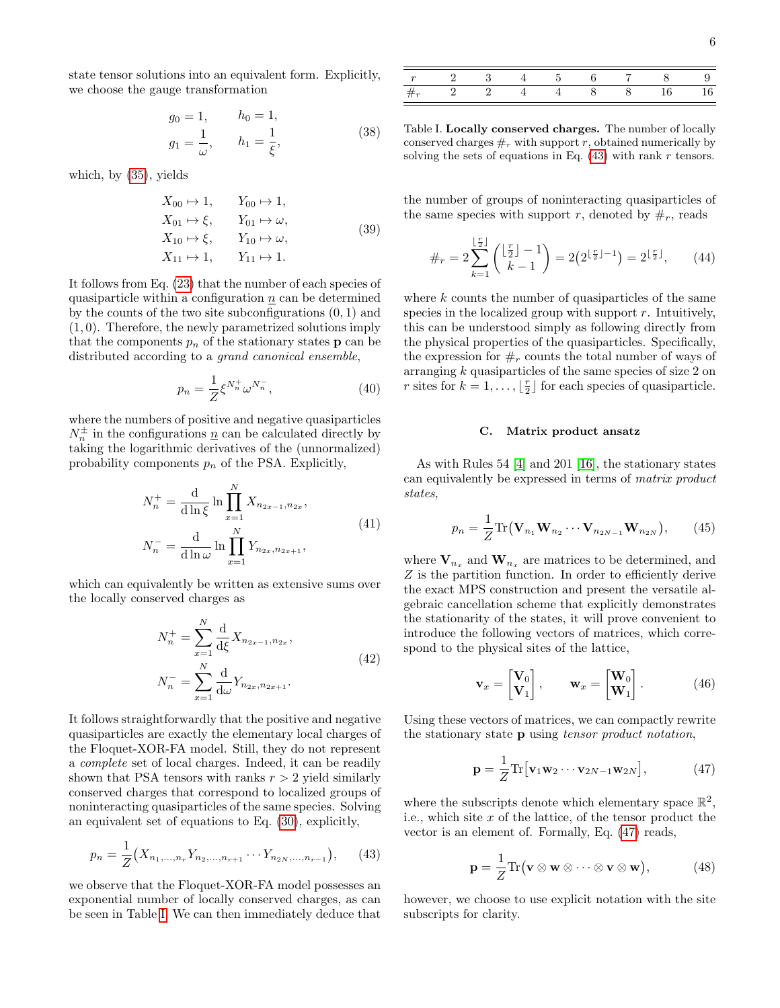state tensor solutions into an equivalent form. Explicitly, we choose the gauge transformation

$$
g_0 = 1,
$$
  $h_0 = 1,$   
\n $g_1 = \frac{1}{\omega},$   $h_1 = \frac{1}{\xi},$  (38)

which, by [\(35\)](#page-4-5), yields

<span id="page-5-6"></span>
$$
X_{00} \rightarrow 1, \qquad Y_{00} \rightarrow 1,X_{01} \rightarrow \xi, \qquad Y_{01} \rightarrow \omega,X_{10} \rightarrow \xi, \qquad Y_{10} \rightarrow \omega,X_{11} \rightarrow 1, \qquad Y_{11} \rightarrow 1.
$$
 (39)

It follows from Eq. [\(23\)](#page-3-3) that the number of each species of quasiparticle within a configuration  $n$  can be determined by the counts of the two site subconfigurations  $(0, 1)$  and (1, 0). Therefore, the newly parametrized solutions imply that the components  $p_n$  of the stationary states **p** can be distributed according to a grand canonical ensemble,

$$
p_n = \frac{1}{Z} \xi^{N_n^+} \omega^{N_n^-},
$$
\n(40)

where the numbers of positive and negative quasiparticles  $N_n^{\pm}$  in the configurations  $\underline{n}$  can be calculated directly by taking the logarithmic derivatives of the (unnormalized) probability components  $p_n$  of the PSA. Explicitly,

$$
N_n^+ = \frac{d}{d \ln \xi} \ln \prod_{x=1}^N X_{n_{2x-1}, n_{2x}},
$$
  
\n
$$
N_n^- = \frac{d}{d \ln \omega} \ln \prod_{x=1}^N Y_{n_{2x}, n_{2x+1}},
$$
\n(41)

which can equivalently be written as extensive sums over the locally conserved charges as

$$
N_n^+ = \sum_{x=1}^N \frac{d}{d\xi} X_{n_{2x-1}, n_{2x}},
$$
  
\n
$$
N_n^- = \sum_{x=1}^N \frac{d}{d\omega} Y_{n_{2x}, n_{2x+1}}.
$$
\n(42)

It follows straightforwardly that the positive and negative quasiparticles are exactly the elementary local charges of the Floquet-XOR-FA model. Still, they do not represent a complete set of local charges. Indeed, it can be readily shown that PSA tensors with ranks  $r > 2$  yield similarly conserved charges that correspond to localized groups of noninteracting quasiparticles of the same species. Solving an equivalent set of equations to Eq. [\(30\)](#page-4-6), explicitly,

$$
p_n = \frac{1}{Z} \left( X_{n_1, \dots, n_r} Y_{n_2, \dots, n_{r+1}} \cdots Y_{n_{2N}, \dots, n_{r-1}} \right), \qquad (43)
$$

we observe that the Floquet-XOR-FA model possesses an exponential number of locally conserved charges, as can be seen in Table [I.](#page-5-0) We can then immediately deduce that

<span id="page-5-0"></span>Table I. Locally conserved charges. The number of locally conserved charges  $#_r$  with support r, obtained numerically by solving the sets of equations in Eq.  $(43)$  with rank r tensors.

the number of groups of noninteracting quasiparticles of the same species with support r, denoted by  $\#_r$ , reads

$$
\#_r = 2\sum_{k=1}^{\lfloor \frac{r}{2} \rfloor} {\lfloor \frac{r}{2} \rfloor - 1 \choose k-1} = 2(2^{\lfloor \frac{r}{2} \rfloor - 1}) = 2^{\lfloor \frac{r}{2} \rfloor}, \qquad (44)
$$

<span id="page-5-3"></span>where  $k$  counts the number of quasiparticles of the same species in the localized group with support  $r$ . Intuitively, this can be understood simply as following directly from the physical properties of the quasiparticles. Specifically, the expression for  $#_r$  counts the total number of ways of arranging k quasiparticles of the same species of size 2 on r sites for  $k = 1, ..., \lfloor \frac{r}{2} \rfloor$  for each species of quasiparticle.

### <span id="page-5-4"></span>C. Matrix product ansatz

As with Rules 54 [\[4\]](#page-26-18) and 201 [\[16\]](#page-26-5), the stationary states can equivalently be expressed in terms of matrix product states,

$$
p_n = \frac{1}{Z} \text{Tr}(\mathbf{V}_{n_1} \mathbf{W}_{n_2} \cdots \mathbf{V}_{n_{2N-1}} \mathbf{W}_{n_{2N}}), \qquad (45)
$$

where  $\mathbf{V}_{n_x}$  and  $\mathbf{W}_{n_x}$  are matrices to be determined, and Z is the partition function. In order to efficiently derive the exact MPS construction and present the versatile algebraic cancellation scheme that explicitly demonstrates the stationarity of the states, it will prove convenient to introduce the following vectors of matrices, which correspond to the physical sites of the lattice,

<span id="page-5-5"></span>
$$
\mathbf{v}_x = \begin{bmatrix} \mathbf{V}_0 \\ \mathbf{V}_1 \end{bmatrix}, \qquad \mathbf{w}_x = \begin{bmatrix} \mathbf{W}_0 \\ \mathbf{W}_1 \end{bmatrix}. \tag{46}
$$

Using these vectors of matrices, we can compactly rewrite the stationary state p using tensor product notation,

<span id="page-5-2"></span>
$$
\mathbf{p} = \frac{1}{Z} \text{Tr} \left[ \mathbf{v}_1 \mathbf{w}_2 \cdots \mathbf{v}_{2N-1} \mathbf{w}_{2N} \right],\tag{47}
$$

<span id="page-5-1"></span>where the subscripts denote which elementary space  $\mathbb{R}^2$ , i.e., which site  $x$  of the lattice, of the tensor product the vector is an element of. Formally, Eq. [\(47\)](#page-5-2) reads,

$$
\mathbf{p} = \frac{1}{Z} \text{Tr}(\mathbf{v} \otimes \mathbf{w} \otimes \cdots \otimes \mathbf{v} \otimes \mathbf{w}), \tag{48}
$$

however, we choose to use explicit notation with the site subscripts for clarity.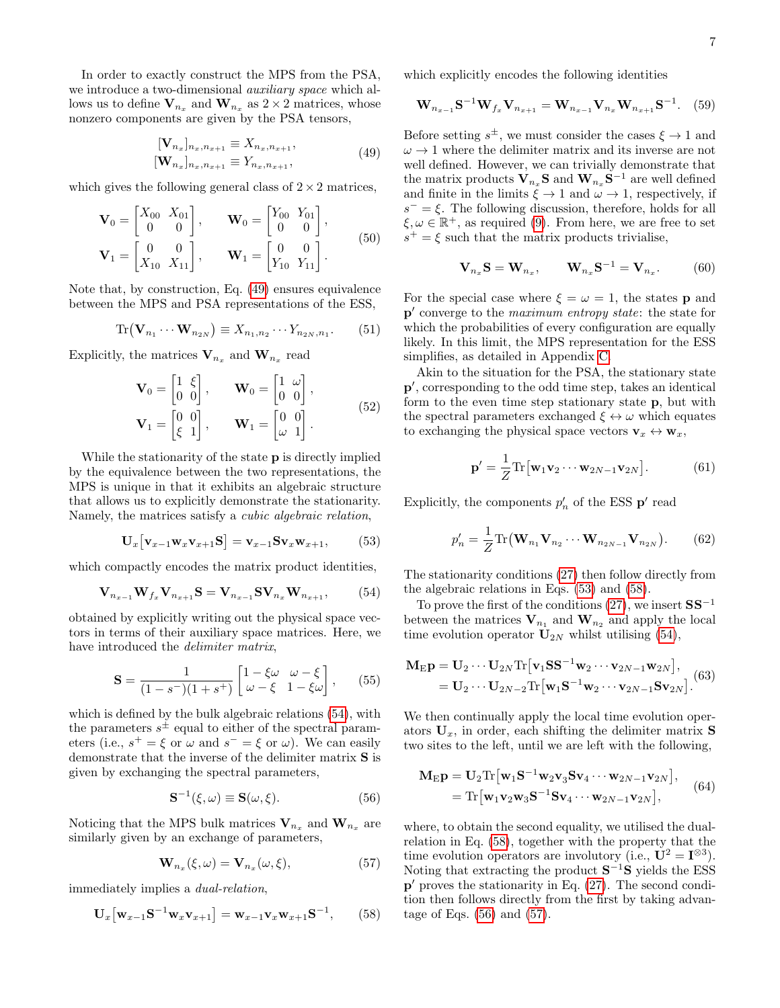In order to exactly construct the MPS from the PSA, we introduce a two-dimensional auxiliary space which allows us to define  $\mathbf{V}_{n_x}$  and  $\mathbf{W}_{n_x}$  as  $2 \times 2$  matrices, whose nonzero components are given by the PSA tensors,

$$
\begin{aligned} [\mathbf{V}_{n_x}]_{n_x, n_{x+1}} &\equiv X_{n_x, n_{x+1}}, \\ [\mathbf{W}_{n_x}]_{n_x, n_{x+1}} &\equiv Y_{n_x, n_{x+1}}, \end{aligned} \tag{49}
$$

which gives the following general class of  $2 \times 2$  matrices,

$$
\mathbf{V}_0 = \begin{bmatrix} X_{00} & X_{01} \\ 0 & 0 \end{bmatrix}, \qquad \mathbf{W}_0 = \begin{bmatrix} Y_{00} & Y_{01} \\ 0 & 0 \end{bmatrix},
$$

$$
\mathbf{V}_1 = \begin{bmatrix} 0 & 0 \\ X_{10} & X_{11} \end{bmatrix}, \qquad \mathbf{W}_1 = \begin{bmatrix} 0 & 0 \\ Y_{10} & Y_{11} \end{bmatrix}.
$$
(50)

Note that, by construction, Eq. [\(49\)](#page-6-0) ensures equivalence between the MPS and PSA representations of the ESS,

$$
\operatorname{Tr}(\mathbf{V}_{n_1}\cdots\mathbf{W}_{n_{2N}})\equiv X_{n_1,n_2}\cdots Y_{n_{2N},n_1}.\tag{51}
$$

Explicitly, the matrices  $\mathbf{V}_{n_x}$  and  $\mathbf{W}_{n_x}$  read

$$
\mathbf{V}_0 = \begin{bmatrix} 1 & \xi \\ 0 & 0 \end{bmatrix}, \qquad \mathbf{W}_0 = \begin{bmatrix} 1 & \omega \\ 0 & 0 \end{bmatrix},
$$

$$
\mathbf{V}_1 = \begin{bmatrix} 0 & 0 \\ \xi & 1 \end{bmatrix}, \qquad \mathbf{W}_1 = \begin{bmatrix} 0 & 0 \\ \omega & 1 \end{bmatrix}.
$$
(52)

While the stationarity of the state **p** is directly implied by the equivalence between the two representations, the MPS is unique in that it exhibits an algebraic structure that allows us to explicitly demonstrate the stationarity. Namely, the matrices satisfy a cubic algebraic relation,

$$
\mathbf{U}_{x}\big[\mathbf{v}_{x-1}\mathbf{w}_{x}\mathbf{v}_{x+1}\mathbf{S}\big]=\mathbf{v}_{x-1}\mathbf{S}\mathbf{v}_{x}\mathbf{w}_{x+1},\qquad(53)
$$

which compactly encodes the matrix product identities,

$$
\mathbf{V}_{n_{x-1}}\mathbf{W}_{f_x}\mathbf{V}_{n_{x+1}}\mathbf{S} = \mathbf{V}_{n_{x-1}}\mathbf{S}\mathbf{V}_{n_x}\mathbf{W}_{n_{x+1}},\qquad(54)
$$

obtained by explicitly writing out the physical space vectors in terms of their auxiliary space matrices. Here, we have introduced the *delimiter matrix*,

$$
\mathbf{S} = \frac{1}{(1 - s^{-})(1 + s^{+})} \begin{bmatrix} 1 - \xi \omega & \omega - \xi \\ \omega - \xi & 1 - \xi \omega \end{bmatrix}, \qquad (55)
$$

which is defined by the bulk algebraic relations [\(54\)](#page-6-1), with the parameters  $s^{\pm}$  equal to either of the spectral parameters (i.e.,  $s^+ = \xi$  or  $\omega$  and  $s^- = \xi$  or  $\omega$ ). We can easily demonstrate that the inverse of the delimiter matrix S is given by exchanging the spectral parameters,

$$
\mathbf{S}^{-1}(\xi,\omega) \equiv \mathbf{S}(\omega,\xi). \tag{56}
$$

Noticing that the MPS bulk matrices  $V_{n_x}$  and  $W_{n_x}$  are similarly given by an exchange of parameters,

<span id="page-6-3"></span>
$$
\mathbf{W}_{n_x}(\xi,\omega) = \mathbf{V}_{n_x}(\omega,\xi),\tag{57}
$$

immediately implies a dual-relation,

$$
\mathbf{U}_{x}\big[\mathbf{w}_{x-1}\mathbf{S}^{-1}\mathbf{w}_{x}\mathbf{v}_{x+1}\big]=\mathbf{w}_{x-1}\mathbf{v}_{x}\mathbf{w}_{x+1}\mathbf{S}^{-1},\qquad(58)
$$

which explicitly encodes the following identities

<span id="page-6-7"></span>
$$
\mathbf{W}_{n_{x-1}}\mathbf{S}^{-1}\mathbf{W}_{f_x}\mathbf{V}_{n_{x+1}} = \mathbf{W}_{n_{x-1}}\mathbf{V}_{n_x}\mathbf{W}_{n_{x+1}}\mathbf{S}^{-1}.
$$
 (59)

<span id="page-6-0"></span>Before setting  $s^{\pm}$ , we must consider the cases  $\xi \to 1$  and  $\omega \rightarrow 1$  where the delimiter matrix and its inverse are not well defined. However, we can trivially demonstrate that the matrix products  $\mathbf{V}_{n_x} \mathbf{S}$  and  $\mathbf{W}_{n_x} \mathbf{S}^{-1}$  are well defined and finite in the limits  $\tilde{\xi} \to 1$  and  $\tilde{\omega} \to 1$ , respectively, if  $s^- = \xi$ . The following discussion, therefore, holds for all  $\xi, \omega \in \mathbb{R}^+$ , as required [\(9\)](#page-2-2). From here, we are free to set  $s^+ = \xi$  such that the matrix products trivialise,

<span id="page-6-9"></span>
$$
\mathbf{V}_{n_x} \mathbf{S} = \mathbf{W}_{n_x}, \qquad \mathbf{W}_{n_x} \mathbf{S}^{-1} = \mathbf{V}_{n_x}. \tag{60}
$$

For the special case where  $\xi = \omega = 1$ , the states **p** and p' converge to the maximum entropy state: the state for which the probabilities of every configuration are equally likely. In this limit, the MPS representation for the ESS simplifies, as detailed in Appendix [C.](#page-29-0)

<span id="page-6-8"></span>Akin to the situation for the PSA, the stationary state p', corresponding to the odd time step, takes an identical form to the even time step stationary state p, but with the spectral parameters exchanged  $\xi \leftrightarrow \omega$  which equates to exchanging the physical space vectors  $\mathbf{v}_x \leftrightarrow \mathbf{w}_x$ ,

$$
\mathbf{p}' = \frac{1}{Z} \text{Tr} \big[ \mathbf{w}_1 \mathbf{v}_2 \cdots \mathbf{w}_{2N-1} \mathbf{v}_{2N} \big]. \tag{61}
$$

<span id="page-6-2"></span>Explicitly, the components  $p'_n$  of the ESS  $p'$  read

$$
p'_{n} = \frac{1}{Z} \text{Tr}(\mathbf{W}_{n_1} \mathbf{V}_{n_2} \cdots \mathbf{W}_{n_{2N-1}} \mathbf{V}_{n_{2N}}).
$$
 (62)

<span id="page-6-1"></span>The stationarity conditions [\(27\)](#page-4-0) then follow directly from the algebraic relations in Eqs. [\(53\)](#page-6-2) and [\(58\)](#page-6-3).

To prove the first of the conditions  $(27)$ , we insert  $SS^{-1}$ between the matrices  $V_{n_1}$  and  $W_{n_2}$  and apply the local time evolution operator  $U_{2N}$  whilst utilising [\(54\)](#page-6-1),

<span id="page-6-6"></span>
$$
\mathbf{M}_{\mathrm{E}}\mathbf{p} = \mathbf{U}_{2} \cdots \mathbf{U}_{2N} \text{Tr} \left[ \mathbf{v}_{1} \mathbf{S} \mathbf{S}^{-1} \mathbf{w}_{2} \cdots \mathbf{v}_{2N-1} \mathbf{w}_{2N} \right],
$$
  
= 
$$
\mathbf{U}_{2} \cdots \mathbf{U}_{2N-2} \text{Tr} \left[ \mathbf{w}_{1} \mathbf{S}^{-1} \mathbf{w}_{2} \cdots \mathbf{v}_{2N-1} \mathbf{S} \mathbf{v}_{2N} \right].
$$
 (63)

<span id="page-6-4"></span>We then continually apply the local time evolution operators  $U_x$ , in order, each shifting the delimiter matrix **S** two sites to the left, until we are left with the following,

$$
\mathbf{M}_{\mathrm{E}}\mathbf{p} = \mathbf{U}_{2}\mathrm{Tr}\left[\mathbf{w}_{1}\mathbf{S}^{-1}\mathbf{w}_{2}\mathbf{v}_{3}\mathbf{S}\mathbf{v}_{4}\cdots\mathbf{w}_{2N-1}\mathbf{v}_{2N}\right],
$$
  
=  $\mathrm{Tr}\left[\mathbf{w}_{1}\mathbf{v}_{2}\mathbf{w}_{3}\mathbf{S}^{-1}\mathbf{S}\mathbf{v}_{4}\cdots\mathbf{w}_{2N-1}\mathbf{v}_{2N}\right],$  (64)

<span id="page-6-5"></span>where, to obtain the second equality, we utilised the dualrelation in Eq. [\(58\)](#page-6-3), together with the property that the time evolution operators are involutory (i.e.,  $U^2 = I^{\otimes 3}$ ). Noting that extracting the product  $S^{-1}S$  yields the ESS p' proves the stationarity in Eq. [\(27\)](#page-4-0). The second condition then follows directly from the first by taking advantage of Eqs. [\(56\)](#page-6-4) and [\(57\)](#page-6-5).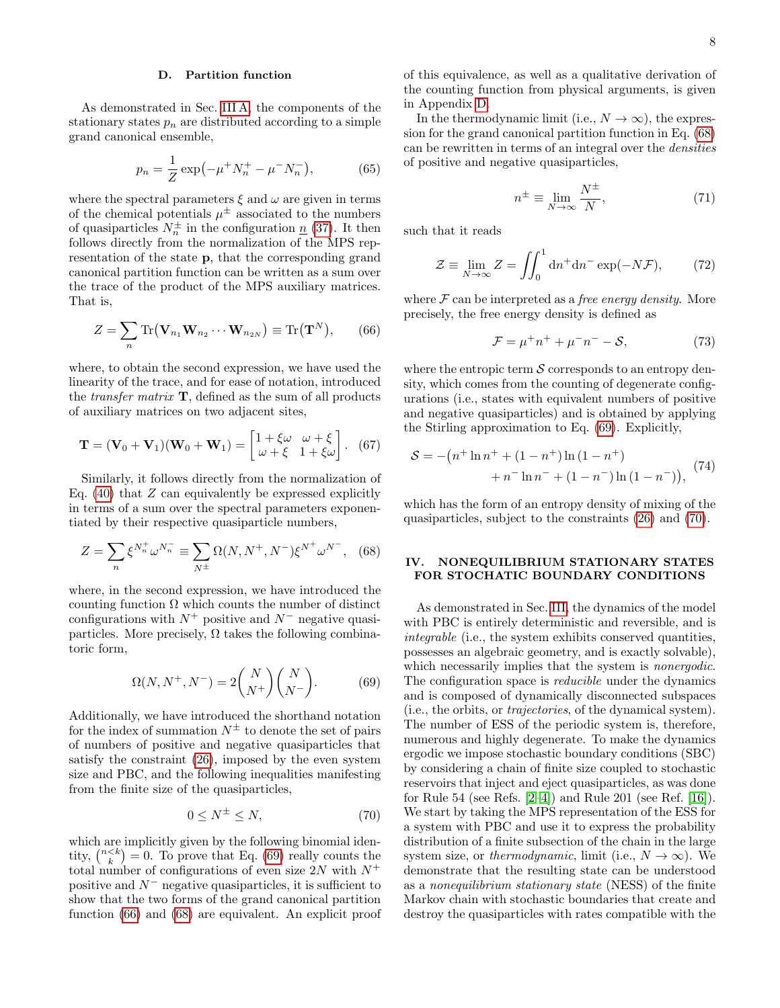# D. Partition function

As demonstrated in Sec. [III A,](#page-4-7) the components of the stationary states  $p_n$  are distributed according to a simple grand canonical ensemble,

$$
p_n = \frac{1}{Z} \exp(-\mu^+ N_n^+ - \mu^- N_n^-), \tag{65}
$$

where the spectral parameters  $\xi$  and  $\omega$  are given in terms of the chemical potentials  $\mu^{\pm}$  associated to the numbers of quasiparticles  $N_n^{\pm}$  in the configuration  $\underline{n}$  [\(37\)](#page-4-8). It then follows directly from the normalization of the MPS representation of the state p, that the corresponding grand canonical partition function can be written as a sum over the trace of the product of the MPS auxiliary matrices. That is,

<span id="page-7-2"></span>
$$
Z = \sum_{n} \text{Tr}(\mathbf{V}_{n_1} \mathbf{W}_{n_2} \cdots \mathbf{W}_{n_{2N}}) \equiv \text{Tr}(\mathbf{T}^N), \qquad (66)
$$

where, to obtain the second expression, we have used the linearity of the trace, and for ease of notation, introduced the *transfer matrix*  $\mathbf{T}$ , defined as the sum of all products of auxiliary matrices on two adjacent sites,

$$
\mathbf{T} = (\mathbf{V}_0 + \mathbf{V}_1)(\mathbf{W}_0 + \mathbf{W}_1) = \begin{bmatrix} 1 + \xi \omega & \omega + \xi \\ \omega + \xi & 1 + \xi \omega \end{bmatrix}.
$$
 (67)

Similarly, it follows directly from the normalization of Eq.  $(40)$  that Z can equivalently be expressed explicitly in terms of a sum over the spectral parameters exponentiated by their respective quasiparticle numbers,

$$
Z = \sum_{n} \xi^{N_{n}^{+}} \omega^{N_{n}^{-}} \equiv \sum_{N^{\pm}} \Omega(N, N^{+}, N^{-}) \xi^{N^{+}} \omega^{N^{-}}, \quad (68)
$$

where, in the second expression, we have introduced the counting function Ω which counts the number of distinct configurations with  $N^+$  positive and  $N^-$  negative quasiparticles. More precisely,  $\Omega$  takes the following combinatoric form,

<span id="page-7-1"></span>
$$
\Omega(N, N^+, N^-) = 2 \binom{N}{N^+} \binom{N}{N^-}.
$$
\n(69)

Additionally, we have introduced the shorthand notation for the index of summation  $N^{\pm}$  to denote the set of pairs of numbers of positive and negative quasiparticles that satisfy the constraint [\(26\)](#page-3-2), imposed by the even system size and PBC, and the following inequalities manifesting from the finite size of the quasiparticles,

<span id="page-7-4"></span>
$$
0 \le N^{\pm} \le N,\tag{70}
$$

which are implicitly given by the following binomial identity,  $\binom{n < k}{k} = 0$ . To prove that Eq. [\(69\)](#page-7-1) really counts the total number of configurations of even size  $2N$  with  $N^+$ positive and  $N^-$  negative quasiparticles, it is sufficient to show that the two forms of the grand canonical partition function [\(66\)](#page-7-2) and [\(68\)](#page-7-3) are equivalent. An explicit proof of this equivalence, as well as a qualitative derivation of the counting function from physical arguments, is given in Appendix [D.](#page-29-1)

In the thermodynamic limit (i.e.,  $N \to \infty$ ), the expression for the grand canonical partition function in Eq. [\(68\)](#page-7-3) can be rewritten in terms of an integral over the densities of positive and negative quasiparticles,

$$
n^{\pm} \equiv \lim_{N \to \infty} \frac{N^{\pm}}{N},\tag{71}
$$

such that it reads

$$
\mathcal{Z} \equiv \lim_{N \to \infty} Z = \iint_0^1 \mathrm{d}n^+ \mathrm{d}n^- \exp(-N\mathcal{F}),\tag{72}
$$

where  $\mathcal F$  can be interpreted as a *free energy density*. More precisely, the free energy density is defined as

$$
\mathcal{F} = \mu^+ n^+ + \mu^- n^- - \mathcal{S},\tag{73}
$$

<span id="page-7-5"></span>where the entropic term  $\mathcal S$  corresponds to an entropy density, which comes from the counting of degenerate configurations (i.e., states with equivalent numbers of positive and negative quasiparticles) and is obtained by applying the Stirling approximation to Eq. [\(69\)](#page-7-1). Explicitly,

$$
S = -(n^{+} \ln n^{+} + (1 - n^{+}) \ln (1 - n^{+}) + n^{-} \ln n^{-} + (1 - n^{-}) \ln (1 - n^{-})),
$$
 (74)

<span id="page-7-3"></span>which has the form of an entropy density of mixing of the quasiparticles, subject to the constraints [\(26\)](#page-3-2) and [\(70\)](#page-7-4).

## <span id="page-7-0"></span>IV. NONEQUILIBRIUM STATIONARY STATES FOR STOCHATIC BOUNDARY CONDITIONS

As demonstrated in Sec. [III,](#page-3-0) the dynamics of the model with PBC is entirely deterministic and reversible, and is integrable (i.e., the system exhibits conserved quantities, possesses an algebraic geometry, and is exactly solvable), which necessarily implies that the system is *nonergodic*. The configuration space is *reducible* under the dynamics and is composed of dynamically disconnected subspaces (i.e., the orbits, or trajectories, of the dynamical system). The number of ESS of the periodic system is, therefore, numerous and highly degenerate. To make the dynamics ergodic we impose stochastic boundary conditions (SBC) by considering a chain of finite size coupled to stochastic reservoirs that inject and eject quasiparticles, as was done for Rule 54 (see Refs. [\[2–](#page-26-1)[4\]](#page-26-18)) and Rule 201 (see Ref. [\[16\]](#page-26-5)). We start by taking the MPS representation of the ESS for a system with PBC and use it to express the probability distribution of a finite subsection of the chain in the large system size, or thermodynamic, limit (i.e.,  $N \to \infty$ ). We demonstrate that the resulting state can be understood as a nonequilibrium stationary state (NESS) of the finite Markov chain with stochastic boundaries that create and destroy the quasiparticles with rates compatible with the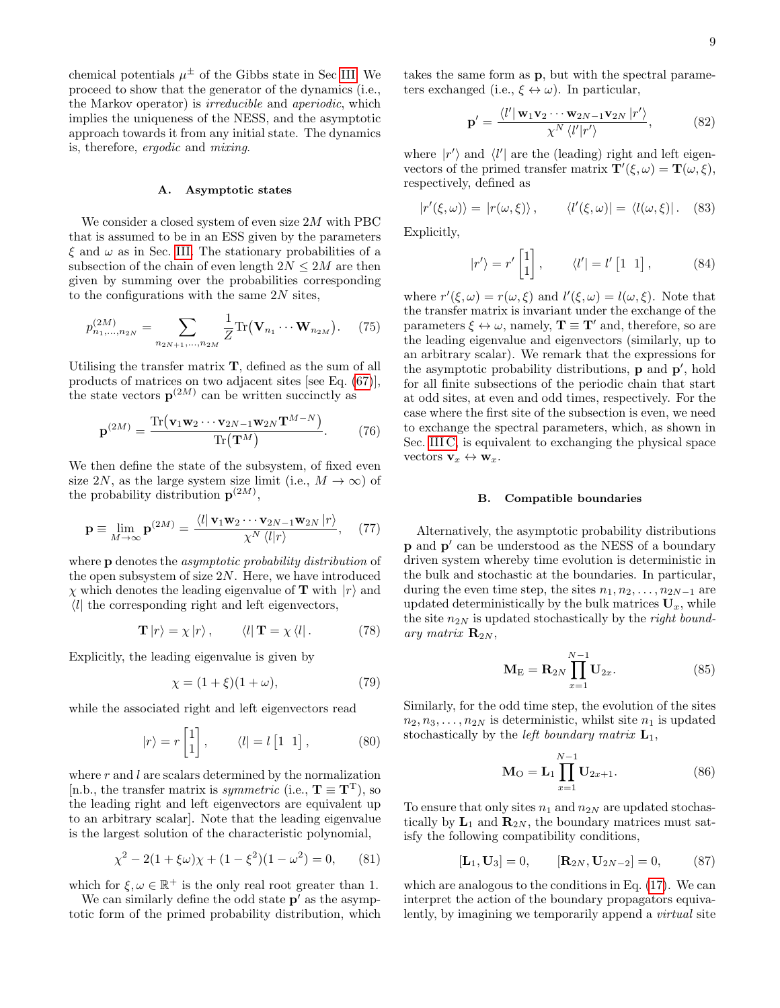chemical potentials  $\mu^{\pm}$  of the Gibbs state in Sec [III.](#page-3-0) We proceed to show that the generator of the dynamics (i.e., the Markov operator) is irreducible and aperiodic, which implies the uniqueness of the NESS, and the asymptotic approach towards it from any initial state. The dynamics is, therefore, ergodic and mixing.

### <span id="page-8-3"></span>A. Asymptotic states

We consider a closed system of even size 2M with PBC that is assumed to be in an ESS given by the parameters  $\xi$  and  $\omega$  as in Sec. [III.](#page-3-0) The stationary probabilities of a subsection of the chain of even length  $2N \leq 2M$  are then given by summing over the probabilities corresponding to the configurations with the same  $2N$  sites,

$$
p_{n_1,\dots,n_{2N}}^{(2M)} = \sum_{n_{2N+1},\dots,n_{2M}} \frac{1}{Z} \text{Tr}(\mathbf{V}_{n_1} \cdots \mathbf{W}_{n_{2M}}). \tag{75}
$$

Utilising the transfer matrix T, defined as the sum of all products of matrices on two adjacent sites [see Eq. [\(67\)](#page-7-5)], the state vectors  $p^{(2M)}$  can be written succinctly as

$$
\mathbf{p}^{(2M)} = \frac{\text{Tr}\left(\mathbf{v}_1 \mathbf{w}_2 \cdots \mathbf{v}_{2N-1} \mathbf{w}_{2N} \mathbf{T}^{M-N}\right)}{\text{Tr}\left(\mathbf{T}^M\right)}.
$$
 (76)

We then define the state of the subsystem, of fixed even size 2N, as the large system size limit (i.e.,  $M \to \infty$ ) of the probability distribution  $p^{(2M)}$ ,

$$
\mathbf{p} \equiv \lim_{M \to \infty} \mathbf{p}^{(2M)} = \frac{\langle l | \mathbf{v}_1 \mathbf{w}_2 \cdots \mathbf{v}_{2N-1} \mathbf{w}_{2N} | r \rangle}{\chi^N \langle l | r \rangle}, \quad (77)
$$

where **p** denotes the *asymptotic probability distribution* of the open subsystem of size  $2N$ . Here, we have introduced  $\chi$  which denotes the leading eigenvalue of **T** with  $|r\rangle$  and  $\langle l \rangle$  the corresponding right and left eigenvectors,

$$
\mathbf{T}|r\rangle = \chi|r\rangle, \qquad \langle l|\mathbf{T} = \chi\langle l|. \qquad (78)
$$

Explicitly, the leading eigenvalue is given by

$$
\chi = (1 + \xi)(1 + \omega),\tag{79}
$$

while the associated right and left eigenvectors read

$$
|r\rangle = r \begin{bmatrix} 1 \\ 1 \end{bmatrix}, \qquad \langle l| = l \begin{bmatrix} 1 & 1 \end{bmatrix}, \qquad (80)
$$

where  $r$  and  $l$  are scalars determined by the normalization [n.b., the transfer matrix is *symmetric* (i.e.,  $T \equiv T^{T}$ ), so the leading right and left eigenvectors are equivalent up to an arbitrary scalar]. Note that the leading eigenvalue is the largest solution of the characteristic polynomial,

$$
\chi^2 - 2(1 + \xi \omega)\chi + (1 - \xi^2)(1 - \omega^2) = 0,\qquad(81)
$$

which for  $\xi, \omega \in \mathbb{R}^+$  is the only real root greater than 1.

We can similarly define the odd state  $p'$  as the asymptotic form of the primed probability distribution, which

takes the same form as p, but with the spectral parameters exchanged (i.e.,  $\xi \leftrightarrow \omega$ ). In particular,

<span id="page-8-2"></span><span id="page-8-1"></span>
$$
\mathbf{p}' = \frac{\langle l' | \mathbf{w}_1 \mathbf{v}_2 \cdots \mathbf{w}_{2N-1} \mathbf{v}_{2N} | r' \rangle}{\chi^N \langle l' | r' \rangle},
$$
(82)

where  $|r'\rangle$  and  $\langle l'|$  are the (leading) right and left eigenvectors of the primed transfer matrix  $\mathbf{T}'(\xi,\omega) = \mathbf{T}(\omega,\xi)$ , respectively, defined as

$$
|r'(\xi,\omega)\rangle = |r(\omega,\xi)\rangle, \qquad \langle l'(\xi,\omega)| = \langle l(\omega,\xi)|. \quad (83)
$$

Explicitly,

$$
|r'\rangle = r'\begin{bmatrix} 1\\1 \end{bmatrix}, \qquad \langle l'| = l'\begin{bmatrix} 1 & 1 \end{bmatrix}, \qquad (84)
$$

where  $r'(\xi, \omega) = r(\omega, \xi)$  and  $l'(\xi, \omega) = l(\omega, \xi)$ . Note that the transfer matrix is invariant under the exchange of the parameters  $\xi \leftrightarrow \omega$ , namely,  $\mathbf{T} \equiv \mathbf{T}'$  and, therefore, so are the leading eigenvalue and eigenvectors (similarly, up to an arbitrary scalar). We remark that the expressions for the asymptotic probability distributions, **p** and **p'**, hold for all finite subsections of the periodic chain that start at odd sites, at even and odd times, respectively. For the case where the first site of the subsection is even, we need to exchange the spectral parameters, which, as shown in Sec. [III C,](#page-5-4) is equivalent to exchanging the physical space vectors  $\mathbf{v}_x \leftrightarrow \mathbf{w}_x$ .

### <span id="page-8-6"></span>B. Compatible boundaries

<span id="page-8-0"></span>Alternatively, the asymptotic probability distributions **p** and **p**' can be understood as the NESS of a boundary driven system whereby time evolution is deterministic in the bulk and stochastic at the boundaries. In particular, during the even time step, the sites  $n_1, n_2, \ldots, n_{2N-1}$  are updated deterministically by the bulk matrices  $U_x$ , while the site  $n_{2N}$  is updated stochastically by the *right bound*ary matrix  $\mathbf{R}_{2N}$ ,

<span id="page-8-4"></span>
$$
\mathbf{M}_{\mathrm{E}} = \mathbf{R}_{2N} \prod_{x=1}^{N-1} \mathbf{U}_{2x}.
$$
 (85)

Similarly, for the odd time step, the evolution of the sites  $n_2, n_3, \ldots, n_{2N}$  is deterministic, whilst site  $n_1$  is updated stochastically by the *left boundary matrix*  $L_1$ ,

<span id="page-8-5"></span>
$$
\mathbf{M}_{\mathcal{O}} = \mathbf{L}_{1} \prod_{x=1}^{N-1} \mathbf{U}_{2x+1}.
$$
 (86)

To ensure that only sites  $n_1$  and  $n_{2N}$  are updated stochastically by  $L_1$  and  $\mathbf{R}_{2N}$ , the boundary matrices must satisfy the following compatibility conditions,

$$
[\mathbf{L}_1, \mathbf{U}_3] = 0, \qquad [\mathbf{R}_{2N}, \mathbf{U}_{2N-2}] = 0, \qquad (87)
$$

which are analogous to the conditions in Eq. [\(17\)](#page-2-3). We can interpret the action of the boundary propagators equivalently, by imagining we temporarily append a virtual site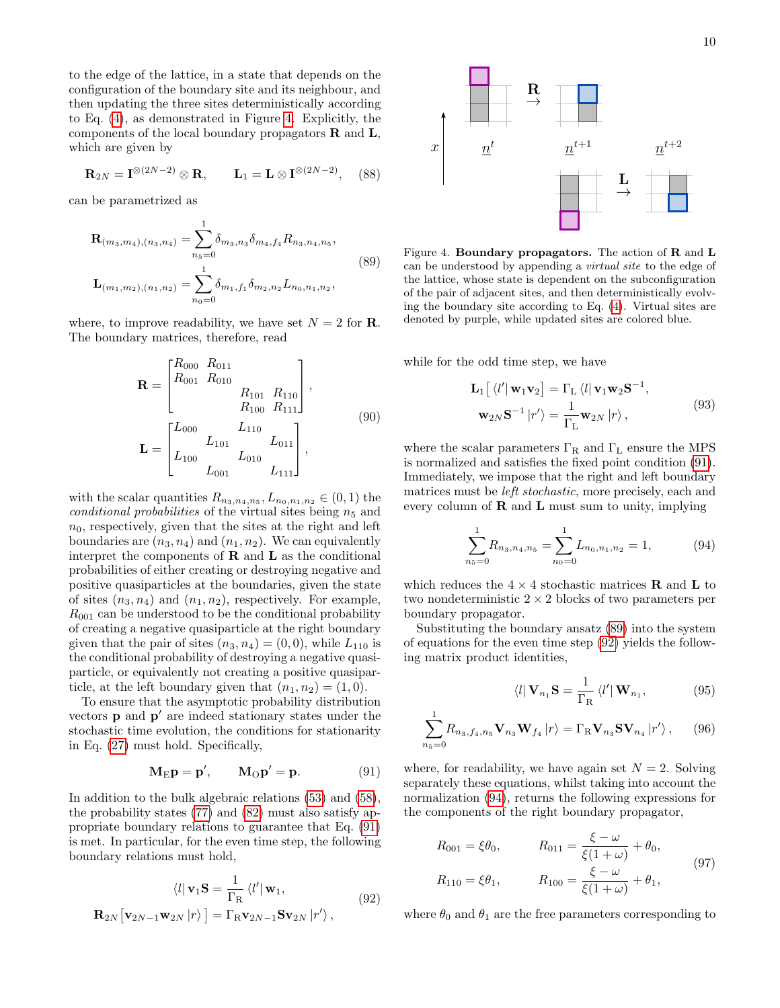to the edge of the lattice, in a state that depends on the configuration of the boundary site and its neighbour, and then updating the three sites deterministically according to Eq. [\(4\)](#page-1-1), as demonstrated in Figure [4.](#page-9-0) Explicitly, the components of the local boundary propagators  $\bf{R}$  and  $\bf{L}$ , which are given by

$$
\mathbf{R}_{2N} = \mathbf{I}^{\otimes (2N-2)} \otimes \mathbf{R}, \qquad \mathbf{L}_1 = \mathbf{L} \otimes \mathbf{I}^{\otimes (2N-2)}, \quad (88)
$$

can be parametrized as

<span id="page-9-2"></span>
$$
\mathbf{R}_{(m_3,m_4),(n_3,n_4)} = \sum_{n_5=0}^{1} \delta_{m_3,n_3} \delta_{m_4,f_4} R_{n_3,n_4,n_5},
$$
\n
$$
\mathbf{L}_{(m_1,m_2),(n_1,n_2)} = \sum_{n_0=0}^{1} \delta_{m_1,f_1} \delta_{m_2,n_2} L_{n_0,n_1,n_2},
$$
\n(89)

where, to improve readability, we have set  $N = 2$  for **R**. The boundary matrices, therefore, read

$$
\mathbf{R} = \begin{bmatrix} R_{000} & R_{011} \\ R_{001} & R_{010} \\ & R_{101} & R_{110} \\ & R_{100} & R_{111} \end{bmatrix},
$$
\n
$$
\mathbf{L} = \begin{bmatrix} L_{000} & L_{110} & L_{011} \\ L_{100} & L_{010} & L_{011} \\ L_{001} & L_{010} & L_{111} \end{bmatrix},
$$
\n(90)

with the scalar quantities  $R_{n_3,n_4,n_5}, L_{n_0,n_1,n_2} \in (0,1)$  the conditional probabilities of the virtual sites being  $n_5$  and  $n_0$ , respectively, given that the sites at the right and left boundaries are  $(n_3, n_4)$  and  $(n_1, n_2)$ . We can equivalently interpret the components of  **and**  $**L**$  **as the conditional** probabilities of either creating or destroying negative and positive quasiparticles at the boundaries, given the state of sites  $(n_3, n_4)$  and  $(n_1, n_2)$ , respectively. For example,  $R_{001}$  can be understood to be the conditional probability of creating a negative quasiparticle at the right boundary given that the pair of sites  $(n_3, n_4) = (0, 0)$ , while  $L_{110}$  is the conditional probability of destroying a negative quasiparticle, or equivalently not creating a positive quasiparticle, at the left boundary given that  $(n_1, n_2) = (1, 0)$ .

To ensure that the asymptotic probability distribution vectors  $\bf{p}$  and  $\bf{p}'$  are indeed stationary states under the stochastic time evolution, the conditions for stationarity in Eq. [\(27\)](#page-4-0) must hold. Specifically,

<span id="page-9-3"></span><span id="page-9-1"></span>
$$
\mathbf{M}_{\mathrm{E}}\mathbf{p} = \mathbf{p}', \qquad \mathbf{M}_{\mathrm{O}}\mathbf{p}' = \mathbf{p}.\tag{91}
$$

In addition to the bulk algebraic relations [\(53\)](#page-6-2) and [\(58\)](#page-6-3), the probability states [\(77\)](#page-8-0) and [\(82\)](#page-8-1) must also satisfy appropriate boundary relations to guarantee that Eq. [\(91\)](#page-9-1) is met. In particular, for the even time step, the following boundary relations must hold,

$$
\langle l | \mathbf{v}_1 \mathbf{S} = \frac{1}{\Gamma_{\rm R}} \langle l' | \mathbf{w}_1, \mathbf{R}_{2N} [\mathbf{v}_{2N-1} \mathbf{w}_{2N} | r \rangle] = \Gamma_{\rm R} \mathbf{v}_{2N-1} \mathbf{S} \mathbf{v}_{2N} | r' \rangle, \qquad (92)
$$



<span id="page-9-0"></span>Figure 4. Boundary propagators. The action of R and L can be understood by appending a virtual site to the edge of the lattice, whose state is dependent on the subconfiguration of the pair of adjacent sites, and then deterministically evolving the boundary site according to Eq. [\(4\)](#page-1-1). Virtual sites are denoted by purple, while updated sites are colored blue.

<span id="page-9-7"></span>while for the odd time step, we have

<span id="page-9-5"></span>
$$
\mathbf{L}_{1}\left[\langle l'|\mathbf{w}_{1}\mathbf{v}_{2}\right] = \Gamma_{\mathbf{L}}\langle l|\mathbf{v}_{1}\mathbf{w}_{2}\mathbf{S}^{-1},\right.\n\mathbf{w}_{2N}\mathbf{S}^{-1}\left|r'\right\rangle = \frac{1}{\Gamma_{\mathbf{L}}}\mathbf{w}_{2N}\left|r\right\rangle,\n\tag{93}
$$

where the scalar parameters  $\Gamma_R$  and  $\Gamma_L$  ensure the MPS is normalized and satisfies the fixed point condition [\(91\)](#page-9-1). Immediately, we impose that the right and left boundary matrices must be left stochastic, more precisely, each and every column of  $\bf{R}$  and  $\bf{L}$  must sum to unity, implying

<span id="page-9-4"></span>
$$
\sum_{n_5=0}^{1} R_{n_3, n_4, n_5} = \sum_{n_0=0}^{1} L_{n_0, n_1, n_2} = 1,
$$
 (94)

which reduces the  $4 \times 4$  stochastic matrices **R** and **L** to two nondeterministic  $2 \times 2$  blocks of two parameters per boundary propagator.

Substituting the boundary ansatz [\(89\)](#page-9-2) into the system of equations for the even time step [\(92\)](#page-9-3) yields the following matrix product identities,

<span id="page-9-9"></span><span id="page-9-8"></span><span id="page-9-6"></span>
$$
\langle l | \mathbf{V}_{n_1} \mathbf{S} = \frac{1}{\Gamma_{\mathbf{R}}} \langle l' | \mathbf{W}_{n_1}, \qquad (95)
$$

$$
\sum_{n_5=0}^{1} R_{n_3,f_4,n_5} \mathbf{V}_{n_3} \mathbf{W}_{f_4} |r\rangle = \Gamma_{\rm R} \mathbf{V}_{n_3} \mathbf{S} \mathbf{V}_{n_4} |r\rangle, \quad (96)
$$

where, for readability, we have again set  $N = 2$ . Solving separately these equations, whilst taking into account the normalization [\(94\)](#page-9-4), returns the following expressions for the components of the right boundary propagator,

$$
R_{001} = \xi \theta_0, \qquad R_{011} = \frac{\xi - \omega}{\xi (1 + \omega)} + \theta_0,
$$
  
\n
$$
R_{110} = \xi \theta_1, \qquad R_{100} = \frac{\xi - \omega}{\xi (1 + \omega)} + \theta_1,
$$
\n(97)

where  $\theta_0$  and  $\theta_1$  are the free parameters corresponding to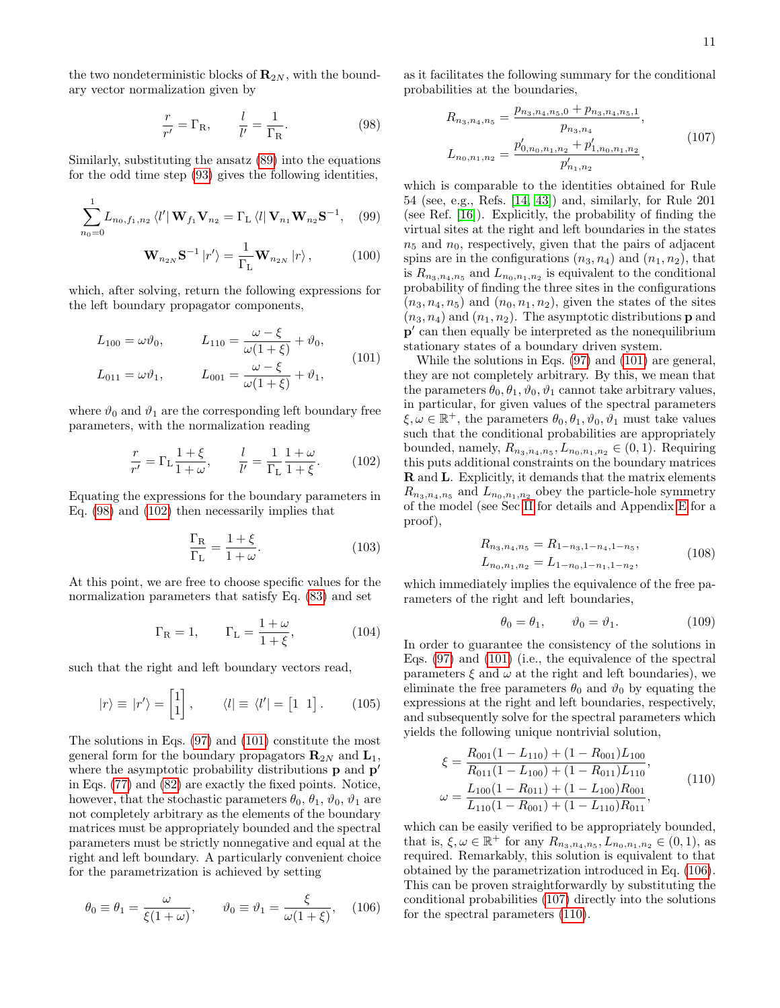the two nondeterministic blocks of  $\mathbf{R}_{2N}$ , with the boundary vector normalization given by

<span id="page-10-0"></span>
$$
\frac{r}{r'} = \Gamma_{\mathcal{R}}, \qquad \frac{l}{l'} = \frac{1}{\Gamma_{\mathcal{R}}}.
$$
 (98)

Similarly, substituting the ansatz [\(89\)](#page-9-2) into the equations for the odd time step [\(93\)](#page-9-5) gives the following identities,

$$
\sum_{n_0=0}^{1} L_{n_0, f_1, n_2} \langle l' | \mathbf{W}_{f_1} \mathbf{V}_{n_2} = \Gamma_{\text{L}} \langle l | \mathbf{V}_{n_1} \mathbf{W}_{n_2} \mathbf{S}^{-1}, \quad (99)
$$

$$
\mathbf{W}_{n_{2N}}\mathbf{S}^{-1} |r'\rangle = \frac{1}{\Gamma_{\mathcal{L}}}\mathbf{W}_{n_{2N}} |r\rangle ,\qquad (100)
$$

which, after solving, return the following expressions for the left boundary propagator components,

$$
L_{100} = \omega \vartheta_0, \qquad L_{110} = \frac{\omega - \xi}{\omega(1 + \xi)} + \vartheta_0,
$$
  

$$
L_{011} = \omega \vartheta_1, \qquad L_{001} = \frac{\omega - \xi}{\omega(1 + \xi)} + \vartheta_1,
$$
 (101)

where  $\vartheta_0$  and  $\vartheta_1$  are the corresponding left boundary free parameters, with the normalization reading

$$
\frac{r}{r'} = \Gamma_L \frac{1+\xi}{1+\omega}, \qquad \frac{l}{l'} = \frac{1}{\Gamma_L} \frac{1+\omega}{1+\xi}.
$$
 (102)

Equating the expressions for the boundary parameters in Eq. [\(98\)](#page-10-0) and [\(102\)](#page-10-1) then necessarily implies that

$$
\frac{\Gamma_{\rm R}}{\Gamma_{\rm L}} = \frac{1+\xi}{1+\omega}.\tag{103}
$$

At this point, we are free to choose specific values for the normalization parameters that satisfy Eq. [\(83\)](#page-8-2) and set

$$
\Gamma_{\rm R} = 1, \qquad \Gamma_{\rm L} = \frac{1+\omega}{1+\xi}, \tag{104}
$$

such that the right and left boundary vectors read,

$$
|r\rangle \equiv |r'\rangle = \begin{bmatrix} 1 \\ 1 \end{bmatrix}, \qquad \langle l| \equiv \langle l'| = \begin{bmatrix} 1 & 1 \end{bmatrix}. \qquad (105)
$$

The solutions in Eqs. [\(97\)](#page-9-6) and [\(101\)](#page-10-2) constitute the most general form for the boundary propagators  $\mathbf{R}_{2N}$  and  $\mathbf{L}_1$ , where the asymptotic probability distributions  $\bf{p}$  and  $\bf{p}'$ in Eqs. [\(77\)](#page-8-0) and [\(82\)](#page-8-1) are exactly the fixed points. Notice, however, that the stochastic parameters  $\theta_0$ ,  $\theta_1$ ,  $\vartheta_0$ ,  $\vartheta_1$  are not completely arbitrary as the elements of the boundary matrices must be appropriately bounded and the spectral parameters must be strictly nonnegative and equal at the right and left boundary. A particularly convenient choice for the parametrization is achieved by setting

$$
\theta_0 \equiv \theta_1 = \frac{\omega}{\xi(1+\omega)}, \qquad \vartheta_0 \equiv \vartheta_1 = \frac{\xi}{\omega(1+\xi)}, \quad (106)
$$

as it facilitates the following summary for the conditional probabilities at the boundaries,

<span id="page-10-4"></span>
$$
R_{n_3, n_4, n_5} = \frac{p_{n_3, n_4, n_5, 0} + p_{n_3, n_4, n_5, 1}}{p_{n_3, n_4}},
$$
  
\n
$$
L_{n_0, n_1, n_2} = \frac{p'_{0, n_0, n_1, n_2} + p'_{1, n_0, n_1, n_2}}{p'_{n_1, n_2}},
$$
\n(107)

<span id="page-10-8"></span><span id="page-10-7"></span>which is comparable to the identities obtained for Rule 54 (see, e.g., Refs. [\[14,](#page-26-3) [43\]](#page-27-9)) and, similarly, for Rule 201 (see Ref. [\[16\]](#page-26-5)). Explicitly, the probability of finding the virtual sites at the right and left boundaries in the states  $n_5$  and  $n_0$ , respectively, given that the pairs of adjacent spins are in the configurations  $(n_3, n_4)$  and  $(n_1, n_2)$ , that is  $R_{n_3,n_4,n_5}$  and  $L_{n_0,n_1,n_2}$  is equivalent to the conditional probability of finding the three sites in the configurations  $(n_3, n_4, n_5)$  and  $(n_0, n_1, n_2)$ , given the states of the sites  $(n_3, n_4)$  and  $(n_1, n_2)$ . The asymptotic distributions **p** and p' can then equally be interpreted as the nonequilibrium stationary states of a boundary driven system.

<span id="page-10-2"></span><span id="page-10-1"></span>While the solutions in Eqs. [\(97\)](#page-9-6) and [\(101\)](#page-10-2) are general, they are not completely arbitrary. By this, we mean that the parameters  $\theta_0$ ,  $\theta_1$ ,  $\vartheta_0$ ,  $\vartheta_1$  cannot take arbitrary values, in particular, for given values of the spectral parameters  $\xi, \omega \in \mathbb{R}^+$ , the parameters  $\theta_0, \theta_1, \vartheta_0, \vartheta_1$  must take values such that the conditional probabilities are appropriately bounded, namely,  $R_{n_3,n_4,n_5}, L_{n_0,n_1,n_2} \in (0,1)$ . Requiring this puts additional constraints on the boundary matrices R and L. Explicitly, it demands that the matrix elements  $R_{n_3,n_4,n_5}$  and  $L_{n_0,n_1,n_2}$  obey the particle-hole symmetry of the model (see Sec [II](#page-1-0) for details and Appendix [E](#page-32-0) for a proof),

<span id="page-10-6"></span>
$$
R_{n_3,n_4,n_5} = R_{1-n_3,1-n_4,1-n_5},
$$
  
\n
$$
L_{n_0,n_1,n_2} = L_{1-n_0,1-n_1,1-n_2},
$$
\n(108)

<span id="page-10-9"></span>which immediately implies the equivalence of the free parameters of the right and left boundaries,

<span id="page-10-5"></span>
$$
\theta_0 = \theta_1, \qquad \vartheta_0 = \vartheta_1. \tag{109}
$$

In order to guarantee the consistency of the solutions in Eqs. [\(97\)](#page-9-6) and [\(101\)](#page-10-2) (i.e., the equivalence of the spectral parameters  $\xi$  and  $\omega$  at the right and left boundaries), we eliminate the free parameters  $\theta_0$  and  $\vartheta_0$  by equating the expressions at the right and left boundaries, respectively, and subsequently solve for the spectral parameters which yields the following unique nontrivial solution,

$$
\xi = \frac{R_{001}(1 - L_{110}) + (1 - R_{001})L_{100}}{R_{011}(1 - L_{100}) + (1 - R_{011})L_{110}},
$$
\n
$$
\omega = \frac{L_{100}(1 - R_{011}) + (1 - L_{100})R_{001}}{L_{110}(1 - R_{001}) + (1 - L_{110})R_{011}},
$$
\n(110)

<span id="page-10-3"></span>which can be easily verified to be appropriately bounded, that is,  $\xi, \omega \in \mathbb{R}^+$  for any  $R_{n_3,n_4,n_5}, L_{n_0,n_1,n_2} \in (0,1)$ , as required. Remarkably, this solution is equivalent to that obtained by the parametrization introduced in Eq. [\(106\)](#page-10-3). This can be proven straightforwardly by substituting the conditional probabilities [\(107\)](#page-10-4) directly into the solutions for the spectral parameters [\(110\)](#page-10-5).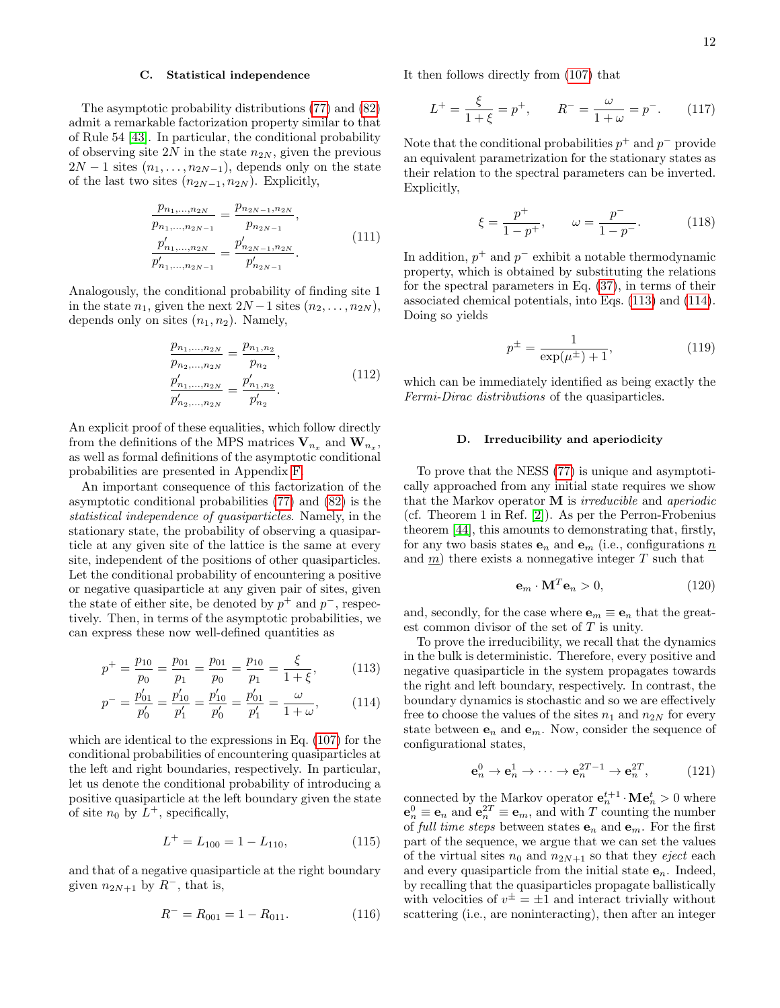## <span id="page-11-4"></span>C. Statistical independence

The asymptotic probability distributions [\(77\)](#page-8-0) and [\(82\)](#page-8-1) admit a remarkable factorization property similar to that of Rule 54 [\[43\]](#page-27-9). In particular, the conditional probability of observing site  $2N$  in the state  $n_{2N}$ , given the previous  $2N-1$  sites  $(n_1, \ldots, n_{2N-1})$ , depends only on the state of the last two sites  $(n_{2N-1}, n_{2N})$ . Explicitly,

$$
\frac{p_{n_1,\ldots,n_{2N}}}{p_{n_1,\ldots,n_{2N-1}}} = \frac{p_{n_{2N-1},n_{2N}}}{p_{n_{2N-1}}},
$$
\n
$$
\frac{p'_{n_1,\ldots,n_{2N}}}{p'_{n_1,\ldots,n_{2N-1}}} = \frac{p'_{n_{2N-1},n_{2N}}}{p'_{n_{2N-1}}}.
$$
\n(111)

Analogously, the conditional probability of finding site 1 in the state  $n_1$ , given the next  $2N-1$  sites  $(n_2, \ldots, n_{2N})$ , depends only on sites  $(n_1, n_2)$ . Namely,

$$
\frac{p_{n_1,\ldots,n_{2N}}}{p_{n_2,\ldots,n_{2N}}} = \frac{p_{n_1,n_2}}{p_{n_2}},
$$
\n
$$
\frac{p'_{n_1,\ldots,n_{2N}}}{p'_{n_2,\ldots,n_{2N}}} = \frac{p'_{n_1,n_2}}{p'_{n_2}}.
$$
\n(112)

An explicit proof of these equalities, which follow directly from the definitions of the MPS matrices  $V_{n_x}$  and  $W_{n_x}$ , as well as formal definitions of the asymptotic conditional probabilities are presented in Appendix [F.](#page-33-0)

An important consequence of this factorization of the asymptotic conditional probabilities [\(77\)](#page-8-0) and [\(82\)](#page-8-1) is the statistical independence of quasiparticles. Namely, in the stationary state, the probability of observing a quasiparticle at any given site of the lattice is the same at every site, independent of the positions of other quasiparticles. Let the conditional probability of encountering a positive or negative quasiparticle at any given pair of sites, given the state of either site, be denoted by  $p^+$  and  $p^-$ , respectively. Then, in terms of the asymptotic probabilities, we can express these now well-defined quantities as

$$
p^{+} = \frac{p_{10}}{p_0} = \frac{p_{01}}{p_1} = \frac{p_{01}}{p_0} = \frac{p_{10}}{p_1} = \frac{\xi}{1 + \xi},
$$
 (113)

$$
p^{-} = \frac{p'_{01}}{p'_0} = \frac{p'_{10}}{p'_1} = \frac{p'_{10}}{p'_0} = \frac{p'_{01}}{p'_1} = \frac{\omega}{1 + \omega},
$$
 (114)

which are identical to the expressions in Eq. [\(107\)](#page-10-4) for the conditional probabilities of encountering quasiparticles at the left and right boundaries, respectively. In particular, let us denote the conditional probability of introducing a positive quasiparticle at the left boundary given the state of site  $n_0$  by  $L^+$ , specifically,

$$
L^{+} = L_{100} = 1 - L_{110}, \qquad (115)
$$

and that of a negative quasiparticle at the right boundary given  $n_{2N+1}$  by  $R^-$ , that is,

$$
R^- = R_{001} = 1 - R_{011}.
$$
 (116)

It then follows directly from [\(107\)](#page-10-4) that

$$
L^{+} = \frac{\xi}{1 + \xi} = p^{+}, \qquad R^{-} = \frac{\omega}{1 + \omega} = p^{-}. \tag{117}
$$

<span id="page-11-5"></span>Note that the conditional probabilities  $p^+$  and  $p^-$  provide an equivalent parametrization for the stationary states as their relation to the spectral parameters can be inverted. Explicitly,

$$
\xi = \frac{p^+}{1 - p^+}, \qquad \omega = \frac{p^-}{1 - p^-}.
$$
 (118)

<span id="page-11-6"></span>In addition,  $p^+$  and  $p^-$  exhibit a notable thermodynamic property, which is obtained by substituting the relations for the spectral parameters in Eq. [\(37\)](#page-4-8), in terms of their associated chemical potentials, into Eqs. [\(113\)](#page-11-0) and [\(114\)](#page-11-1). Doing so yields

$$
p^{\pm} = \frac{1}{\exp(\mu^{\pm}) + 1},\tag{119}
$$

which can be immediately identified as being exactly the Fermi-Dirac distributions of the quasiparticles.

### <span id="page-11-3"></span>D. Irreducibility and aperiodicity

To prove that the NESS [\(77\)](#page-8-0) is unique and asymptotically approached from any initial state requires we show that the Markov operator M is irreducible and aperiodic (cf. Theorem 1 in Ref. [\[2\]](#page-26-1)). As per the Perron-Frobenius theorem [\[44\]](#page-27-10), this amounts to demonstrating that, firstly, for any two basis states  $e_n$  and  $e_m$  (i.e., configurations  $\underline{n}$ ) and  $\underline{m}$ ) there exists a nonnegative integer T such that

$$
\mathbf{e}_m \cdot \mathbf{M}^T \mathbf{e}_n > 0, \tag{120}
$$

and, secondly, for the case where  $\mathbf{e}_m \equiv \mathbf{e}_n$  that the greatest common divisor of the set of T is unity.

<span id="page-11-1"></span><span id="page-11-0"></span>To prove the irreducibility, we recall that the dynamics in the bulk is deterministic. Therefore, every positive and negative quasiparticle in the system propagates towards the right and left boundary, respectively. In contrast, the boundary dynamics is stochastic and so we are effectively free to choose the values of the sites  $n_1$  and  $n_{2N}$  for every state between  $e_n$  and  $e_m$ . Now, consider the sequence of configurational states,

<span id="page-11-2"></span>
$$
\mathbf{e}_n^0 \to \mathbf{e}_n^1 \to \cdots \to \mathbf{e}_n^{2T-1} \to \mathbf{e}_n^{2T},\tag{121}
$$

connected by the Markov operator  $\mathbf{e}_n^{t+1} \cdot \mathbf{M} \mathbf{e}_n^t > 0$  where  $\mathbf{e}_n^0 \equiv \mathbf{e}_n$  and  $\mathbf{e}_n^{2T} \equiv \mathbf{e}_m$ , and with T counting the number of full time steps between states  $e_n$  and  $e_m$ . For the first part of the sequence, we argue that we can set the values of the virtual sites  $n_0$  and  $n_{2N+1}$  so that they *eject* each and every quasiparticle from the initial state  $e_n$ . Indeed, by recalling that the quasiparticles propagate ballistically with velocities of  $v^{\pm} = \pm 1$  and interact trivially without scattering (i.e., are noninteracting), then after an integer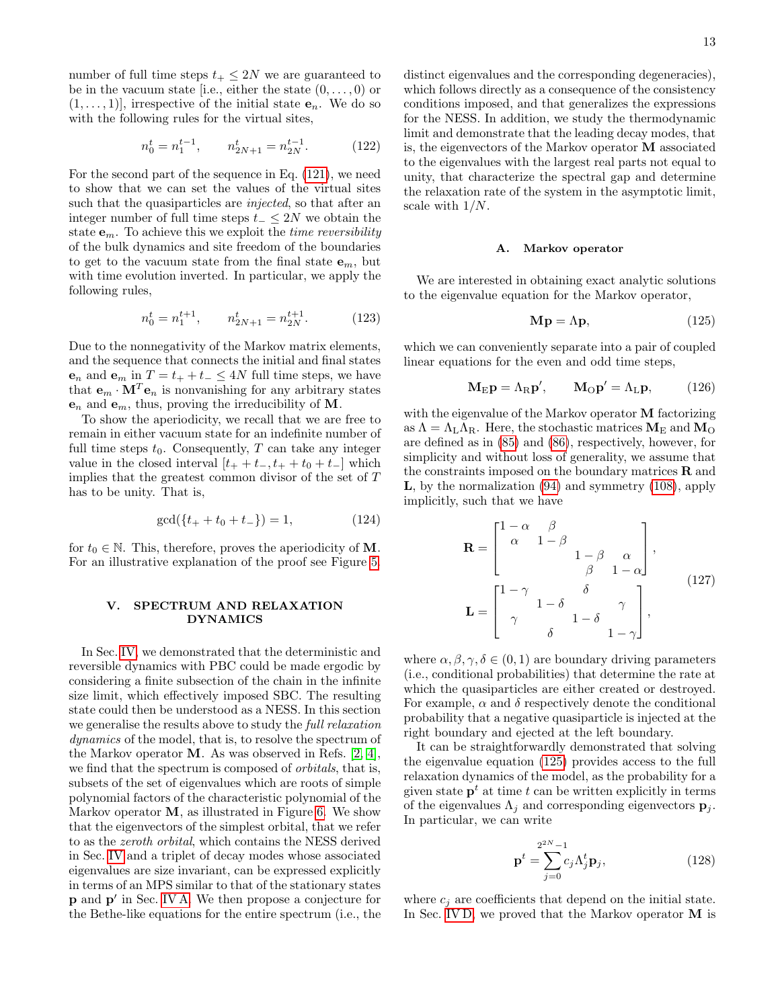number of full time steps  $t_+ \leq 2N$  we are guaranteed to be in the vacuum state [i.e., either the state  $(0, \ldots, 0)$  or  $(1, \ldots, 1)$ , irrespective of the initial state  $e_n$ . We do so with the following rules for the virtual sites,

$$
n_0^t = n_1^{t-1}, \qquad n_{2N+1}^t = n_{2N}^{t-1}.
$$
 (122)

For the second part of the sequence in Eq. [\(121\)](#page-11-2), we need to show that we can set the values of the virtual sites such that the quasiparticles are *injected*, so that after an integer number of full time steps  $t_-\leq 2N$  we obtain the state  $\mathbf{e}_m$ . To achieve this we exploit the *time reversibility* of the bulk dynamics and site freedom of the boundaries to get to the vacuum state from the final state  $e_m$ , but with time evolution inverted. In particular, we apply the following rules,

$$
n_0^t = n_1^{t+1}, \qquad n_{2N+1}^t = n_{2N}^{t+1}.
$$
 (123)

Due to the nonnegativity of the Markov matrix elements, and the sequence that connects the initial and final states  $e_n$  and  $e_m$  in  $T = t_+ + t_- \leq 4N$  full time steps, we have that  $\mathbf{e}_m \cdot \mathbf{M}^T \mathbf{e}_n$  is nonvanishing for any arbitrary states  $e_n$  and  $e_m$ , thus, proving the irreducibility of M.

To show the aperiodicity, we recall that we are free to remain in either vacuum state for an indefinite number of full time steps  $t_0$ . Consequently, T can take any integer value in the closed interval  $[t_{+} + t_{-}, t_{+} + t_{0} + t_{-}]$  which implies that the greatest common divisor of the set of T has to be unity. That is,

$$
\gcd(\{t_+ + t_0 + t_-\}) = 1,\tag{124}
$$

for  $t_0 \in \mathbb{N}$ . This, therefore, proves the aperiodicity of **M**. For an illustrative explanation of the proof see Figure [5.](#page-13-0)

## <span id="page-12-0"></span>V. SPECTRUM AND RELAXATION DYNAMICS

In Sec. [IV,](#page-7-0) we demonstrated that the deterministic and reversible dynamics with PBC could be made ergodic by considering a finite subsection of the chain in the infinite size limit, which effectively imposed SBC. The resulting state could then be understood as a NESS. In this section we generalise the results above to study the full relaxation dynamics of the model, that is, to resolve the spectrum of the Markov operator M. As was observed in Refs. [\[2,](#page-26-1) [4\]](#page-26-18), we find that the spectrum is composed of orbitals, that is, subsets of the set of eigenvalues which are roots of simple polynomial factors of the characteristic polynomial of the Markov operator  $M$ , as illustrated in Figure [6.](#page-14-0) We show that the eigenvectors of the simplest orbital, that we refer to as the zeroth orbital, which contains the NESS derived in Sec. [IV](#page-7-0) and a triplet of decay modes whose associated eigenvalues are size invariant, can be expressed explicitly in terms of an MPS similar to that of the stationary states p and p' in Sec. [IV A.](#page-8-3) We then propose a conjecture for the Bethe-like equations for the entire spectrum (i.e., the

distinct eigenvalues and the corresponding degeneracies), which follows directly as a consequence of the consistency conditions imposed, and that generalizes the expressions for the NESS. In addition, we study the thermodynamic limit and demonstrate that the leading decay modes, that is, the eigenvectors of the Markov operator M associated to the eigenvalues with the largest real parts not equal to unity, that characterize the spectral gap and determine the relaxation rate of the system in the asymptotic limit, scale with 1/N.

#### A. Markov operator

We are interested in obtaining exact analytic solutions to the eigenvalue equation for the Markov operator,

<span id="page-12-2"></span><span id="page-12-1"></span>
$$
\mathbf{Mp} = \Lambda \mathbf{p},\tag{125}
$$

which we can conveniently separate into a pair of coupled linear equations for the even and odd time steps,

$$
\mathbf{M}_{\mathrm{E}}\mathbf{p} = \Lambda_{\mathrm{R}}\mathbf{p}', \qquad \mathbf{M}_{\mathrm{O}}\mathbf{p}' = \Lambda_{\mathrm{L}}\mathbf{p}, \tag{126}
$$

with the eigenvalue of the Markov operator M factorizing as  $\Lambda = \Lambda_{\rm L} \Lambda_{\rm R}$ . Here, the stochastic matrices  $M_{\rm E}$  and  $M_{\rm O}$ are defined as in [\(85\)](#page-8-4) and [\(86\)](#page-8-5), respectively, however, for simplicity and without loss of generality, we assume that the constraints imposed on the boundary matrices  **and** L, by the normalization [\(94\)](#page-9-4) and symmetry [\(108\)](#page-10-6), apply implicitly, such that we have

$$
\mathbf{R} = \begin{bmatrix} 1 - \alpha & \beta \\ \alpha & 1 - \beta & \alpha \\ & & 1 - \beta & \alpha \\ & & & \beta & 1 - \alpha \end{bmatrix},
$$

$$
\mathbf{L} = \begin{bmatrix} 1 - \gamma & \delta & \gamma \\ \gamma & 1 - \delta & \gamma \\ & & \delta & 1 - \gamma \end{bmatrix},
$$
(127)

where  $\alpha, \beta, \gamma, \delta \in (0, 1)$  are boundary driving parameters (i.e., conditional probabilities) that determine the rate at which the quasiparticles are either created or destroyed. For example,  $\alpha$  and  $\delta$  respectively denote the conditional probability that a negative quasiparticle is injected at the right boundary and ejected at the left boundary.

It can be straightforwardly demonstrated that solving the eigenvalue equation [\(125\)](#page-12-1) provides access to the full relaxation dynamics of the model, as the probability for a given state  $p<sup>t</sup>$  at time t can be written explicitly in terms of the eigenvalues  $\Lambda_j$  and corresponding eigenvectors  $\mathbf{p}_j$ . In particular, we can write

$$
\mathbf{p}^t = \sum_{j=0}^{2^{2N}-1} c_j \Lambda_j^t \mathbf{p}_j,
$$
 (128)

where  $c_i$  are coefficients that depend on the initial state. In Sec. [IV D,](#page-11-3) we proved that the Markov operator M is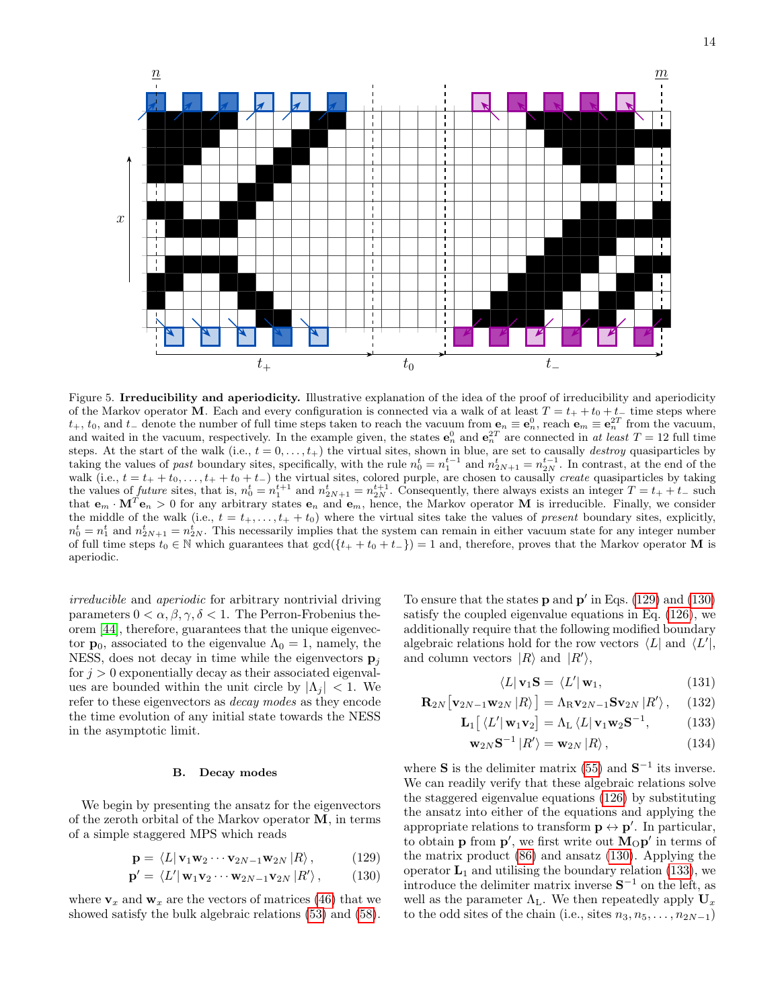

<span id="page-13-0"></span>Figure 5. Irreducibility and aperiodicity. Illustrative explanation of the idea of the proof of irreducibility and aperiodicity of the Markov operator M. Each and every configuration is connected via a walk of at least  $T = t_+ + t_0 + t_-$  time steps where  $t_+, t_0$ , and  $t_-$  denote the number of full time steps taken to reach the vacuum from  $\mathbf{e}_n \equiv \mathbf{e}_n^0$ , reach  $\mathbf{e}_m \equiv \mathbf{e}_n^{2T}$  from the vacuum, and waited in the vacuum, respectively. In the example given, the states  $e_n^0$  and  $e_n^{2T}$  are connected in at least  $T = 12$  full time steps. At the start of the walk (i.e.,  $t = 0, \ldots, t_{+}$ ) the virtual sites, shown in blue, are set to causally *destroy* quasiparticles by taking the values of past boundary sites, specifically, with the rule  $n_0^t = n_1^{t-1}$  and  $n_{2N+1}^t = n_{2N}^{t-1}$ . In contrast, at the end of the walk (i.e.,  $t = t_+ + t_0, \ldots, t_+ + t_0 + t_-$ ) the virtual sites, colored purple, are chosen to causally *create* quasiparticles by taking the values of future sites, that is,  $n_0^t = n_1^{t+1}$  and  $n_{2N+1}^t = n_{2N}^{t+1}$ . Consequently, there always exists an integer  $T = t_+ + t_-$  such that  $\mathbf{e}_m \cdot \mathbf{M}^T \mathbf{e}_n > 0$  for any arbitrary states  $\mathbf{e}_n$  and  $\mathbf{e}_m$ , hence, the Markov operator **M** is irreducible. Finally, we consider the middle of the walk (i.e.,  $t = t_+,\ldots,t_+ + t_0$ ) where the virtual sites take the values of *present* boundary sites, explicitly,  $n_0^t = n_1^t$  and  $n_{2N+1}^t = n_{2N}^t$ . This necessarily implies that the system can remain in either vacuum state for any integer number of full time steps  $t_0 \in \mathbb{N}$  which guarantees that  $gcd({t_+ + t_0 + t_-}) = 1$  and, therefore, proves that the Markov operator M is aperiodic.

irreducible and aperiodic for arbitrary nontrivial driving parameters  $0 < \alpha, \beta, \gamma, \delta < 1$ . The Perron-Frobenius theorem [\[44\]](#page-27-10), therefore, guarantees that the unique eigenvector  $\mathbf{p}_0$ , associated to the eigenvalue  $\Lambda_0 = 1$ , namely, the NESS, does not decay in time while the eigenvectors  $\mathbf{p}_i$ for  $j > 0$  exponentially decay as their associated eigenvalues are bounded within the unit circle by  $|\Lambda_i|$  < 1. We refer to these eigenvectors as decay modes as they encode the time evolution of any initial state towards the NESS in the asymptotic limit.

### B. Decay modes

We begin by presenting the ansatz for the eigenvectors of the zeroth orbital of the Markov operator M, in terms of a simple staggered MPS which reads

$$
\mathbf{p} = \langle L | \mathbf{v}_1 \mathbf{w}_2 \cdots \mathbf{v}_{2N-1} \mathbf{w}_{2N} | R \rangle, \qquad (129)
$$

$$
\mathbf{p}' = \langle L' | \mathbf{w}_1 \mathbf{v}_2 \cdots \mathbf{w}_{2N-1} \mathbf{v}_{2N} | R' \rangle, \qquad (130)
$$

where  $v_x$  and  $w_x$  are the vectors of matrices [\(46\)](#page-5-5) that we showed satisfy the bulk algebraic relations [\(53\)](#page-6-2) and [\(58\)](#page-6-3).

To ensure that the states  $\bf{p}$  and  $\bf{p}'$  in Eqs. [\(129\)](#page-13-1) and [\(130\)](#page-13-2) satisfy the coupled eigenvalue equations in Eq. [\(126\)](#page-12-2), we additionally require that the following modified boundary algebraic relations hold for the row vectors  $\langle L|$  and  $\langle L'|$ , and column vectors  $|R\rangle$  and  $|R'\rangle$ ,

<span id="page-13-6"></span><span id="page-13-5"></span><span id="page-13-4"></span><span id="page-13-3"></span>
$$
\langle L | \mathbf{v}_1 \mathbf{S} = \langle L' | \mathbf{w}_1,\tag{131}
$$

$$
\mathbf{R}_{2N}[\mathbf{v}_{2N-1}\mathbf{w}_{2N} | R\rangle] = \Lambda_{\mathrm{R}}\mathbf{v}_{2N-1}\mathbf{S}\mathbf{v}_{2N} | R\rangle, \quad (132)
$$

$$
\mathbf{L}_1\big[\left\langle L' | \mathbf{w}_1 \mathbf{v}_2\right] = \Lambda_L \left\langle L | \mathbf{v}_1 \mathbf{w}_2 \mathbf{S}^{-1},\right.\tag{133}
$$

$$
\mathbf{w}_{2N}\mathbf{S}^{-1} |R'\rangle = \mathbf{w}_{2N} |R\rangle, \qquad (134)
$$

<span id="page-13-2"></span><span id="page-13-1"></span>where **S** is the delimiter matrix [\(55\)](#page-6-6) and  $S^{-1}$  its inverse. We can readily verify that these algebraic relations solve the staggered eigenvalue equations [\(126\)](#page-12-2) by substituting the ansatz into either of the equations and applying the appropriate relations to transform  $\mathbf{p} \leftrightarrow \mathbf{p}'$ . In particular, to obtain **p** from **p'**, we first write out  $M_{\odot}$ **p'** in terms of the matrix product [\(86\)](#page-8-5) and ansatz [\(130\)](#page-13-2). Applying the operator  $L_1$  and utilising the boundary relation [\(133\)](#page-13-3), we introduce the delimiter matrix inverse  $S^{-1}$  on the left, as well as the parameter  $\Lambda_{\rm L}$ . We then repeatedly apply  $U_x$ to the odd sites of the chain (i.e., sites  $n_3, n_5, \ldots, n_{2N-1}$ )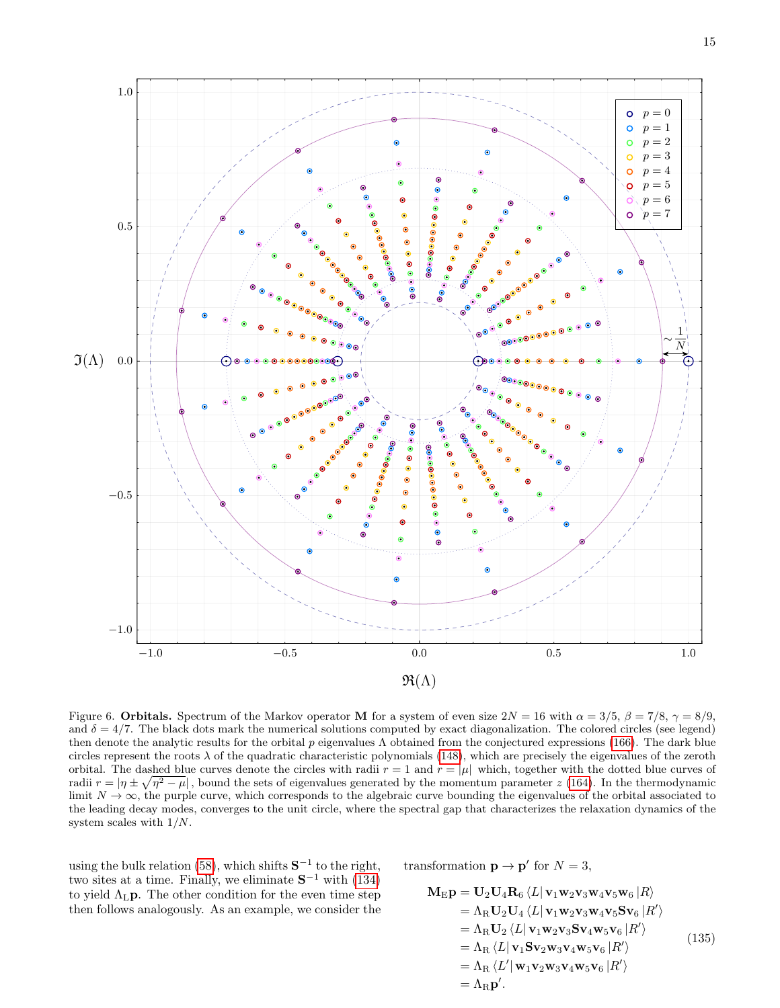

<span id="page-14-0"></span>Figure 6. Orbitals. Spectrum of the Markov operator M for a system of even size  $2N = 16$  with  $\alpha = 3/5$ ,  $\beta = 7/8$ ,  $\gamma = 8/9$ , and  $\delta = 4/7$ . The black dots mark the numerical solutions computed by exact diagonalization. The colored circles (see legend) then denote the analytic results for the orbital  $p$  eigenvalues  $\Lambda$  obtained from the conjectured expressions [\(166\)](#page-16-0). The dark blue circles represent the roots  $\lambda$  of the quadratic characteristic polynomials [\(148\)](#page-15-0), which are precisely the eigenvalues of the zeroth orbital. The dashed blue curves denote the circles with radii  $r = 1$  and  $r = |\mu|$  which, together with the dotted blue curves of radii  $r = |\eta \pm \sqrt{\eta^2 - \mu}|$ , bound the sets of eigenvalues generated by the momentum parameter z [\(164\)](#page-16-1). In the thermodynamic limit  $N \to \infty$ , the purple curve, which corresponds to the algebraic curve bounding the eigenvalues of the orbital associated to the leading decay modes, converges to the unit circle, where the spectral gap that characterizes the relaxation dynamics of the system scales with 1/N.

using the bulk relation [\(58\)](#page-6-3), which shifts  $S^{-1}$  to the right, two sites at a time. Finally, we eliminate  $S^{-1}$  with [\(134\)](#page-13-4) to yield  $\Lambda_{\text{L}}\mathbf{p}$ . The other condition for the even time step then follows analogously. As an example, we consider the transformation  $\mathbf{p} \to \mathbf{p}'$  for  $N = 3$ ,

$$
\mathbf{M}_{\rm E}\mathbf{p} = \mathbf{U}_2 \mathbf{U}_4 \mathbf{R}_6 \langle L | \mathbf{v}_1 \mathbf{w}_2 \mathbf{v}_3 \mathbf{w}_4 \mathbf{v}_5 \mathbf{w}_6 | R \rangle \n= \Lambda_{\rm R} \mathbf{U}_2 \mathbf{U}_4 \langle L | \mathbf{v}_1 \mathbf{w}_2 \mathbf{v}_3 \mathbf{w}_4 \mathbf{v}_5 \mathbf{S} \mathbf{v}_6 | R' \rangle \n= \Lambda_{\rm R} \mathbf{U}_2 \langle L | \mathbf{v}_1 \mathbf{w}_2 \mathbf{v}_3 \mathbf{S} \mathbf{v}_4 \mathbf{w}_5 \mathbf{v}_6 | R' \rangle \n= \Lambda_{\rm R} \langle L | \mathbf{v}_1 \mathbf{S} \mathbf{v}_2 \mathbf{w}_3 \mathbf{v}_4 \mathbf{w}_5 \mathbf{v}_6 | R' \rangle \n= \Lambda_{\rm R} \langle L' | \mathbf{w}_1 \mathbf{v}_2 \mathbf{w}_3 \mathbf{v}_4 \mathbf{w}_5 \mathbf{v}_6 | R' \rangle \n= \Lambda_{\rm R} \mathbf{p'}.
$$
\n(135)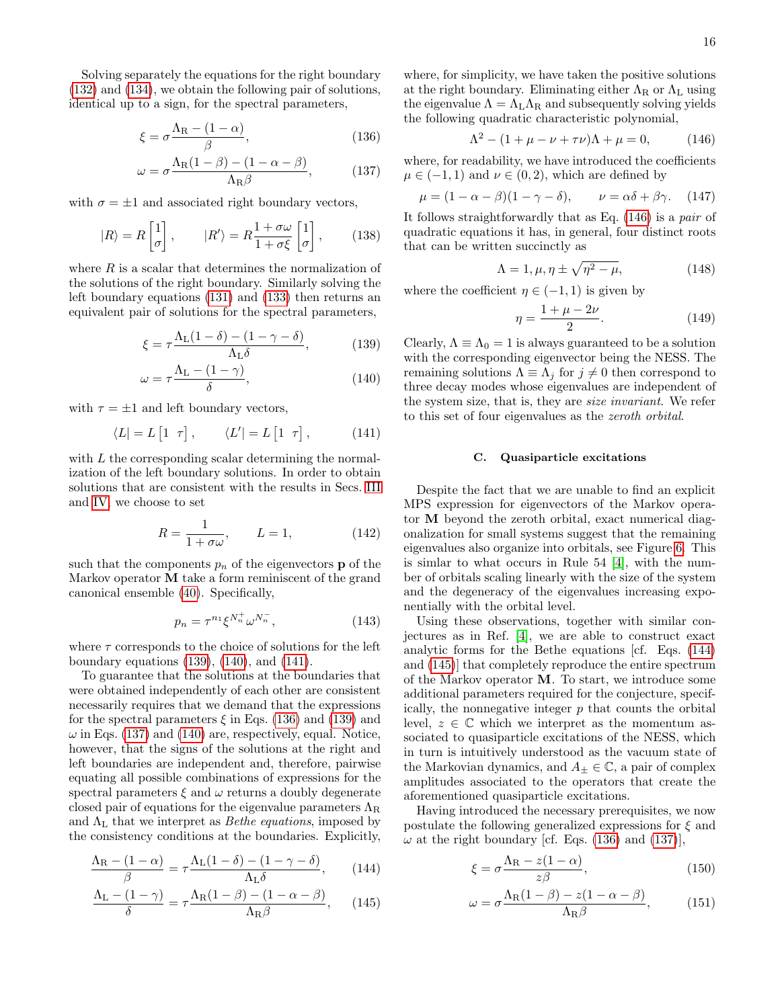Solving separately the equations for the right boundary [\(132\)](#page-13-5) and [\(134\)](#page-13-4), we obtain the following pair of solutions, identical up to a sign, for the spectral parameters,

$$
\xi = \sigma \frac{\Lambda_{\rm R} - (1 - \alpha)}{\beta},\tag{136}
$$

$$
\omega = \sigma \frac{\Lambda_{\rm R}(1-\beta) - (1-\alpha-\beta)}{\Lambda_{\rm R}\beta},\tag{137}
$$

with  $\sigma = \pm 1$  and associated right boundary vectors,

$$
|R\rangle = R \begin{bmatrix} 1 \\ \sigma \end{bmatrix}, \qquad |R'\rangle = R \frac{1 + \sigma \omega}{1 + \sigma \xi} \begin{bmatrix} 1 \\ \sigma \end{bmatrix}, \qquad (138)
$$

where  $R$  is a scalar that determines the normalization of the solutions of the right boundary. Similarly solving the left boundary equations [\(131\)](#page-13-6) and [\(133\)](#page-13-3) then returns an equivalent pair of solutions for the spectral parameters,

$$
\xi = \tau \frac{\Lambda_{\rm L}(1 - \delta) - (1 - \gamma - \delta)}{\Lambda_{\rm L}\delta},\tag{139}
$$

$$
\omega = \tau \frac{\Lambda_{\rm L} - (1 - \gamma)}{\delta},\tag{140}
$$

with  $\tau = \pm 1$  and left boundary vectors,

$$
\langle L| = L \begin{bmatrix} 1 & \tau \end{bmatrix}, \qquad \langle L'| = L \begin{bmatrix} 1 & \tau \end{bmatrix}, \tag{141}
$$

with L the corresponding scalar determining the normalization of the left boundary solutions. In order to obtain solutions that are consistent with the results in Secs. [III](#page-3-0) and [IV,](#page-7-0) we choose to set

$$
R = \frac{1}{1 + \sigma \omega}, \qquad L = 1,\tag{142}
$$

such that the components  $p_n$  of the eigenvectors **p** of the Markov operator M take a form reminiscent of the grand canonical ensemble [\(40\)](#page-5-3). Specifically,

$$
p_n = \tau^{n_1} \xi^{N_n^+} \omega^{N_n^-}, \tag{143}
$$

where  $\tau$  corresponds to the choice of solutions for the left boundary equations [\(139\)](#page-15-1), [\(140\)](#page-15-2), and [\(141\)](#page-15-3).

To guarantee that the solutions at the boundaries that were obtained independently of each other are consistent necessarily requires that we demand that the expressions for the spectral parameters  $\xi$  in Eqs. [\(136\)](#page-15-4) and [\(139\)](#page-15-1) and  $\omega$  in Eqs. [\(137\)](#page-15-5) and [\(140\)](#page-15-2) are, respectively, equal. Notice, however, that the signs of the solutions at the right and left boundaries are independent and, therefore, pairwise equating all possible combinations of expressions for the spectral parameters  $\xi$  and  $\omega$  returns a doubly degenerate closed pair of equations for the eigenvalue parameters  $\Lambda_R$ and  $\Lambda_L$  that we interpret as *Bethe equations*, imposed by the consistency conditions at the boundaries. Explicitly,

$$
\frac{\Lambda_{\rm R} - (1 - \alpha)}{\beta} = \tau \frac{\Lambda_{\rm L} (1 - \delta) - (1 - \gamma - \delta)}{\Lambda_{\rm L} \delta}, \qquad (144)
$$

$$
\frac{\Lambda_{\rm L} - (1 - \gamma)}{\delta} = \tau \frac{\Lambda_{\rm R} (1 - \beta) - (1 - \alpha - \beta)}{\Lambda_{\rm R} \beta}, \qquad (145)
$$

where, for simplicity, we have taken the positive solutions at the right boundary. Eliminating either  $\Lambda_R$  or  $\Lambda_L$  using the eigenvalue  $\Lambda = \Lambda_{\rm L} \Lambda_{\rm R}$  and subsequently solving yields the following quadratic characteristic polynomial,

<span id="page-15-6"></span>
$$
\Lambda^2 - (1 + \mu - \nu + \tau \nu)\Lambda + \mu = 0,\tag{146}
$$

<span id="page-15-5"></span><span id="page-15-4"></span>where, for readability, we have introduced the coefficients  $\mu \in (-1, 1)$  and  $\nu \in (0, 2)$ , which are defined by

$$
\mu = (1 - \alpha - \beta)(1 - \gamma - \delta), \qquad \nu = \alpha\delta + \beta\gamma. \tag{147}
$$

It follows straightforwardly that as Eq. [\(146\)](#page-15-6) is a pair of quadratic equations it has, in general, four distinct roots that can be written succinctly as

<span id="page-15-0"></span>
$$
\Lambda = 1, \mu, \eta \pm \sqrt{\eta^2 - \mu}, \tag{148}
$$

where the coefficient  $\eta \in (-1,1)$  is given by

$$
\eta = \frac{1 + \mu - 2\nu}{2}.
$$
\n(149)

<span id="page-15-3"></span><span id="page-15-2"></span><span id="page-15-1"></span>Clearly,  $\Lambda \equiv \Lambda_0 = 1$  is always guaranteed to be a solution with the corresponding eigenvector being the NESS. The remaining solutions  $\Lambda \equiv \Lambda_i$  for  $j \neq 0$  then correspond to three decay modes whose eigenvalues are independent of the system size, that is, they are size invariant. We refer to this set of four eigenvalues as the zeroth orbital.

### C. Quasiparticle excitations

Despite the fact that we are unable to find an explicit MPS expression for eigenvectors of the Markov operator M beyond the zeroth orbital, exact numerical diagonalization for small systems suggest that the remaining eigenvalues also organize into orbitals, see Figure [6.](#page-14-0) This is simlar to what occurs in Rule 54 [\[4\]](#page-26-18), with the number of orbitals scaling linearly with the size of the system and the degeneracy of the eigenvalues increasing exponentially with the orbital level.

Using these observations, together with similar conjectures as in Ref. [\[4\]](#page-26-18), we are able to construct exact analytic forms for the Bethe equations [cf. Eqs. [\(144\)](#page-15-7) and [\(145\)](#page-15-8)] that completely reproduce the entire spectrum of the Markov operator M. To start, we introduce some additional parameters required for the conjecture, specifically, the nonnegative integer  $p$  that counts the orbital level,  $z \in \mathbb{C}$  which we interpret as the momentum associated to quasiparticle excitations of the NESS, which in turn is intuitively understood as the vacuum state of the Markovian dynamics, and  $A_{\pm} \in \mathbb{C}$ , a pair of complex amplitudes associated to the operators that create the aforementioned quasiparticle excitations.

<span id="page-15-8"></span><span id="page-15-7"></span>Having introduced the necessary prerequisites, we now postulate the following generalized expressions for  $\xi$  and  $\omega$  at the right boundary [cf. Eqs. [\(136\)](#page-15-4) and [\(137\)](#page-15-5)],

$$
\xi = \sigma \frac{\Lambda_{\rm R} - z(1 - \alpha)}{z\beta},\tag{150}
$$

$$
\omega = \sigma \frac{\Lambda_{\rm R}(1-\beta) - z(1-\alpha-\beta)}{\Lambda_{\rm R}\beta},\qquad(151)
$$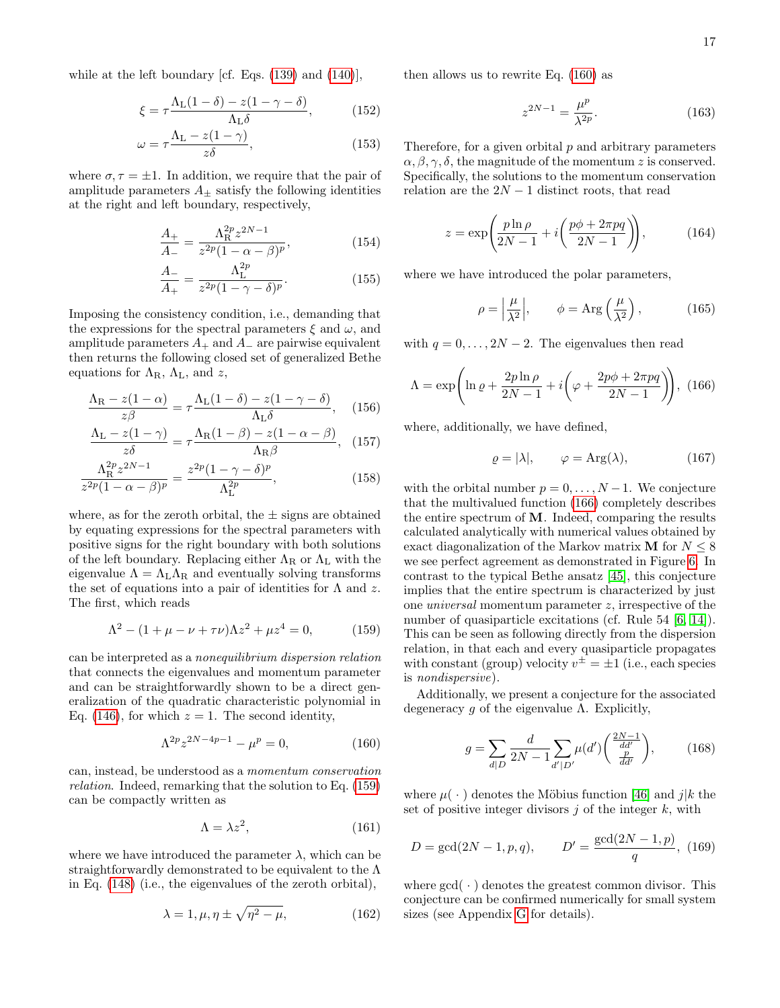while at the left boundary [cf. Eqs. [\(139\)](#page-15-1) and [\(140\)](#page-15-2)],

$$
\xi = \tau \frac{\Lambda_L (1 - \delta) - z (1 - \gamma - \delta)}{\Lambda_L \delta},\tag{152}
$$

$$
\omega = \tau \frac{\Lambda_{\rm L} - z(1 - \gamma)}{z \delta},\tag{153}
$$

where  $\sigma, \tau = \pm 1$ . In addition, we require that the pair of amplitude parameters  $A_{\pm}$  satisfy the following identities at the right and left boundary, respectively,

$$
\frac{A_{+}}{A_{-}} = \frac{\Lambda_{\rm R}^{2p} z^{2N-1}}{z^{2p} (1 - \alpha - \beta)^{p}},
$$
\n(154)

$$
\frac{A_{-}}{A_{+}} = \frac{\Lambda_{\rm L}^{2p}}{z^{2p}(1 - \gamma - \delta)^{p}}.
$$
\n(155)

Imposing the consistency condition, i.e., demanding that the expressions for the spectral parameters  $\xi$  and  $\omega$ , and amplitude parameters  $A_+$  and  $A_-$  are pairwise equivalent then returns the following closed set of generalized Bethe equations for  $\Lambda_{\rm R}$ ,  $\Lambda_{\rm L}$ , and z,

$$
\frac{\Lambda_{\rm R} - z(1 - \alpha)}{z\beta} = \tau \frac{\Lambda_{\rm L}(1 - \delta) - z(1 - \gamma - \delta)}{\Lambda_{\rm L}\delta}, \quad (156)
$$

$$
\frac{\Lambda_{\rm L} - z(1-\gamma)}{z\delta} = \tau \frac{\Lambda_{\rm R}(1-\beta) - z(1-\alpha-\beta)}{\Lambda_{\rm R}\beta}, \quad (157)
$$

$$
\frac{\Lambda_{\rm R}^{2p} z^{2N-1}}{z^{2p} (1 - \alpha - \beta)^p} = \frac{z^{2p} (1 - \gamma - \delta)^p}{\Lambda_{\rm L}^{2p}},\tag{158}
$$

where, as for the zeroth orbital, the  $\pm$  signs are obtained by equating expressions for the spectral parameters with positive signs for the right boundary with both solutions of the left boundary. Replacing either  $\Lambda_R$  or  $\Lambda_L$  with the eigenvalue  $\Lambda = \Lambda_{\rm L} \Lambda_{\rm R}$  and eventually solving transforms the set of equations into a pair of identities for  $\Lambda$  and z. The first, which reads

<span id="page-16-2"></span>
$$
\Lambda^2 - (1 + \mu - \nu + \tau \nu) \Lambda z^2 + \mu z^4 = 0,\tag{159}
$$

can be interpreted as a nonequilibrium dispersion relation that connects the eigenvalues and momentum parameter and can be straightforwardly shown to be a direct generalization of the quadratic characteristic polynomial in Eq. [\(146\)](#page-15-6), for which  $z = 1$ . The second identity,

$$
\Lambda^{2p} z^{2N-4p-1} - \mu^p = 0,\t\t(160)
$$

can, instead, be understood as a momentum conservation relation. Indeed, remarking that the solution to Eq. [\(159\)](#page-16-2) can be compactly written as

<span id="page-16-4"></span>
$$
\Lambda = \lambda z^2, \tag{161}
$$

where we have introduced the parameter  $\lambda$ , which can be straightforwardly demonstrated to be equivalent to the Λ in Eq. [\(148\)](#page-15-0) (i.e., the eigenvalues of the zeroth orbital),

$$
\lambda = 1, \mu, \eta \pm \sqrt{\eta^2 - \mu}, \tag{162}
$$

then allows us to rewrite Eq. [\(160\)](#page-16-3) as

<span id="page-16-1"></span>
$$
z^{2N-1} = \frac{\mu^p}{\lambda^{2p}}.\tag{163}
$$

Therefore, for a given orbital  $p$  and arbitrary parameters  $\alpha, \beta, \gamma, \delta$ , the magnitude of the momentum z is conserved. Specifically, the solutions to the momentum conservation relation are the  $2N-1$  distinct roots, that read

$$
z = \exp\left(\frac{p\ln\rho}{2N-1} + i\left(\frac{p\phi + 2\pi pq}{2N-1}\right)\right),\tag{164}
$$

where we have introduced the polar parameters,

<span id="page-16-0"></span>
$$
\rho = \left| \frac{\mu}{\lambda^2} \right|, \qquad \phi = \text{Arg}\left(\frac{\mu}{\lambda^2}\right), \tag{165}
$$

with  $q = 0, \ldots, 2N - 2$ . The eigenvalues then read

$$
\Lambda = \exp\left(\ln \varrho + \frac{2p \ln \rho}{2N - 1} + i\left(\varphi + \frac{2p\phi + 2\pi pq}{2N - 1}\right)\right), (166)
$$

where, additionally, we have defined,

$$
\varrho = |\lambda|, \qquad \varphi = \text{Arg}(\lambda), \tag{167}
$$

with the orbital number  $p = 0, \ldots, N-1$ . We conjecture that the multivalued function [\(166\)](#page-16-0) completely describes the entire spectrum of M. Indeed, comparing the results calculated analytically with numerical values obtained by exact diagonalization of the Markov matrix **M** for  $N \leq 8$ we see perfect agreement as demonstrated in Figure [6.](#page-14-0) In contrast to the typical Bethe ansatz [\[45\]](#page-27-11), this conjecture implies that the entire spectrum is characterized by just one universal momentum parameter z, irrespective of the number of quasiparticle excitations (cf. Rule 54 [\[6,](#page-26-19) [14\]](#page-26-3)). This can be seen as following directly from the dispersion relation, in that each and every quasiparticle propagates with constant (group) velocity  $v^{\pm} = \pm 1$  (i.e., each species is nondispersive).

<span id="page-16-3"></span>Additionally, we present a conjecture for the associated degeneracy q of the eigenvalue  $\Lambda$ . Explicitly,

<span id="page-16-5"></span>
$$
g = \sum_{d|D} \frac{d}{2N - 1} \sum_{d'|D'} \mu(d') \left( \frac{\frac{2N - 1}{dd'}}{\frac{p}{dd'}} \right), \tag{168}
$$

where  $\mu(\cdot)$  denotes the Möbius function [\[46\]](#page-27-12) and j|k the set of positive integer divisors  $j$  of the integer k, with

$$
D = \gcd(2N - 1, p, q), \qquad D' = \frac{\gcd(2N - 1, p)}{q}, \ (169)
$$

where  $gcd(\cdot)$  denotes the greatest common divisor. This conjecture can be confirmed numerically for small system sizes (see Appendix [G](#page-34-0) for details).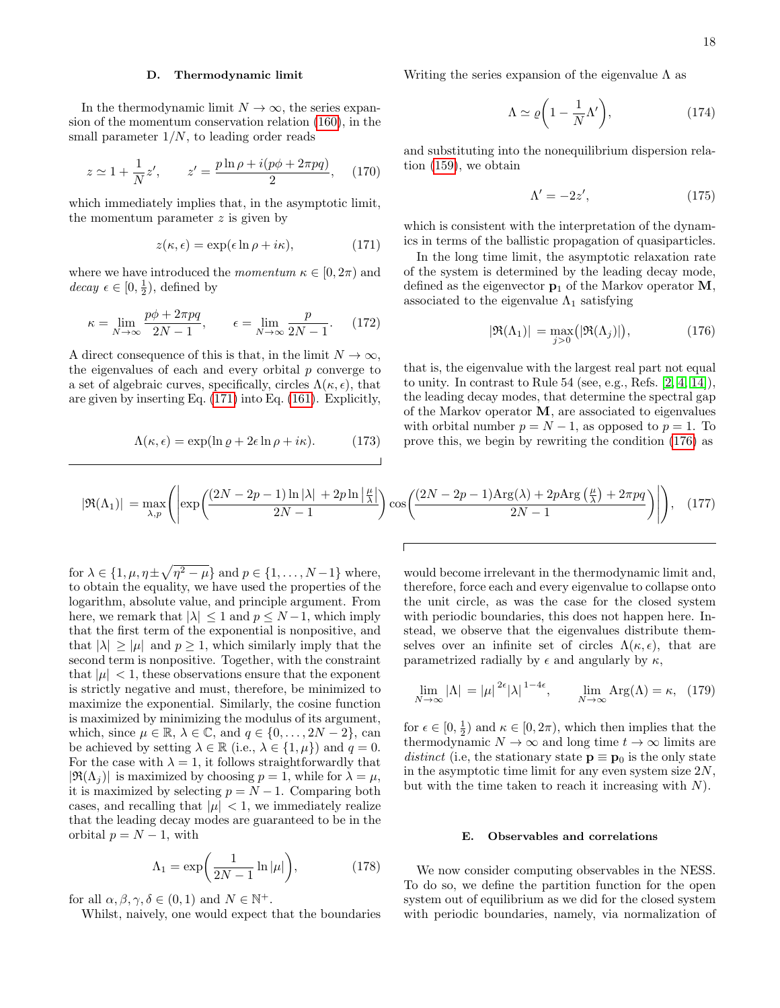### D. Thermodynamic limit

In the thermodynamic limit  $N \to \infty$ , the series expansion of the momentum conservation relation [\(160\)](#page-16-3), in the small parameter  $1/N$ , to leading order reads

$$
z \simeq 1 + \frac{1}{N}z', \qquad z' = \frac{p \ln \rho + i(p\phi + 2\pi pq)}{2},
$$
 (170)

which immediately implies that, in the asymptotic limit, the momentum parameter  $z$  is given by

$$
z(\kappa, \epsilon) = \exp(\epsilon \ln \rho + i\kappa), \tag{171}
$$

where we have introduced the momentum  $\kappa \in [0, 2\pi)$  and  $decay \epsilon \in [0, \frac{1}{2}),$  defined by

$$
\kappa = \lim_{N \to \infty} \frac{p\phi + 2\pi pq}{2N - 1}, \qquad \epsilon = \lim_{N \to \infty} \frac{p}{2N - 1}.
$$
 (172)

A direct consequence of this is that, in the limit  $N \to \infty$ , the eigenvalues of each and every orbital  $p$  converge to a set of algebraic curves, specifically, circles  $\Lambda(\kappa, \epsilon)$ , that are given by inserting Eq. [\(171\)](#page-17-0) into Eq. [\(161\)](#page-16-4). Explicitly,

$$
\Lambda(\kappa, \epsilon) = \exp(\ln \varrho + 2\epsilon \ln \rho + i\kappa). \tag{173}
$$

Writing the series expansion of the eigenvalue  $\Lambda$  as

$$
\Lambda \simeq \varrho \bigg( 1 - \frac{1}{N} \Lambda' \bigg),\tag{174}
$$

and substituting into the nonequilibrium dispersion relation [\(159\)](#page-16-2), we obtain

<span id="page-17-1"></span>
$$
\Lambda' = -2z',\tag{175}
$$

<span id="page-17-0"></span>which is consistent with the interpretation of the dynamics in terms of the ballistic propagation of quasiparticles.

In the long time limit, the asymptotic relaxation rate of the system is determined by the leading decay mode, defined as the eigenvector  $p_1$  of the Markov operator  $M$ , associated to the eigenvalue  $\Lambda_1$  satisfying

$$
|\Re(\Lambda_1)| = \max_{j>0} (|\Re(\Lambda_j)|), \qquad (176)
$$

that is, the eigenvalue with the largest real part not equal to unity. In contrast to Rule 54 (see, e.g., Refs. [\[2,](#page-26-1) [4,](#page-26-18) [14\]](#page-26-3)), the leading decay modes, that determine the spectral gap of the Markov operator M, are associated to eigenvalues with orbital number  $p = N - 1$ , as opposed to  $p = 1$ . To prove this, we begin by rewriting the condition [\(176\)](#page-17-1) as

$$
|\Re(\Lambda_1)| = \max_{\lambda, p} \left( \left| \exp\left( \frac{(2N - 2p - 1)\ln|\lambda| + 2p\ln\left|\frac{\mu}{\lambda}\right|}{2N - 1} \right) \cos\left( \frac{(2N - 2p - 1)\text{Arg}(\lambda) + 2p\text{Arg}\left(\frac{\mu}{\lambda}\right) + 2\pi pq}{2N - 1} \right) \right| \right), \quad (177)
$$

for  $\lambda \in \{1, \mu, \eta \pm \sqrt{\eta^2 - \mu}\}\$  and  $p \in \{1, \dots, N-1\}$  where, to obtain the equality, we have used the properties of the logarithm, absolute value, and principle argument. From here, we remark that  $|\lambda| \leq 1$  and  $p \leq N-1$ , which imply that the first term of the exponential is nonpositive, and that  $|\lambda| \geq |\mu|$  and  $p \geq 1$ , which similarly imply that the second term is nonpositive. Together, with the constraint that  $|\mu| < 1$ , these observations ensure that the exponent is strictly negative and must, therefore, be minimized to maximize the exponential. Similarly, the cosine function is maximized by minimizing the modulus of its argument, which, since  $\mu \in \mathbb{R}$ ,  $\lambda \in \mathbb{C}$ , and  $q \in \{0, \ldots, 2N - 2\}$ , can be achieved by setting  $\lambda \in \mathbb{R}$  (i.e.,  $\lambda \in \{1, \mu\}$ ) and  $q = 0$ . For the case with  $\lambda = 1$ , it follows straightforwardly that  $|\mathfrak{R}(\Lambda_i)|$  is maximized by choosing  $p = 1$ , while for  $\lambda = \mu$ , it is maximized by selecting  $p = N - 1$ . Comparing both cases, and recalling that  $|\mu| < 1$ , we immediately realize that the leading decay modes are guaranteed to be in the orbital  $p = N - 1$ , with

$$
\Lambda_1 = \exp\bigg(\frac{1}{2N-1}\ln|\mu|\bigg),\tag{178}
$$

for all  $\alpha, \beta, \gamma, \delta \in (0, 1)$  and  $N \in \mathbb{N}^+$ .

Whilst, naively, one would expect that the boundaries

would become irrelevant in the thermodynamic limit and, therefore, force each and every eigenvalue to collapse onto the unit circle, as was the case for the closed system with periodic boundaries, this does not happen here. Instead, we observe that the eigenvalues distribute themselves over an infinite set of circles  $\Lambda(\kappa, \epsilon)$ , that are parametrized radially by  $\epsilon$  and angularly by  $\kappa$ ,

$$
\lim_{N \to \infty} |\Lambda| = |\mu|^{2\epsilon} |\lambda|^{1-4\epsilon}, \qquad \lim_{N \to \infty} \text{Arg}(\Lambda) = \kappa, \tag{179}
$$

for  $\epsilon \in [0, \frac{1}{2})$  and  $\kappa \in [0, 2\pi)$ , which then implies that the thermodynamic  $N \to \infty$  and long time  $t \to \infty$  limits are distinct (i.e, the stationary state  $\mathbf{p} \equiv \mathbf{p}_0$  is the only state in the asymptotic time limit for any even system size  $2N$ , but with the time taken to reach it increasing with  $N$ ).

### E. Observables and correlations

We now consider computing observables in the NESS. To do so, we define the partition function for the open system out of equilibrium as we did for the closed system with periodic boundaries, namely, via normalization of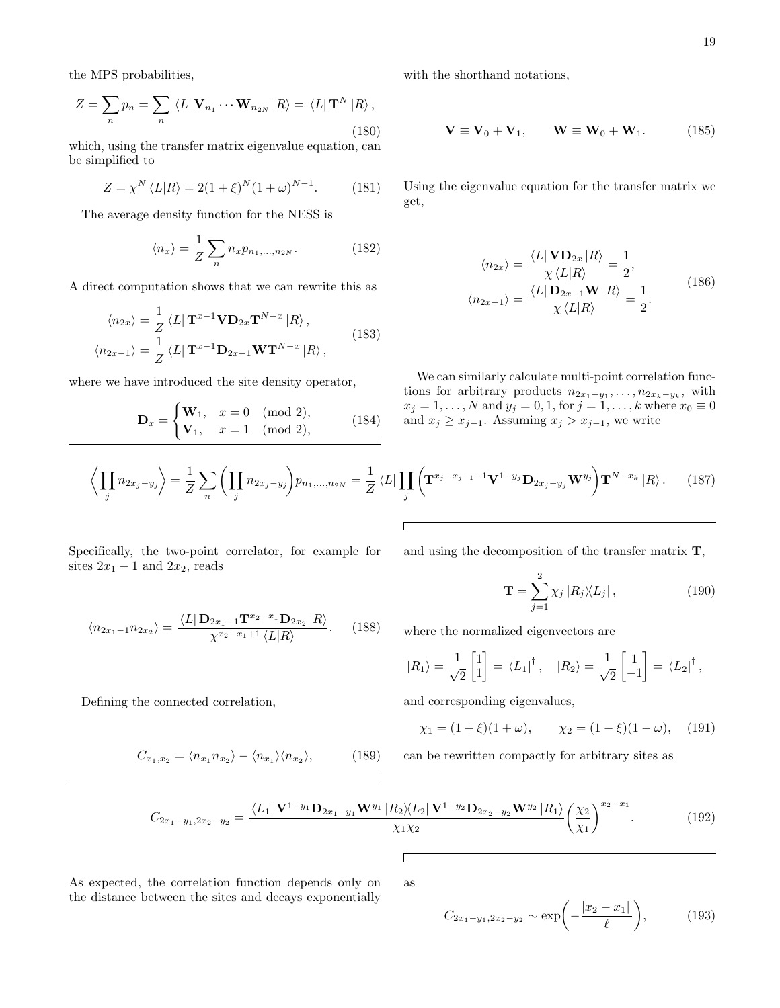the MPS probabilities,

$$
Z = \sum_{n} p_n = \sum_{n} \langle L | \mathbf{V}_{n_1} \cdots \mathbf{W}_{n_{2N}} | R \rangle = \langle L | \mathbf{T}^N | R \rangle,
$$
\n(180)

which, using the transfer matrix eigenvalue equation, can be simplified to

$$
Z = \chi^N \langle L|R \rangle = 2(1+\xi)^N (1+\omega)^{N-1}.
$$
 (181)

The average density function for the NESS is

$$
\langle n_x \rangle = \frac{1}{Z} \sum_{n} n_x p_{n_1, \dots, n_{2N}}.
$$
 (182)

A direct computation shows that we can rewrite this as

$$
\langle n_{2x} \rangle = \frac{1}{Z} \langle L | \mathbf{T}^{x-1} \mathbf{V} \mathbf{D}_{2x} \mathbf{T}^{N-x} | R \rangle ,
$$
  

$$
\langle n_{2x-1} \rangle = \frac{1}{Z} \langle L | \mathbf{T}^{x-1} \mathbf{D}_{2x-1} \mathbf{W} \mathbf{T}^{N-x} | R \rangle ,
$$
 (183)

where we have introduced the site density operator,

$$
\mathbf{D}_x = \begin{cases} \mathbf{W}_1, & x = 0 \pmod{2}, \\ \mathbf{V}_1, & x = 1 \pmod{2}, \end{cases}
$$
 (184)

with the shorthand notations,

$$
\mathbf{V} \equiv \mathbf{V}_0 + \mathbf{V}_1, \qquad \mathbf{W} \equiv \mathbf{W}_0 + \mathbf{W}_1. \tag{185}
$$

Using the eigenvalue equation for the transfer matrix we get,

$$
\langle n_{2x} \rangle = \frac{\langle L | \mathbf{VD}_{2x} | R \rangle}{\chi \langle L | R \rangle} = \frac{1}{2},
$$
  

$$
\langle n_{2x-1} \rangle = \frac{\langle L | \mathbf{D}_{2x-1} \mathbf{W} | R \rangle}{\chi \langle L | R \rangle} = \frac{1}{2}.
$$
 (186)

We can similarly calculate multi-point correlation functions for arbitrary products  $n_{2x_1-y_1}, \ldots, n_{2x_k-y_k}$ , with  $x_j = 1, ..., N$  and  $y_j = 0, 1$ , for  $j = 1, ..., k$  where  $x_0 \equiv 0$ and  $x_j \geq x_{j-1}$ . Assuming  $x_j > x_{j-1}$ , we write

$$
\left\langle \prod_j n_{2x_j-y_j} \right\rangle = \frac{1}{Z} \sum_n \left( \prod_j n_{2x_j-y_j} \right) p_{n_1,\dots,n_{2N}} = \frac{1}{Z} \left\langle L \right| \prod_j \left( \mathbf{T}^{x_j-x_{j-1}-1} \mathbf{V}^{1-y_j} \mathbf{D}_{2x_j-y_j} \mathbf{W}^{y_j} \right) \mathbf{T}^{N-x_k} \left| R \right\rangle. \tag{187}
$$

Specifically, the two-point correlator, for example for sites  $2x_1 - 1$  and  $2x_2$ , reads

$$
\langle n_{2x_1-1} n_{2x_2} \rangle = \frac{\langle L | \mathbf{D}_{2x_1-1} \mathbf{T}^{x_2-x_1} \mathbf{D}_{2x_2} | R \rangle}{\chi^{x_2-x_1+1} \langle L | R \rangle}.
$$
 (188)

Defining the connected correlation,

$$
C_{x_1,x_2} = \langle n_{x_1} n_{x_2} \rangle - \langle n_{x_1} \rangle \langle n_{x_2} \rangle, \tag{189}
$$

and using the decomposition of the transfer matrix T,

$$
\mathbf{T} = \sum_{j=1}^{2} \chi_j |R_j\rangle\langle L_j| \,,\tag{190}
$$

where the normalized eigenvectors are

$$
|R_1\rangle = \frac{1}{\sqrt{2}} \begin{bmatrix} 1 \\ 1 \end{bmatrix} = \langle L_1 |^{\dagger}, \quad |R_2\rangle = \frac{1}{\sqrt{2}} \begin{bmatrix} 1 \\ -1 \end{bmatrix} = \langle L_2 |^{\dagger},
$$

and corresponding eigenvalues,

$$
\chi_1 = (1 + \xi)(1 + \omega), \qquad \chi_2 = (1 - \xi)(1 - \omega), \quad (191)
$$

can be rewritten compactly for arbitrary sites as

$$
C_{2x_1-y_1,2x_2-y_2} = \frac{\langle L_1 | \mathbf{V}^{1-y_1} \mathbf{D}_{2x_1-y_1} \mathbf{W}^{y_1} | R_2 \rangle \langle L_2 | \mathbf{V}^{1-y_2} \mathbf{D}_{2x_2-y_2} \mathbf{W}^{y_2} | R_1 \rangle}{\chi_1 \chi_2} \left(\frac{\chi_2}{\chi_1}\right)^{x_2-x_1}.
$$
 (192)

As expected, the correlation function depends only on the distance between the sites and decays exponentially  $\sqrt{2}$ as

$$
C_{2x_1-y_1,2x_2-y_2} \sim \exp\biggl(-\frac{|x_2-x_1|}{\ell}\biggr),\tag{193}
$$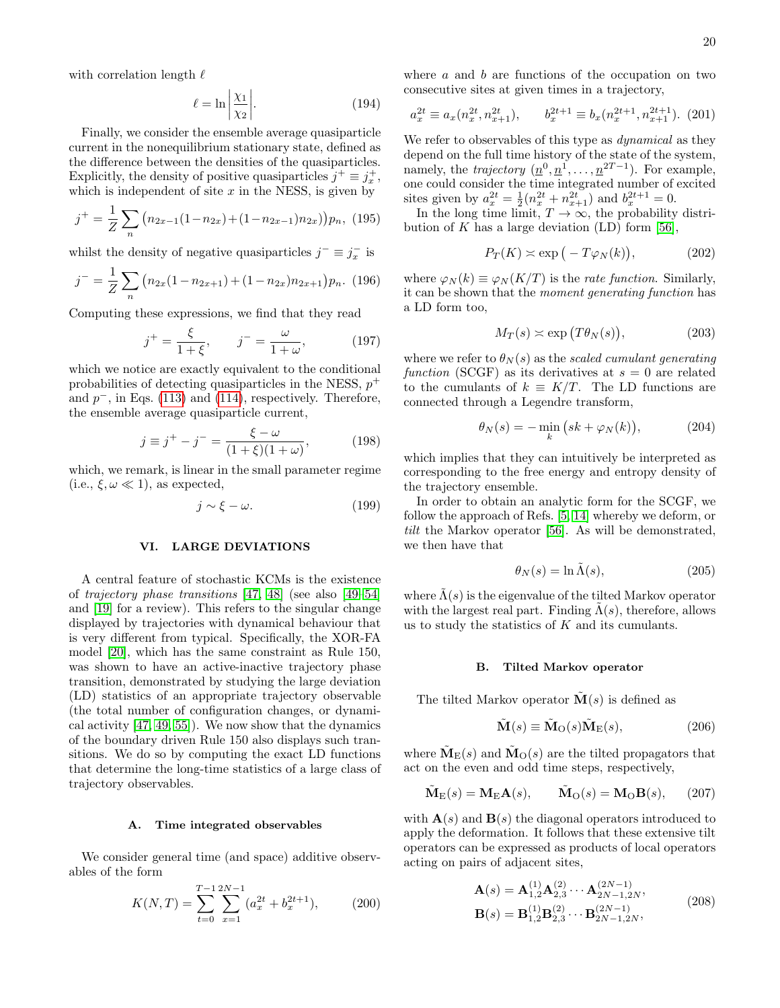with correlation length  $\ell$ 

$$
\ell = \ln \left| \frac{\chi_1}{\chi_2} \right|.
$$
 (194)

Finally, we consider the ensemble average quasiparticle current in the nonequilibrium stationary state, defined as the difference between the densities of the quasiparticles. Explicitly, the density of positive quasiparticles  $j^+ \equiv j_x^+$ , which is independent of site  $x$  in the NESS, is given by

$$
j^{+} = \frac{1}{Z} \sum_{n} (n_{2x-1}(1-n_{2x}) + (1-n_{2x-1})n_{2x}))p_n, (195)
$$

whilst the density of negative quasiparticles  $j^{-} \equiv j_{x}^{-}$  is

$$
j^{-} = \frac{1}{Z} \sum_{n} \left( n_{2x} (1 - n_{2x+1}) + (1 - n_{2x}) n_{2x+1} \right) p_n. \tag{196}
$$

Computing these expressions, we find that they read

$$
j^+ = \frac{\xi}{1+\xi}
$$
,  $j^- = \frac{\omega}{1+\omega}$ , (197)

which we notice are exactly equivalent to the conditional probabilities of detecting quasiparticles in the NESS,  $p^+$ and  $p^-$ , in Eqs. [\(113\)](#page-11-0) and [\(114\)](#page-11-1), respectively. Therefore, the ensemble average quasiparticle current,

$$
j \equiv j^{+} - j^{-} = \frac{\xi - \omega}{(1 + \xi)(1 + \omega)},
$$
 (198)

which, we remark, is linear in the small parameter regime (i.e.,  $\xi, \omega \ll 1$ ), as expected,

$$
j \sim \xi - \omega. \tag{199}
$$

### <span id="page-19-0"></span>VI. LARGE DEVIATIONS

A central feature of stochastic KCMs is the existence of trajectory phase transitions [\[47,](#page-27-13) [48\]](#page-27-14) (see also [\[49](#page-27-15)[–54\]](#page-27-16) and [\[19\]](#page-26-7) for a review). This refers to the singular change displayed by trajectories with dynamical behaviour that is very different from typical. Specifically, the XOR-FA model [\[20\]](#page-26-8), which has the same constraint as Rule 150, was shown to have an active-inactive trajectory phase transition, demonstrated by studying the large deviation (LD) statistics of an appropriate trajectory observable (the total number of configuration changes, or dynamical activity [\[47,](#page-27-13) [49,](#page-27-15) [55\]](#page-27-17)). We now show that the dynamics of the boundary driven Rule 150 also displays such transitions. We do so by computing the exact LD functions that determine the long-time statistics of a large class of trajectory observables.

### A. Time integrated observables

We consider general time (and space) additive observables of the form

$$
K(N,T) = \sum_{t=0}^{T-1} \sum_{x=1}^{2N-1} (a_x^{2t} + b_x^{2t+1}),
$$
 (200)

where  $a$  and  $b$  are functions of the occupation on two consecutive sites at given times in a trajectory,

$$
a_x^{2t} \equiv a_x(n_x^{2t}, n_{x+1}^{2t}), \qquad b_x^{2t+1} \equiv b_x(n_x^{2t+1}, n_{x+1}^{2t+1}). \tag{201}
$$

We refer to observables of this type as *dynamical* as they depend on the full time history of the state of the system, namely, the *trajectory*  $(\underline{n}^0, \underline{n}^1, \dots, \underline{n}^{2T-1})$ . For example, one could consider the time integrated number of excited sites given by  $a_x^{2t} = \frac{1}{2}(n_x^{2t} + n_{x+1}^{2t})$  and  $b_x^{2t+1} = 0$ .

In the long time limit,  $T \to \infty$ , the probability distribution of K has a large deviation  $(LD)$  form [\[56\]](#page-27-18),

<span id="page-19-1"></span>
$$
P_T(K) \simeq \exp\big(-T\varphi_N(k)\big),\tag{202}
$$

where  $\varphi_N(k) \equiv \varphi_N(K/T)$  is the *rate function*. Similarly, it can be shown that the moment generating function has a LD form too,

<span id="page-19-3"></span>
$$
M_T(s) \simeq \exp\left(T\theta_N(s)\right),\tag{203}
$$

where we refer to  $\theta_N(s)$  as the scaled cumulant generating function (SCGF) as its derivatives at  $s = 0$  are related to the cumulants of  $k \equiv K/T$ . The LD functions are connected through a Legendre transform,

$$
\theta_N(s) = -\min_k \left( sk + \varphi_N(k) \right),\tag{204}
$$

which implies that they can intuitively be interpreted as corresponding to the free energy and entropy density of the trajectory ensemble.

In order to obtain an analytic form for the SCGF, we follow the approach of Refs. [\[5,](#page-26-11) [14\]](#page-26-3) whereby we deform, or tilt the Markov operator [\[56\]](#page-27-18). As will be demonstrated, we then have that

<span id="page-19-4"></span>
$$
\theta_N(s) = \ln \tilde{\Lambda}(s),\tag{205}
$$

where  $\Lambda(s)$  is the eigenvalue of the tilted Markov operator with the largest real part. Finding  $\Lambda(s)$ , therefore, allows us to study the statistics of  $K$  and its cumulants.

### B. Tilted Markov operator

The tilted Markov operator  $\mathbf{M}(s)$  is defined as

<span id="page-19-2"></span>
$$
\tilde{\mathbf{M}}(s) \equiv \tilde{\mathbf{M}}_{\mathcal{O}}(s)\tilde{\mathbf{M}}_{\mathcal{E}}(s),\tag{206}
$$

where  $\tilde{\mathbf{M}}_{\text{E}}(s)$  and  $\tilde{\mathbf{M}}_{\text{O}}(s)$  are the tilted propagators that act on the even and odd time steps, respectively,

$$
\tilde{\mathbf{M}}_{\mathcal{E}}(s) = \mathbf{M}_{\mathcal{E}} \mathbf{A}(s), \qquad \tilde{\mathbf{M}}_{\mathcal{O}}(s) = \mathbf{M}_{\mathcal{O}} \mathbf{B}(s), \qquad (207)
$$

with  $\mathbf{A}(s)$  and  $\mathbf{B}(s)$  the diagonal operators introduced to apply the deformation. It follows that these extensive tilt operators can be expressed as products of local operators acting on pairs of adjacent sites,

$$
\mathbf{A}(s) = \mathbf{A}_{1,2}^{(1)} \mathbf{A}_{2,3}^{(2)} \cdots \mathbf{A}_{2N-1,2N}^{(2N-1)},
$$
  
\n
$$
\mathbf{B}(s) = \mathbf{B}_{1,2}^{(1)} \mathbf{B}_{2,3}^{(2)} \cdots \mathbf{B}_{2N-1,2N}^{(2N-1)},
$$
\n(208)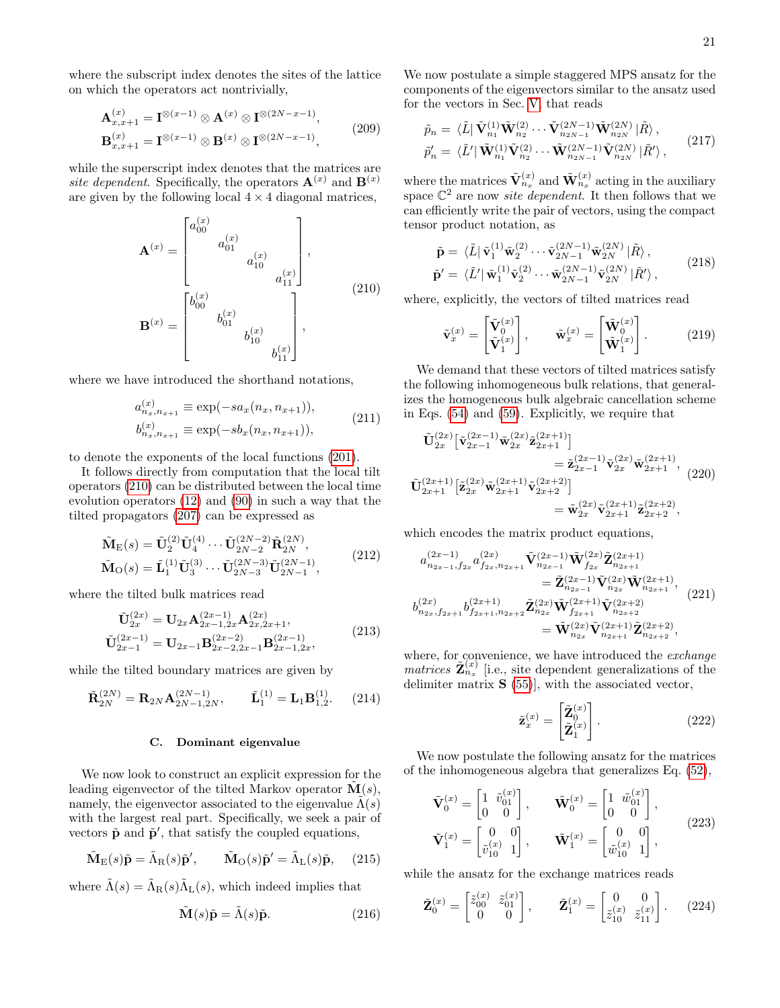where the subscript index denotes the sites of the lattice on which the operators act nontrivially,

$$
\mathbf{A}_{x,x+1}^{(x)} = \mathbf{I}^{\otimes (x-1)} \otimes \mathbf{A}^{(x)} \otimes \mathbf{I}^{\otimes (2N-x-1)},
$$
  
\n
$$
\mathbf{B}_{x,x+1}^{(x)} = \mathbf{I}^{\otimes (x-1)} \otimes \mathbf{B}^{(x)} \otimes \mathbf{I}^{\otimes (2N-x-1)},
$$
\n(209)

while the superscript index denotes that the matrices are site dependent. Specifically, the operators  $\mathbf{A}^{(x)}$  and  $\mathbf{B}^{(x)}$ are given by the following local  $4 \times 4$  diagonal matrices,

$$
\mathbf{A}^{(x)} = \begin{bmatrix} a_{00}^{(x)} & & \\ a_{01}^{(x)} & & \\ & a_{10}^{(x)} & \\ & & a_{11}^{(x)} \end{bmatrix},
$$
\n
$$
\mathbf{B}^{(x)} = \begin{bmatrix} b_{00}^{(x)} & & \\ & b_{01}^{(x)} & \\ & & b_{10}^{(x)} & \\ & & & b_{11}^{(x)} \end{bmatrix},
$$
\n(210)

where we have introduced the shorthand notations,

$$
a_{n_x,n_{x+1}}^{(x)} \equiv \exp(-sa_x(n_x,n_{x+1})),
$$
  
\n
$$
b_{n_x,n_{x+1}}^{(x)} \equiv \exp(-sb_x(n_x,n_{x+1})),
$$
\n(211)

to denote the exponents of the local functions [\(201\)](#page-19-1).

It follows directly from computation that the local tilt operators [\(210\)](#page-20-0) can be distributed between the local time evolution operators [\(12\)](#page-2-4) and [\(90\)](#page-9-7) in such a way that the tilted propagators [\(207\)](#page-19-2) can be expressed as

$$
\tilde{\mathbf{M}}_{\rm E}(s) = \tilde{\mathbf{U}}_2^{(2)} \tilde{\mathbf{U}}_4^{(4)} \cdots \tilde{\mathbf{U}}_{2N-2}^{(2N-2)} \tilde{\mathbf{R}}_{2N}^{(2N)}, \n\tilde{\mathbf{M}}_{\rm O}(s) = \tilde{\mathbf{L}}_1^{(1)} \tilde{\mathbf{U}}_3^{(3)} \cdots \tilde{\mathbf{U}}_{2N-3}^{(2N-3)} \tilde{\mathbf{U}}_{2N-1}^{(2N-1)},
$$
\n(212)

where the tilted bulk matrices read

$$
\tilde{\mathbf{U}}_{2x}^{(2x)} = \mathbf{U}_{2x} \mathbf{A}_{2x-1,2x}^{(2x-1)} \mathbf{A}_{2x,2x+1}^{(2x)},
$$
\n
$$
\tilde{\mathbf{U}}_{2x-1}^{(2x-1)} = \mathbf{U}_{2x-1} \mathbf{B}_{2x-2,2x-1}^{(2x-2)} \mathbf{B}_{2x-1,2x}^{(2x-1)},
$$
\n(213)

while the tilted boundary matrices are given by

$$
\tilde{\mathbf{R}}_{2N}^{(2N)} = \mathbf{R}_{2N} \mathbf{A}_{2N-1,2N}^{(2N-1)}, \qquad \tilde{\mathbf{L}}_{1}^{(1)} = \mathbf{L}_{1} \mathbf{B}_{1,2}^{(1)}.
$$
 (214)

### C. Dominant eigenvalue

We now look to construct an explicit expression for the leading eigenvector of the tilted Markov operator  $\mathbf{M}(s)$ , namely, the eigenvector associated to the eigenvalue  $\tilde{\Lambda}(s)$ with the largest real part. Specifically, we seek a pair of vectors  $\tilde{\mathbf{p}}$  and  $\tilde{\mathbf{p}}'$ , that satisfy the coupled equations,

$$
\tilde{\mathbf{M}}_{\mathcal{E}}(s)\tilde{\mathbf{p}} = \tilde{\Lambda}_{\mathcal{R}}(s)\tilde{\mathbf{p}}', \qquad \tilde{\mathbf{M}}_{\mathcal{O}}(s)\tilde{\mathbf{p}}' = \tilde{\Lambda}_{\mathcal{L}}(s)\tilde{\mathbf{p}}, \qquad (215)
$$

where  $\tilde{\Lambda}(s) = \tilde{\Lambda}_{R}(s)\tilde{\Lambda}_{L}(s)$ , which indeed implies that

$$
\tilde{\mathbf{M}}(s)\tilde{\mathbf{p}} = \tilde{\Lambda}(s)\tilde{\mathbf{p}}.\tag{216}
$$

We now postulate a simple staggered MPS ansatz for the components of the eigenvectors similar to the ansatz used for the vectors in Sec. [V,](#page-12-0) that reads

$$
\tilde{p}_n = \langle \tilde{L} | \tilde{\mathbf{V}}_{n_1}^{(1)} \tilde{\mathbf{W}}_{n_2}^{(2)} \cdots \tilde{\mathbf{V}}_{n_{2N-1}}^{(2N-1)} \tilde{\mathbf{W}}_{n_{2N}}^{(2N)} | \tilde{R} \rangle, \n\tilde{p}'_n = \langle \tilde{L}' | \tilde{\mathbf{W}}_{n_1}^{(1)} \tilde{\mathbf{V}}_{n_2}^{(2)} \cdots \tilde{\mathbf{W}}_{n_{2N-1}}^{(2N-1)} \tilde{\mathbf{V}}_{n_{2N}}^{(2N)} | \tilde{R}' \rangle, \tag{217}
$$

<span id="page-20-0"></span>where the matrices  $\tilde{\mathbf{V}}_{n_x}^{(x)}$  and  $\tilde{\mathbf{W}}_{n_x}^{(x)}$  acting in the auxiliary space  $\mathbb{C}^2$  are now *site dependent*. It then follows that we can efficiently write the pair of vectors, using the compact tensor product notation, as

$$
\tilde{\mathbf{p}} = \langle \tilde{L} | \tilde{\mathbf{v}}_1^{(1)} \tilde{\mathbf{w}}_2^{(2)} \cdots \tilde{\mathbf{v}}_{2N-1}^{(2N-1)} \tilde{\mathbf{w}}_{2N}^{(2N)} | \tilde{R} \rangle, \n\tilde{\mathbf{p}}' = \langle \tilde{L}' | \tilde{\mathbf{w}}_1^{(1)} \tilde{\mathbf{v}}_2^{(2)} \cdots \tilde{\mathbf{w}}_{2N-1}^{(2N-1)} \tilde{\mathbf{v}}_{2N}^{(2N)} | \tilde{R}' \rangle,
$$
\n(218)

where, explicitly, the vectors of tilted matrices read

$$
\tilde{\mathbf{v}}_x^{(x)} = \begin{bmatrix} \tilde{\mathbf{V}}_0^{(x)} \\ \tilde{\mathbf{V}}_1^{(x)} \end{bmatrix}, \qquad \tilde{\mathbf{w}}_x^{(x)} = \begin{bmatrix} \tilde{\mathbf{W}}_0^{(x)} \\ \tilde{\mathbf{W}}_1^{(x)} \end{bmatrix}. \tag{219}
$$

We demand that these vectors of tilted matrices satisfy the following inhomogeneous bulk relations, that generalizes the homogeneous bulk algebraic cancellation scheme in Eqs. [\(54\)](#page-6-1) and [\(59\)](#page-6-7). Explicitly, we require that

$$
\tilde{\mathbf{U}}_{2x}^{(2x)} \left[ \tilde{\mathbf{v}}_{2x-1}^{(2x-1)} \tilde{\mathbf{w}}_{2x}^{(2x)} \tilde{\mathbf{z}}_{2x+1}^{(2x+1)} \right] \n= \tilde{\mathbf{z}}_{2x-1}^{(2x-1)} \tilde{\mathbf{v}}_{2x}^{(2x)} \tilde{\mathbf{w}}_{2x+1}^{(2x+1)},
$$
\n
$$
\tilde{\mathbf{U}}_{2x+1}^{(2x+1)} \left[ \tilde{\mathbf{z}}_{2x}^{(2x)} \tilde{\mathbf{w}}_{2x+1}^{(2x+1)} \tilde{\mathbf{v}}_{2x+2}^{(2x+2)} \right] \n= \tilde{\mathbf{w}}_{2x}^{(2x)} \tilde{\mathbf{v}}_{2x+1}^{(2x+1)} \tilde{\mathbf{z}}_{2x+2}^{(2x+2)},
$$
\n(220)

which encodes the matrix product equations,

$$
a_{n_{2x-1},f_{2x}}^{(2x-1)} a_{f_{2x},n_{2x+1}}^{(2x)} \tilde{\mathbf{V}}_{n_{2x-1}}^{(2x-1)} \tilde{\mathbf{W}}_{f_{2x}}^{(2x)} \tilde{\mathbf{Z}}_{n_{2x+1}}^{(2x+1)} \n= \tilde{\mathbf{Z}}_{n_{2x-1}}^{(2x-1)} \tilde{\mathbf{V}}_{n_{2x}}^{(2x)} \tilde{\mathbf{W}}_{n_{2x+1}}^{(2x+1)}, \nb_{n_{2x},f_{2x+1}}^{(2x)} b_{f_{2x+1},n_{2x+2}}^{(2x+1)} \tilde{\mathbf{Z}}_{n_{2x}}^{(2x)} \tilde{\mathbf{W}}_{f_{2x+1}}^{(2x+1)} \tilde{\mathbf{V}}_{n_{2x+2}}^{(2x+2)} \n= \tilde{\mathbf{W}}_{n_{2x}}^{(2x)} \tilde{\mathbf{V}}_{n_{2x+1}}^{(2x+1)} \tilde{\mathbf{Z}}_{n_{2x+2}}^{(2x+2)},
$$
\n(221)

where, for convenience, we have introduced the exchange *matrices*  $\tilde{\mathbf{Z}}_{n_x}^{(x)}$  [i.e., site dependent generalizations of the delimiter matrix  $S(55)$  $S(55)$ , with the associated vector,

<span id="page-20-4"></span><span id="page-20-3"></span><span id="page-20-1"></span>
$$
\tilde{\mathbf{z}}_x^{(x)} = \begin{bmatrix} \tilde{\mathbf{Z}}_0^{(x)} \\ \tilde{\mathbf{Z}}_1^{(x)} \end{bmatrix} . \tag{222}
$$

We now postulate the following ansatz for the matrices of the inhomogeneous algebra that generalizes Eq. [\(52\)](#page-6-8),

$$
\tilde{\mathbf{V}}_{0}^{(x)} = \begin{bmatrix} 1 & \tilde{v}_{01}^{(x)} \\ 0 & 0 \end{bmatrix}, \qquad \tilde{\mathbf{W}}_{0}^{(x)} = \begin{bmatrix} 1 & \tilde{w}_{01}^{(x)} \\ 0 & 0 \end{bmatrix}, \n\tilde{\mathbf{V}}_{1}^{(x)} = \begin{bmatrix} 0 & 0 \\ \tilde{v}_{10}^{(x)} & 1 \end{bmatrix}, \qquad \tilde{\mathbf{W}}_{1}^{(x)} = \begin{bmatrix} 0 & 0 \\ \tilde{w}_{10}^{(x)} & 1 \end{bmatrix},
$$
\n(223)

<span id="page-20-2"></span>while the ansatz for the exchange matrices reads

$$
\tilde{\mathbf{Z}}_0^{(x)} = \begin{bmatrix} \tilde{z}_{00}^{(x)} & \tilde{z}_{01}^{(x)} \\ 0 & 0 \end{bmatrix}, \qquad \tilde{\mathbf{Z}}_1^{(x)} = \begin{bmatrix} 0 & 0 \\ \tilde{z}_{10}^{(x)} & \tilde{z}_{11}^{(x)} \end{bmatrix}. \tag{224}
$$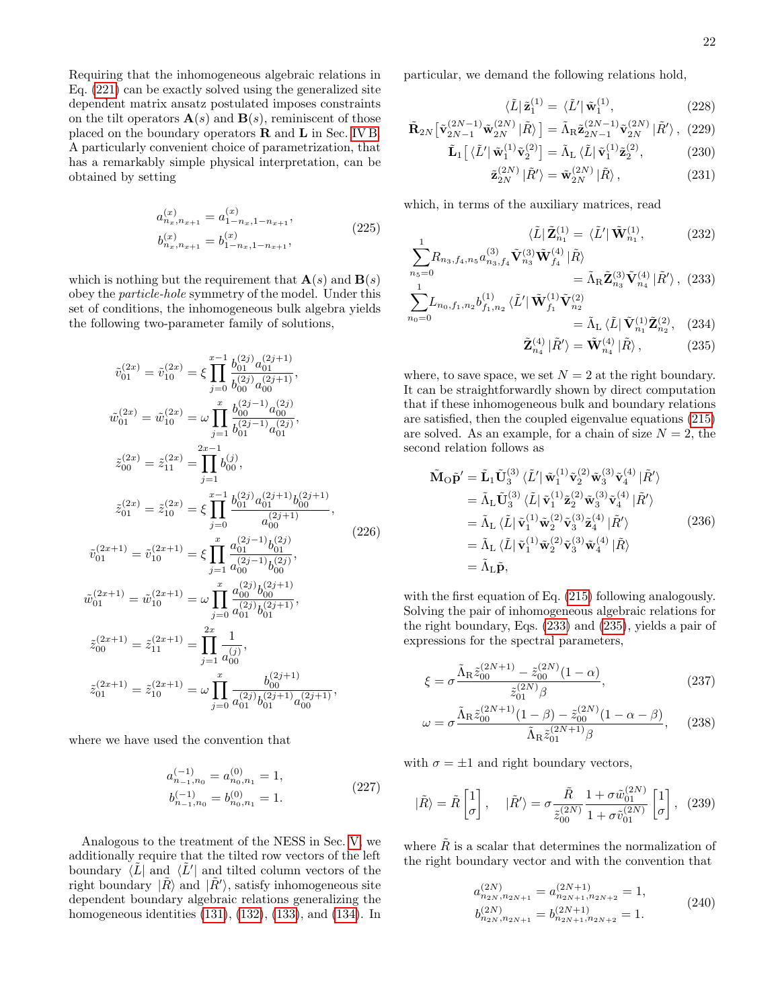Requiring that the inhomogeneous algebraic relations in Eq. [\(221\)](#page-20-1) can be exactly solved using the generalized site dependent matrix ansatz postulated imposes constraints on the tilt operators  $\mathbf{A}(s)$  and  $\mathbf{B}(s)$ , reminiscent of those placed on the boundary operators R and L in Sec. [IV B.](#page-8-6) A particularly convenient choice of parametrization, that has a remarkably simple physical interpretation, can be obtained by setting

<span id="page-21-4"></span>
$$
a_{n_x,n_{x+1}}^{(x)} = a_{1-n_x,1-n_{x+1}}^{(x)},
$$
  
\n
$$
b_{n_x,n_{x+1}}^{(x)} = b_{1-n_x,1-n_{x+1}}^{(x)},
$$
\n(225)

which is nothing but the requirement that  $\mathbf{A}(s)$  and  $\mathbf{B}(s)$ obey the particle-hole symmetry of the model. Under this set of conditions, the inhomogeneous bulk algebra yields the following two-parameter family of solutions,

$$
\tilde{v}_{01}^{(2x)} = \tilde{v}_{10}^{(2x)} = \xi \prod_{j=0}^{x-1} \frac{b_{01}^{(2j)} a_{01}^{(2j+1)}}{b_{00}^{(2j)} a_{00}^{(2j+1)}},
$$
\n
$$
\tilde{w}_{01}^{(2x)} = \tilde{w}_{10}^{(2x)} = \omega \prod_{j=1}^{x} \frac{b_{00}^{(2j-1)} a_{00}^{(2j)}}{b_{01}^{(2j-1)} a_{01}^{(2j)}},
$$
\n
$$
\tilde{z}_{00}^{(2x)} = \tilde{z}_{11}^{(2x)} = \prod_{j=1}^{2x-1} b_{00}^{(j)},
$$
\n
$$
\tilde{z}_{01}^{(2x)} = \tilde{z}_{10}^{(2x)} = \xi \prod_{j=0}^{x-1} \frac{b_{01}^{(2j)} a_{01}^{(2j+1)} b_{00}^{(2j+1)}}{a_{00}^{(2j+1)}},
$$
\n
$$
\tilde{v}_{01}^{(2x+1)} = \tilde{v}_{10}^{(2x+1)} = \xi \prod_{j=1}^{x} \frac{a_{01}^{(2j-1)} b_{01}^{(2j)}}{a_{00}^{(2j-1)} b_{00}^{(2j)}},
$$
\n
$$
\tilde{w}_{01}^{(2x+1)} = \tilde{w}_{10}^{(2x+1)} = \omega \prod_{j=0}^{x} \frac{a_{00}^{(2j)} b_{00}^{(2j+1)}}{a_{01}^{(2j)} b_{01}^{(2j+1)}},
$$
\n
$$
\tilde{z}_{00}^{(2x+1)} = \tilde{z}_{11}^{(2x+1)} = \prod_{j=1}^{2x} \frac{1}{a_{00}^{(j)}},
$$
\n
$$
\tilde{z}_{01}^{(2x+1)} = \tilde{z}_{10}^{(2x+1)} = \omega \prod_{j=0}^{x} \frac{b_{00}^{(2j+1)}}{a_{01}^{(2j)} b_{01}^{(2j+1)} a_{00}^{(2j+1)}},
$$
\n
$$
\tilde{z}_{01}^{
$$

where we have used the convention that

$$
a_{n_{-1},n_0}^{(-1)} = a_{n_0,n_1}^{(0)} = 1,
$$
  
\n
$$
b_{n_{-1},n_0}^{(-1)} = b_{n_0,n_1}^{(0)} = 1.
$$
\n(227)

Analogous to the treatment of the NESS in Sec. [V,](#page-12-0) we additionally require that the tilted row vectors of the left boundary  $\langle \tilde{L} |$  and  $\langle \tilde{L}' |$  and tilted column vectors of the right boundary  $|\tilde{R}\rangle$  and  $|\tilde{R}\rangle$ , satisfy inhomogeneous site dependent boundary algebraic relations generalizing the homogeneous identities [\(131\)](#page-13-6), [\(132\)](#page-13-5), [\(133\)](#page-13-3), and [\(134\)](#page-13-4). In

particular, we demand the following relations hold,

$$
\langle \tilde{L} | \tilde{\mathbf{z}}_1^{(1)} = \langle \tilde{L}' | \tilde{\mathbf{w}}_1^{(1)}, \qquad (228)
$$

$$
\tilde{\mathbf{R}}_{2N} \left[ \tilde{\mathbf{v}}_{2N-1}^{(2N-1)} \tilde{\mathbf{w}}_{2N}^{(2N)} \, | \tilde{R} \rangle \right] = \tilde{\Lambda}_{\rm R} \tilde{\mathbf{z}}_{2N-1}^{(2N-1)} \tilde{\mathbf{v}}_{2N}^{(2N)} \, | \tilde{R}' \rangle \,, \tag{229}
$$

$$
\tilde{\mathbf{L}}_1\left[\ \langle \tilde{L}' | \tilde{\mathbf{w}}_1^{(1)} \tilde{\mathbf{v}}_2^{(2)} \right] = \tilde{\Lambda}_{\mathbf{L}} \langle \tilde{L} | \tilde{\mathbf{v}}_1^{(1)} \tilde{\mathbf{z}}_2^{(2)},\tag{230}
$$

$$
\tilde{\mathbf{z}}_{2N}^{(2N)} \, |\tilde{R}'\rangle = \tilde{\mathbf{w}}_{2N}^{(2N)} \, |\tilde{R}\rangle \,, \tag{231}
$$

which, in terms of the auxiliary matrices, read

$$
\langle \tilde{L} | \tilde{\mathbf{Z}}_{n_1}^{(1)} = \langle \tilde{L}' | \tilde{\mathbf{W}}_{n_1}^{(1)},
$$
\n(232)\n
$$
a_{n_3, f_4}^{(3)} \tilde{\mathbf{V}}_{n_3}^{(4)} \tilde{\mathbf{W}}_{f_4}^{(4)} | \tilde{R} \rangle
$$

$$
\sum_{n_5=0}^{1} R_{n_3,f_4,n_5} a_{n_3,f_4}^{(3)} \tilde{\mathbf{V}}_{n_3}^{(3)} \tilde{\mathbf{W}}_{f_4}^{(4)} | \tilde{R} \rangle
$$
  
=  $\tilde{\Lambda}_{\text{R}} \tilde{\mathbf{Z}}_{n_3}^{(3)} \tilde{\mathbf{V}}_{n_4}^{(4)} | \tilde{R}' \rangle$ , (233)

<span id="page-21-5"></span>
$$
\sum_{n_0=0} L_{n_0, f_1, n_2} b_{f_1, n_2}^{(1)} \langle \tilde{L}' | \tilde{\mathbf{W}}_{f_1}^{(1)} \tilde{\mathbf{V}}_{n_2}^{(2)} = \tilde{\Lambda}_{\text{L}} \langle \tilde{L} | \tilde{\mathbf{V}}_{n_1}^{(1)} \tilde{\mathbf{Z}}_{n_2}^{(2)}, \quad (234)
$$

<span id="page-21-3"></span><span id="page-21-2"></span><span id="page-21-1"></span><span id="page-21-0"></span>
$$
\tilde{\mathbf{Z}}_{n_4}^{(4)} |\tilde{R}'\rangle = \tilde{\mathbf{W}}_{n_4}^{(4)} |\tilde{R}\rangle, \qquad (235)
$$

where, to save space, we set  $N = 2$  at the right boundary. It can be straightforwardly shown by direct computation that if these inhomogeneous bulk and boundary relations are satisfied, then the coupled eigenvalue equations [\(215\)](#page-20-2) are solved. As an example, for a chain of size  $N = 2$ , the second relation follows as

$$
\tilde{\mathbf{M}}_{\mathbf{O}}\tilde{\mathbf{p}}' = \tilde{\mathbf{L}}_{1}\tilde{\mathbf{U}}_{3}^{(3)} \langle \tilde{L}' | \tilde{\mathbf{w}}_{1}^{(1)} \tilde{\mathbf{v}}_{2}^{(2)} \tilde{\mathbf{w}}_{3}^{(3)} \tilde{\mathbf{v}}_{4}^{(4)} | \tilde{R}' \rangle \n= \tilde{\Lambda}_{\mathbf{L}} \tilde{\mathbf{U}}_{3}^{(3)} \langle \tilde{L} | \tilde{\mathbf{v}}_{1}^{(1)} \tilde{\mathbf{z}}_{2}^{(2)} \tilde{\mathbf{w}}_{3}^{(3)} \tilde{\mathbf{v}}_{4}^{(4)} | \tilde{R}' \rangle \n= \tilde{\Lambda}_{\mathbf{L}} \langle \tilde{L} | \tilde{\mathbf{v}}_{1}^{(1)} \tilde{\mathbf{w}}_{2}^{(2)} \tilde{\mathbf{v}}_{3}^{(3)} \tilde{\mathbf{z}}_{4}^{(4)} | \tilde{R}' \rangle \n= \tilde{\Lambda}_{\mathbf{L}} \langle \tilde{L} | \tilde{\mathbf{v}}_{1}^{(1)} \tilde{\mathbf{w}}_{2}^{(2)} \tilde{\mathbf{v}}_{3}^{(3)} \tilde{\mathbf{w}}_{4}^{(4)} | \tilde{R} \rangle \n= \tilde{\Lambda}_{\mathbf{L}} \tilde{\mathbf{p}},
$$
\n(236)

with the first equation of Eq.  $(215)$  following analogously. Solving the pair of inhomogeneous algebraic relations for the right boundary, Eqs. [\(233\)](#page-21-0) and [\(235\)](#page-21-1), yields a pair of expressions for the spectral parameters,

$$
\xi = \sigma \frac{\tilde{\Lambda}_{\rm R} \tilde{z}_{00}^{(2N+1)} - \tilde{z}_{00}^{(2N)} (1 - \alpha)}{\tilde{z}_{01}^{(2N)} \beta},\tag{237}
$$

$$
\omega = \sigma \frac{\tilde{\Lambda}_{\rm R} \tilde{z}_{00}^{(2N+1)} (1 - \beta) - \tilde{z}_{00}^{(2N)} (1 - \alpha - \beta)}{\tilde{\Lambda}_{\rm R} \tilde{z}_{01}^{(2N+1)} \beta}, \quad (238)
$$

with  $\sigma = \pm 1$  and right boundary vectors,

$$
|\tilde{R}\rangle = \tilde{R}\begin{bmatrix} 1 \\ \sigma \end{bmatrix}, \quad |\tilde{R}'\rangle = \sigma \frac{\tilde{R}}{\tilde{z}_{00}^{(2N)}} \frac{1 + \sigma \tilde{w}_{01}^{(2N)}}{1 + \sigma \tilde{v}_{01}^{(2N)}} \begin{bmatrix} 1 \\ \sigma \end{bmatrix}, \tag{239}
$$

where  $\tilde{R}$  is a scalar that determines the normalization of the right boundary vector and with the convention that

$$
a_{n_{2N},n_{2N+1}}^{(2N)} = a_{n_{2N+1},n_{2N+2}}^{(2N+1)} = 1,
$$
  
\n
$$
b_{n_{2N},n_{2N+1}}^{(2N)} = b_{n_{2N+1},n_{2N+2}}^{(2N+1)} = 1.
$$
\n(240)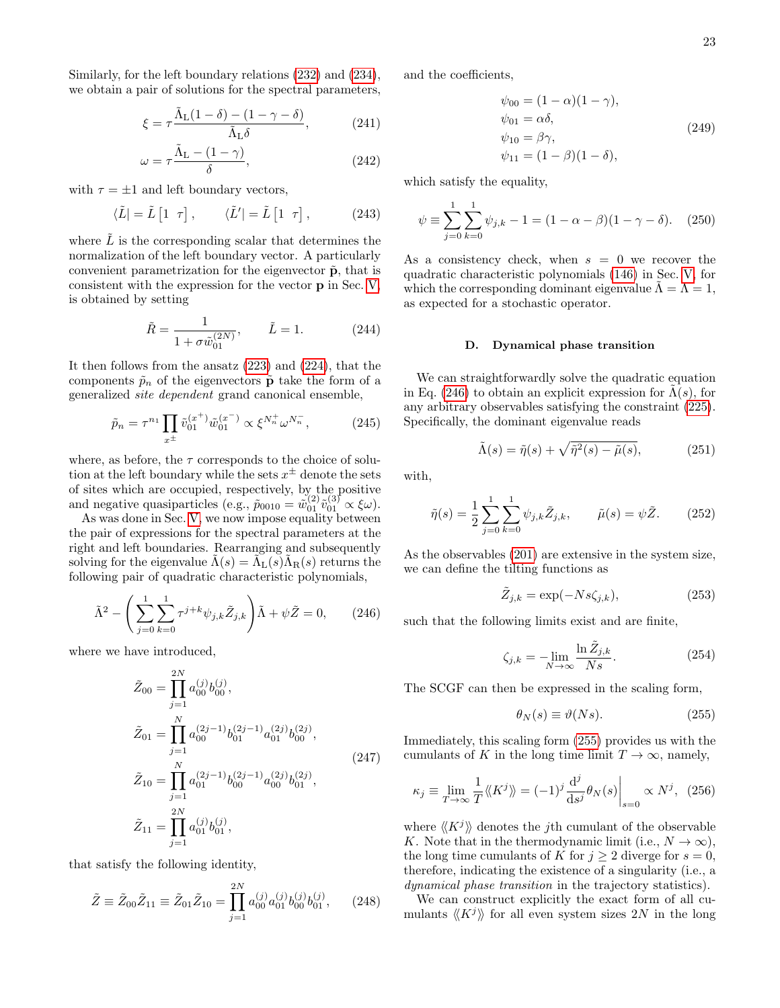Similarly, for the left boundary relations [\(232\)](#page-21-2) and [\(234\)](#page-21-3), we obtain a pair of solutions for the spectral parameters,

$$
\xi = \tau \frac{\tilde{\Lambda}_{\rm L}(1-\delta) - (1-\gamma-\delta)}{\tilde{\Lambda}_{\rm L}\delta},\tag{241}
$$

$$
\omega = \tau \frac{\tilde{\Lambda}_{\rm L} - (1 - \gamma)}{\delta},\tag{242}
$$

with  $\tau = \pm 1$  and left boundary vectors,

$$
\langle \tilde{L} | = \tilde{L} \begin{bmatrix} 1 & \tau \end{bmatrix}, \qquad \langle \tilde{L}' | = \tilde{L} \begin{bmatrix} 1 & \tau \end{bmatrix}, \tag{243}
$$

where  $L$  is the corresponding scalar that determines the normalization of the left boundary vector. A particularly convenient parametrization for the eigenvector  $\tilde{p}$ , that is consistent with the expression for the vector p in Sec. [V,](#page-12-0) is obtained by setting

$$
\tilde{R} = \frac{1}{1 + \sigma \tilde{w}_{01}^{(2N)}}, \qquad \tilde{L} = 1.
$$
\n(244)

It then follows from the ansatz [\(223\)](#page-20-3) and [\(224\)](#page-20-4), that the components  $\tilde{p}_n$  of the eigenvectors  $\tilde{p}$  take the form of a generalized site dependent grand canonical ensemble,

$$
\tilde{p}_n = \tau^{n_1} \prod_{x^{\pm}} \tilde{v}_{01}^{(x^+)} \tilde{w}_{01}^{(x^-)} \propto \xi^{N_n^+} \omega^{N_n^-},\tag{245}
$$

where, as before, the  $\tau$  corresponds to the choice of solution at the left boundary while the sets  $x^{\pm}$  denote the sets of sites which are occupied, respectively, by the positive and negative quasiparticles (e.g.,  $\tilde{p}_{0010} = \tilde{w}_{01}^{(2)} \tilde{v}_{01}^{(3)} \propto \xi \omega$ ).

As was done in Sec. [V,](#page-12-0) we now impose equality between the pair of expressions for the spectral parameters at the right and left boundaries. Rearranging and subsequently solving for the eigenvalue  $\tilde{\Lambda}(s) = \tilde{\Lambda}_{\text{L}}(s) \tilde{\Lambda}_{\text{R}}(s)$  returns the following pair of quadratic characteristic polynomials,

$$
\tilde{\Lambda}^2 - \left(\sum_{j=0}^1 \sum_{k=0}^1 \tau^{j+k} \psi_{j,k} \tilde{Z}_{j,k}\right) \tilde{\Lambda} + \psi \tilde{Z} = 0, \qquad (246)
$$

where we have introduced,

$$
\tilde{Z}_{00} = \prod_{j=1}^{2N} a_{00}^{(j)} b_{00}^{(j)},
$$
\n
$$
\tilde{Z}_{01} = \prod_{j=1}^{N} a_{00}^{(2j-1)} b_{01}^{(2j-1)} a_{01}^{(2j)} b_{00}^{(2j)},
$$
\n
$$
\tilde{Z}_{10} = \prod_{j=1}^{N} a_{01}^{(2j-1)} b_{00}^{(2j-1)} a_{00}^{(2j)} b_{01}^{(2j)},
$$
\n
$$
\tilde{Z}_{11} = \prod_{j=1}^{2N} a_{01}^{(j)} b_{01}^{(j)},
$$
\n(247)

that satisfy the following identity,

$$
\tilde{Z} \equiv \tilde{Z}_{00}\tilde{Z}_{11} \equiv \tilde{Z}_{01}\tilde{Z}_{10} = \prod_{j=1}^{2N} a_{00}^{(j)} a_{01}^{(j)} b_{00}^{(j)} b_{01}^{(j)}, \qquad (248)
$$

and the coefficients,

$$
\psi_{00} = (1 - \alpha)(1 - \gamma),
$$
  
\n
$$
\psi_{01} = \alpha \delta,
$$
  
\n
$$
\psi_{10} = \beta \gamma,
$$
  
\n
$$
\psi_{11} = (1 - \beta)(1 - \delta),
$$
\n(249)

which satisfy the equality,

$$
\psi \equiv \sum_{j=0}^{1} \sum_{k=0}^{1} \psi_{j,k} - 1 = (1 - \alpha - \beta)(1 - \gamma - \delta). \quad (250)
$$

As a consistency check, when  $s = 0$  we recover the quadratic characteristic polynomials [\(146\)](#page-15-6) in Sec. [V,](#page-12-0) for which the corresponding dominant eigenvalue  $\Lambda = \Lambda = 1$ , as expected for a stochastic operator.

### D. Dynamical phase transition

<span id="page-22-2"></span>We can straightforwardly solve the quadratic equation in Eq. [\(246\)](#page-22-0) to obtain an explicit expression for  $\Lambda(s)$ , for any arbitrary observables satisfying the constraint [\(225\)](#page-21-4). Specifically, the dominant eigenvalue reads

$$
\tilde{\Lambda}(s) = \tilde{\eta}(s) + \sqrt{\tilde{\eta}^2(s) - \tilde{\mu}(s)},\tag{251}
$$

with,

$$
\tilde{\eta}(s) = \frac{1}{2} \sum_{j=0}^{1} \sum_{k=0}^{1} \psi_{j,k} \tilde{Z}_{j,k}, \qquad \tilde{\mu}(s) = \psi \tilde{Z}.
$$
 (252)

<span id="page-22-0"></span>As the observables [\(201\)](#page-19-1) are extensive in the system size, we can define the tilting functions as

$$
\tilde{Z}_{j,k} = \exp(-Ns\zeta_{j,k}),\tag{253}
$$

such that the following limits exist and are finite,

$$
\zeta_{j,k} = -\lim_{N \to \infty} \frac{\ln \tilde{Z}_{j,k}}{Ns}.
$$
\n(254)

The SCGF can then be expressed in the scaling form,

<span id="page-22-1"></span>
$$
\theta_N(s) \equiv \vartheta(Ns). \tag{255}
$$

Immediately, this scaling form [\(255\)](#page-22-1) provides us with the cumulants of K in the long time limit  $T \to \infty$ , namely,

$$
\kappa_j \equiv \lim_{T \to \infty} \frac{1}{T} \langle K^j \rangle = (-1)^j \frac{\mathrm{d}^j}{\mathrm{d}s^j} \theta_N(s) \Big|_{s=0} \propto N^j, \tag{256}
$$

where  $\langle K^j \rangle$  denotes the jth cumulant of the observable K. Note that in the thermodynamic limit (i.e.,  $N \to \infty$ ), the long time cumulants of K for  $j \geq 2$  diverge for  $s = 0$ , therefore, indicating the existence of a singularity (i.e., a dynamical phase transition in the trajectory statistics).

We can construct explicitly the exact form of all cumulants  $\langle K^j \rangle$  for all even system sizes 2N in the long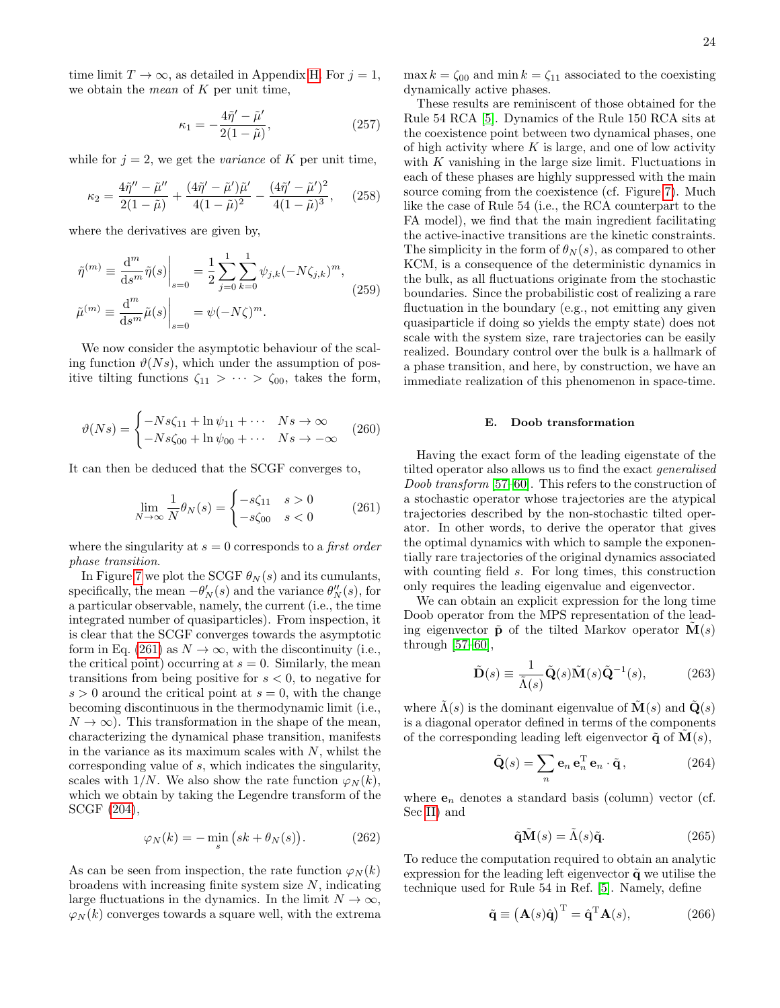time limit  $T \to \infty$ , as detailed in Appendix [H.](#page-34-1) For  $j = 1$ , we obtain the *mean* of  $K$  per unit time,

$$
\kappa_1 = -\frac{4\tilde{\eta}' - \tilde{\mu}'}{2(1 - \tilde{\mu})},\tag{257}
$$

while for  $j = 2$ , we get the *variance* of K per unit time,

$$
\kappa_2 = \frac{4\tilde{\eta}'' - \tilde{\mu}''}{2(1-\tilde{\mu})} + \frac{(4\tilde{\eta}' - \tilde{\mu}')\tilde{\mu}'}{4(1-\tilde{\mu})^2} - \frac{(4\tilde{\eta}' - \tilde{\mu}')^2}{4(1-\tilde{\mu})^3},
$$
 (258)

where the derivatives are given by,

$$
\tilde{\eta}^{(m)} \equiv \frac{\mathrm{d}^m}{\mathrm{d}s^m} \tilde{\eta}(s) \Big|_{s=0} = \frac{1}{2} \sum_{j=0}^1 \sum_{k=0}^1 \psi_{j,k} (-N\zeta_{j,k})^m,
$$
\n
$$
\tilde{\mu}^{(m)} \equiv \frac{\mathrm{d}^m}{\mathrm{d}s^m} \tilde{\mu}(s) \Big|_{s=0} = \psi (-N\zeta)^m.
$$
\n(259)

We now consider the asymptotic behaviour of the scaling function  $\vartheta(Ns)$ , which under the assumption of positive tilting functions  $\zeta_{11} > \cdots > \zeta_{00}$ , takes the form,

$$
\vartheta(Ns) = \begin{cases}\n-Ns\zeta_{11} + \ln \psi_{11} + \cdots & Ns \to \infty \\
-Ns\zeta_{00} + \ln \psi_{00} + \cdots & Ns \to -\infty\n\end{cases}
$$
(260)

It can then be deduced that the SCGF converges to,

$$
\lim_{N \to \infty} \frac{1}{N} \theta_N(s) = \begin{cases} -s\zeta_{11} & s > 0\\ -s\zeta_{00} & s < 0 \end{cases} \tag{261}
$$

where the singularity at  $s = 0$  corresponds to a *first order* phase transition.

In Figure [7](#page-24-0) we plot the SCGF  $\theta_N(s)$  and its cumulants, specifically, the mean  $-\theta'_{N}(s)$  and the variance  $\theta''_{N}(s)$ , for a particular observable, namely, the current (i.e., the time integrated number of quasiparticles). From inspection, it is clear that the SCGF converges towards the asymptotic form in Eq. [\(261\)](#page-23-0) as  $N \to \infty$ , with the discontinuity (i.e., the critical point) occurring at  $s = 0$ . Similarly, the mean transitions from being positive for  $s < 0$ , to negative for  $s > 0$  around the critical point at  $s = 0$ , with the change becoming discontinuous in the thermodynamic limit (i.e.,  $N \to \infty$ ). This transformation in the shape of the mean, characterizing the dynamical phase transition, manifests in the variance as its maximum scales with  $N$ , whilst the corresponding value of s, which indicates the singularity, scales with 1/N. We also show the rate function  $\varphi_N(k)$ , which we obtain by taking the Legendre transform of the SCGF [\(204\)](#page-19-3),

$$
\varphi_N(k) = -\min_s \left( sk + \theta_N(s) \right). \tag{262}
$$

As can be seen from inspection, the rate function  $\varphi_N(k)$ broadens with increasing finite system size N, indicating large fluctuations in the dynamics. In the limit  $N \to \infty$ ,  $\varphi_N(k)$  converges towards a square well, with the extrema

max  $k = \zeta_{00}$  and min  $k = \zeta_{11}$  associated to the coexisting dynamically active phases.

These results are reminiscent of those obtained for the Rule 54 RCA [\[5\]](#page-26-11). Dynamics of the Rule 150 RCA sits at the coexistence point between two dynamical phases, one of high activity where  $K$  is large, and one of low activity with  $K$  vanishing in the large size limit. Fluctuations in each of these phases are highly suppressed with the main source coming from the coexistence (cf. Figure [7\)](#page-24-0). Much like the case of Rule 54 (i.e., the RCA counterpart to the FA model), we find that the main ingredient facilitating the active-inactive transitions are the kinetic constraints. The simplicity in the form of  $\theta_N(s)$ , as compared to other KCM, is a consequence of the deterministic dynamics in the bulk, as all fluctuations originate from the stochastic boundaries. Since the probabilistic cost of realizing a rare fluctuation in the boundary (e.g., not emitting any given quasiparticle if doing so yields the empty state) does not scale with the system size, rare trajectories can be easily realized. Boundary control over the bulk is a hallmark of a phase transition, and here, by construction, we have an immediate realization of this phenomenon in space-time.

#### E. Doob transformation

<span id="page-23-0"></span>Having the exact form of the leading eigenstate of the tilted operator also allows us to find the exact generalised Doob transform [\[57–](#page-27-19)[60\]](#page-27-20). This refers to the construction of a stochastic operator whose trajectories are the atypical trajectories described by the non-stochastic tilted operator. In other words, to derive the operator that gives the optimal dynamics with which to sample the exponentially rare trajectories of the original dynamics associated with counting field s. For long times, this construction only requires the leading eigenvalue and eigenvector.

We can obtain an explicit expression for the long time Doob operator from the MPS representation of the leading eigenvector  $\tilde{\mathbf{p}}$  of the tilted Markov operator  $\mathbf{M}(s)$ through  $[57–60]$  $[57–60]$ ,

<span id="page-23-4"></span>
$$
\tilde{\mathbf{D}}(s) \equiv \frac{1}{\tilde{\Lambda}(s)} \tilde{\mathbf{Q}}(s) \tilde{\mathbf{M}}(s) \tilde{\mathbf{Q}}^{-1}(s), \quad (263)
$$

where  $\tilde{\Lambda}(s)$  is the dominant eigenvalue of  $\tilde{\mathbf{M}}(s)$  and  $\tilde{\mathbf{Q}}(s)$ is a diagonal operator defined in terms of the components of the corresponding leading left eigenvector  $\tilde{\mathbf{q}}$  of  $\mathbf{M}(s)$ ,

<span id="page-23-1"></span>
$$
\tilde{\mathbf{Q}}(s) = \sum_{n} \mathbf{e}_n \,\mathbf{e}_n^{\mathrm{T}} \,\mathbf{e}_n \cdot \tilde{\mathbf{q}}\,,\tag{264}
$$

where  $e_n$  denotes a standard basis (column) vector (cf. Sec [II\)](#page-1-0) and

<span id="page-23-3"></span><span id="page-23-2"></span>
$$
\tilde{\mathbf{q}}\tilde{\mathbf{M}}(s) = \tilde{\Lambda}(s)\tilde{\mathbf{q}}.\tag{265}
$$

To reduce the computation required to obtain an analytic expression for the leading left eigenvector  $\tilde{\mathbf{q}}$  we utilise the technique used for Rule 54 in Ref. [\[5\]](#page-26-11). Namely, define

$$
\tilde{\mathbf{q}} \equiv \left(\mathbf{A}(s)\hat{\mathbf{q}}\right)^{\mathrm{T}} = \hat{\mathbf{q}}^{\mathrm{T}}\mathbf{A}(s),\tag{266}
$$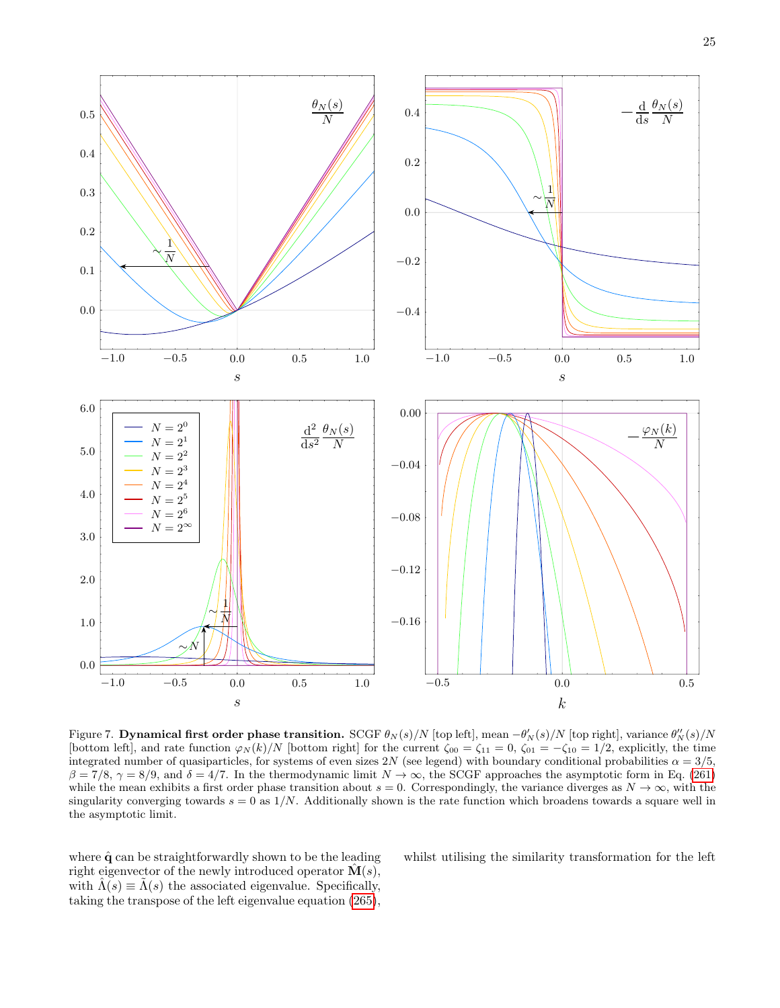

<span id="page-24-0"></span>Figure 7. Dynamical first order phase transition. SCGF  $\theta_N(s)/N$  [top left], mean  $-\theta'_N(s)/N$  [top right], variance  $\theta''_N(s)/N$ [bottom left], and rate function  $\varphi_N(k)/N$  [bottom right] for the current  $\zeta_{00} = \zeta_{11} = 0$ ,  $\zeta_{01} = -\zeta_{10} = 1/2$ , explicitly, the time integrated number of quasiparticles, for systems of even sizes 2N (see legend) with boundary conditional probabilities  $\alpha = 3/5$ ,  $\beta = 7/8$ ,  $\gamma = 8/9$ , and  $\delta = 4/7$ . In the thermodynamic limit  $N \to \infty$ , the SCGF approaches the asymptotic form in Eq. [\(261\)](#page-23-0) while the mean exhibits a first order phase transition about  $s = 0$ . Correspondingly, the variance diverges as  $N \to \infty$ , with the singularity converging towards  $s = 0$  as  $1/N$ . Additionally shown is the rate function which broadens towards a square well in the asymptotic limit.

where  $\hat{q}$  can be straightforwardly shown to be the leading right eigenvector of the newly introduced operator  $\hat{\mathbf{M}}(s)$ , with  $\Lambda(s) \equiv \Lambda(s)$  the associated eigenvalue. Specifically, taking the transpose of the left eigenvalue equation [\(265\)](#page-23-1),

whilst utilising the similarity transformation for the left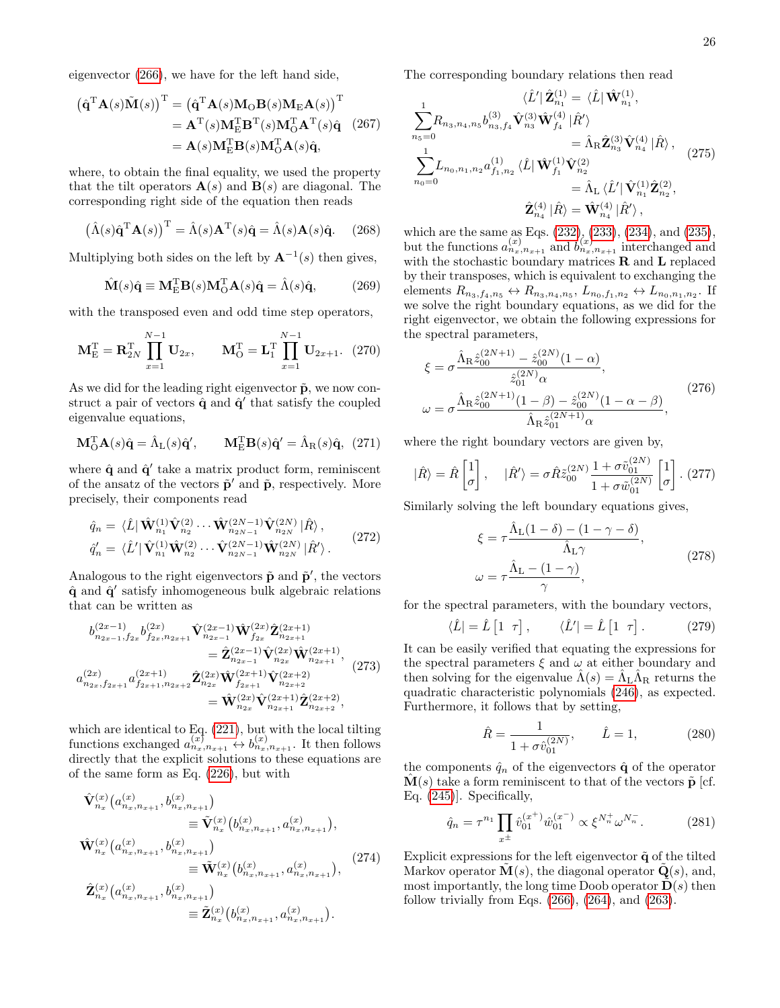eigenvector [\(266\)](#page-23-2), we have for the left hand side,

$$
(\hat{\mathbf{q}}^{\mathrm{T}}\mathbf{A}(s)\tilde{\mathbf{M}}(s))^{\mathrm{T}} = (\hat{\mathbf{q}}^{\mathrm{T}}\mathbf{A}(s)\mathbf{M}_{\mathrm{O}}\mathbf{B}(s)\mathbf{M}_{\mathrm{E}}\mathbf{A}(s))^{\mathrm{T}} \n= \mathbf{A}^{\mathrm{T}}(s)\mathbf{M}_{\mathrm{E}}^{\mathrm{T}}\mathbf{B}^{\mathrm{T}}(s)\mathbf{M}_{\mathrm{O}}^{\mathrm{T}}\mathbf{A}^{\mathrm{T}}(s)\hat{\mathbf{q}} \quad (267) \n= \mathbf{A}(s)\mathbf{M}_{\mathrm{E}}^{\mathrm{T}}\mathbf{B}(s)\mathbf{M}_{\mathrm{O}}^{\mathrm{T}}\mathbf{A}(s)\hat{\mathbf{q}},
$$

where, to obtain the final equality, we used the property that the tilt operators  $\mathbf{A}(s)$  and  $\mathbf{B}(s)$  are diagonal. The corresponding right side of the equation then reads

$$
(\hat{\Lambda}(s)\hat{\mathbf{q}}^{\mathrm{T}}\mathbf{A}(s))^{\mathrm{T}} = \hat{\Lambda}(s)\mathbf{A}^{\mathrm{T}}(s)\hat{\mathbf{q}} = \hat{\Lambda}(s)\mathbf{A}(s)\hat{\mathbf{q}}.
$$
 (268)

Multiplying both sides on the left by  $\mathbf{A}^{-1}(s)$  then gives,

$$
\hat{\mathbf{M}}(s)\hat{\mathbf{q}} \equiv \mathbf{M}_{\mathrm{E}}^{\mathrm{T}} \mathbf{B}(s) \mathbf{M}_{\mathrm{O}}^{\mathrm{T}} \mathbf{A}(s)\hat{\mathbf{q}} = \hat{\Lambda}(s)\hat{\mathbf{q}}, \quad (269)
$$

with the transposed even and odd time step operators,

$$
\mathbf{M}_{\mathrm{E}}^{\mathrm{T}} = \mathbf{R}_{2N}^{\mathrm{T}} \prod_{x=1}^{N-1} \mathbf{U}_{2x}, \qquad \mathbf{M}_{\mathrm{O}}^{\mathrm{T}} = \mathbf{L}_{1}^{\mathrm{T}} \prod_{x=1}^{N-1} \mathbf{U}_{2x+1}. \tag{270}
$$

As we did for the leading right eigenvector  $\tilde{\mathbf{p}}$ , we now construct a pair of vectors  $\hat{\mathbf{q}}$  and  $\hat{\mathbf{q}}'$  that satisfy the coupled eigenvalue equations,

$$
\mathbf{M}_{\mathbf{O}}^{\mathbf{T}}\mathbf{A}(s)\hat{\mathbf{q}} = \hat{\Lambda}_{\mathbf{L}}(s)\hat{\mathbf{q}}', \qquad \mathbf{M}_{\mathbf{E}}^{\mathbf{T}}\mathbf{B}(s)\hat{\mathbf{q}}' = \hat{\Lambda}_{\mathbf{R}}(s)\hat{\mathbf{q}}, \tag{271}
$$

where  $\hat{\mathbf{q}}$  and  $\hat{\mathbf{q}}'$  take a matrix product form, reminiscent of the ansatz of the vectors  $\tilde{\mathbf{p}}'$  and  $\tilde{\mathbf{p}}$ , respectively. More precisely, their components read

$$
\hat{q}_n = \langle \hat{L} | \hat{\mathbf{W}}_{n_1}^{(1)} \hat{\mathbf{V}}_{n_2}^{(2)} \cdots \hat{\mathbf{W}}_{n_{2N-1}}^{(2N-1)} \hat{\mathbf{V}}_{n_{2N}}^{(2N)} | \hat{R} \rangle, \n\hat{q}'_n = \langle \hat{L}' | \hat{\mathbf{V}}_{n_1}^{(1)} \hat{\mathbf{W}}_{n_2}^{(2)} \cdots \hat{\mathbf{V}}_{n_{2N-1}}^{(2N-1)} \hat{\mathbf{W}}_{n_{2N}}^{(2N)} | \hat{R}' \rangle.
$$
\n(272)

Analogous to the right eigenvectors  $\tilde{\mathbf{p}}$  and  $\tilde{\mathbf{p}}'$ , the vectors  $\hat{\mathbf{q}}$  and  $\hat{\mathbf{q}}'$  satisfy inhomogeneous bulk algebraic relations that can be written as

$$
b_{n_{2x-1},f_{2x}}^{(2x-1)} b_{f_{2x},n_{2x+1}}^{(2x)} \hat{\mathbf{V}}_{n_{2x-1}}^{(2x-1)} \hat{\mathbf{W}}_{f_{2x}}^{(2x)} \hat{\mathbf{Z}}_{n_{2x+1}}^{(2x+1)} = \hat{\mathbf{Z}}_{n_{2x-1}}^{(2x-1)} \hat{\mathbf{V}}_{n_{2x}}^{(2x)} \hat{\mathbf{W}}_{n_{2x+1}}^{(2x+1)}, a_{n_{2x},f_{2x+1}}^{(2x)} a_{f_{2x+1},n_{2x+2}}^{(2x+1)} \hat{\mathbf{Z}}_{n_{2x}}^{(2x)} \hat{\mathbf{W}}_{f_{2x+1}}^{(2x+1)} \hat{\mathbf{V}}_{n_{2x+2}}^{(2x+2)} = \hat{\mathbf{W}}_{n_{2x}}^{(2x)} \hat{\mathbf{V}}_{n_{2x+1}}^{(2x+1)} \hat{\mathbf{Z}}_{n_{2x+2}}^{(2x+2)},
$$
\n(273)

which are identical to Eq.  $(221)$ , but with the local tilting functions exchanged  $a_{n_x,n_{x+1}}^{(x)} \leftrightarrow b_{n_x,n_{x+1}}^{(x)}$ . It then follows directly that the explicit solutions to these equations are of the same form as Eq. [\(226\)](#page-21-5), but with

$$
\hat{\mathbf{V}}_{n_x}^{(x)}(a_{n_x,n_{x+1}}^{(x)},b_{n_x,n_{x+1}}^{(x)})
$$
\n
$$
\equiv \tilde{\mathbf{V}}_{n_x}^{(x)}(b_{n_x,n_{x+1}}^{(x)},a_{n_x,n_{x+1}}^{(x)}),
$$
\n
$$
\hat{\mathbf{W}}_{n_x}^{(x)}(a_{n_x,n_{x+1}}^{(x)},b_{n_x,n_{x+1}}^{(x)})
$$
\n
$$
\equiv \tilde{\mathbf{W}}_{n_x}^{(x)}(b_{n_x,n_{x+1}}^{(x)},a_{n_x,n_{x+1}}^{(x)}),
$$
\n
$$
\hat{\mathbf{Z}}_{n_x}^{(x)}(a_{n_x,n_{x+1}}^{(x)},b_{n_x,n_{x+1}}^{(x)})
$$
\n
$$
\equiv \tilde{\mathbf{Z}}_{n_x}^{(x)}(b_{n_x,n_{x+1}}^{(x)},a_{n_x,n_{x+1}}^{(x)}).
$$
\n(274)

The corresponding boundary relations then read

$$
\langle \hat{L}' | \hat{\mathbf{Z}}_{n_1}^{(1)} = \langle \hat{L} | \hat{\mathbf{W}}_{n_1}^{(1)},
$$
\n
$$
\sum_{n_5=0}^{1} R_{n_3, n_4, n_5} b_{n_3, f_4}^{(3)} \hat{\mathbf{V}}_{n_3}^{(3)} \hat{\mathbf{W}}_{f_4}^{(4)} | \hat{R}'\rangle
$$
\n
$$
= \hat{\Lambda}_{\text{R}} \hat{\mathbf{Z}}_{n_3}^{(3)} \hat{\mathbf{V}}_{n_4}^{(4)} | \hat{R}\rangle,
$$
\n
$$
\sum_{n_0=0}^{1} L_{n_0, n_1, n_2} a_{f_1, n_2}^{(1)} \langle \hat{L} | \hat{\mathbf{W}}_{f_1}^{(1)} \hat{\mathbf{V}}_{n_2}^{(2)}\rangle
$$
\n
$$
= \hat{\Lambda}_{\text{L}} \langle \hat{L}' | \hat{\mathbf{V}}_{n_1}^{(1)} \hat{\mathbf{Z}}_{n_2}^{(2)},
$$
\n
$$
\hat{\mathbf{Z}}_{n_4}^{(4)} | \hat{R}\rangle = \hat{\mathbf{W}}_{n_4}^{(4)} | \hat{R}'\rangle,
$$
\n(275)

which are the same as Eqs. [\(232\)](#page-21-2), [\(233\)](#page-21-0), [\(234\)](#page-21-3), and [\(235\)](#page-21-1), but the functions  $a_{n_x,n_{x+1}}^{(x)}$  and  $b_{n_x,n_{x+1}}^{(x)}$  interchanged and with the stochastic boundary matrices  $\bf R$  and  $\bf L$  replaced by their transposes, which is equivalent to exchanging the elements  $R_{n_3, f_4, n_5} \leftrightarrow R_{n_3, n_4, n_5}, L_{n_0, f_1, n_2} \leftrightarrow L_{n_0, n_1, n_2}$ . If we solve the right boundary equations, as we did for the right eigenvector, we obtain the following expressions for the spectral parameters,

$$
\xi = \sigma \frac{\hat{\Lambda}_{\rm R} \hat{z}_{00}^{(2N+1)} - \hat{z}_{00}^{(2N)} (1 - \alpha)}{\hat{z}_{01}^{(2N)} \alpha},
$$
  

$$
\omega = \sigma \frac{\hat{\Lambda}_{\rm R} \hat{z}_{00}^{(2N+1)} (1 - \beta) - \hat{z}_{00}^{(2N)} (1 - \alpha - \beta)}{\hat{\Lambda}_{\rm R} \hat{z}_{01}^{(2N+1)} \alpha},
$$
(276)

where the right boundary vectors are given by,

$$
|\hat{R}\rangle = \hat{R}\begin{bmatrix} 1 \\ \sigma \end{bmatrix}, \quad |\hat{R}'\rangle = \sigma \hat{R}\tilde{z}_{00}^{(2N)}\frac{1+\sigma\tilde{v}_{01}^{(2N)}}{1+\sigma\tilde{w}_{01}^{(2N)}}\begin{bmatrix} 1 \\ \sigma \end{bmatrix}. (277)
$$

Similarly solving the left boundary equations gives,

$$
\xi = \tau \frac{\hat{\Lambda}_{\text{L}}(1-\delta) - (1-\gamma-\delta)}{\hat{\Lambda}_{\text{L}}\gamma},
$$
  

$$
\omega = \tau \frac{\hat{\Lambda}_{\text{L}} - (1-\gamma)}{\gamma},
$$
 (278)

for the spectral parameters, with the boundary vectors,

$$
\langle \hat{L} | = \hat{L} \begin{bmatrix} 1 & \tau \end{bmatrix}, \qquad \langle \hat{L}' | = \hat{L} \begin{bmatrix} 1 & \tau \end{bmatrix}. \tag{279}
$$

It can be easily verified that equating the expressions for the spectral parameters  $\xi$  and  $\omega$  at either boundary and then solving for the eigenvalue  $\hat{\Lambda}(s) = \hat{\Lambda}_{\rm L} \hat{\Lambda}_{\rm R}$  returns the quadratic characteristic polynomials [\(246\)](#page-22-0), as expected. Furthermore, it follows that by setting,

$$
\hat{R} = \frac{1}{1 + \sigma \hat{v}_{01}^{(2N)}}, \qquad \hat{L} = 1,\tag{280}
$$

the components  $\hat{q}_n$  of the eigenvectors  $\hat{q}$  of the operator  $\mathbf{M}(s)$  take a form reminiscent to that of the vectors  $\tilde{\mathbf{p}}$  [cf. Eq. [\(245\)](#page-22-2)]. Specifically,

$$
\hat{q}_n = \tau^{n_1} \prod_{x^{\pm}} \hat{v}_{01}^{(x^+)} \hat{w}_{01}^{(x^-)} \propto \xi^{N_n^+} \omega^{N_n^-}.
$$
 (281)

Explicit expressions for the left eigenvector  $\tilde{\mathbf{q}}$  of the tilted Markov operator  $\mathbf{M}(s)$ , the diagonal operator  $\mathbf{Q}(s)$ , and, most importantly, the long time Doob operator  $\mathbf{D}(s)$  then follow trivially from Eqs.  $(266)$ ,  $(264)$ , and  $(263)$ .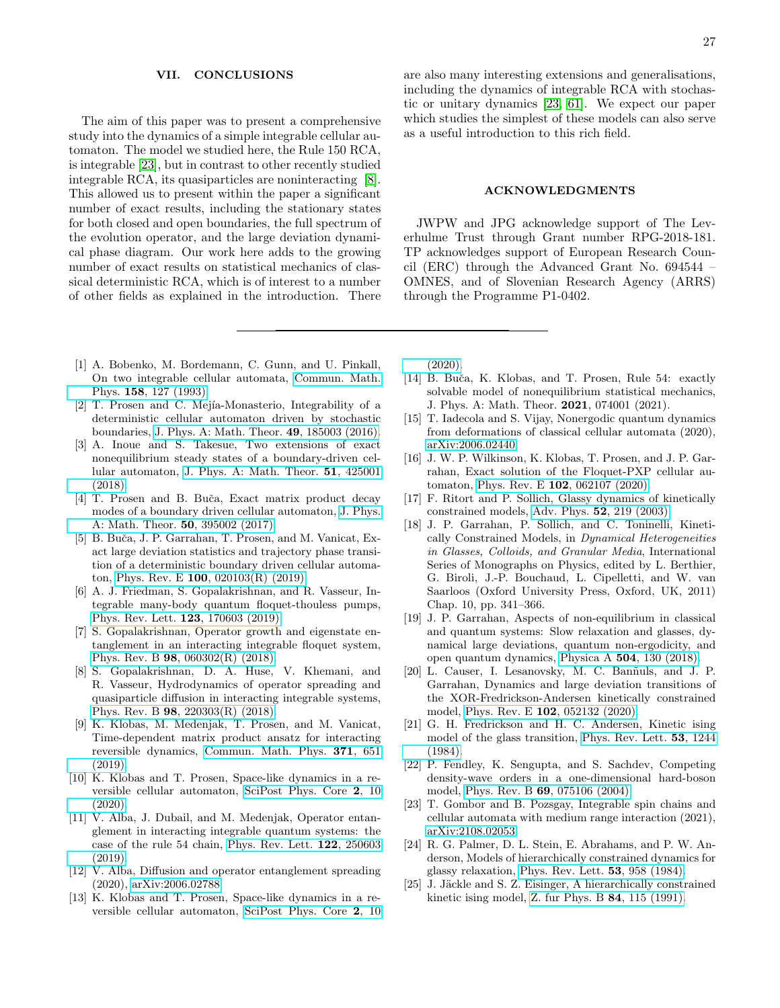### <span id="page-26-16"></span>VII. CONCLUSIONS

The aim of this paper was to present a comprehensive study into the dynamics of a simple integrable cellular automaton. The model we studied here, the Rule 150 RCA, is integrable [\[23\]](#page-26-12), but in contrast to other recently studied integrable RCA, its quasiparticles are noninteracting [\[8\]](#page-26-13). This allowed us to present within the paper a significant number of exact results, including the stationary states for both closed and open boundaries, the full spectrum of the evolution operator, and the large deviation dynamical phase diagram. Our work here adds to the growing number of exact results on statistical mechanics of classical deterministic RCA, which is of interest to a number of other fields as explained in the introduction. There

- <span id="page-26-0"></span>[1] A. Bobenko, M. Bordemann, C. Gunn, and U. Pinkall, On two integrable cellular automata, [Commun. Math.](https://doi.org/10.1007/BF02097234) Phys. 158[, 127 \(1993\).](https://doi.org/10.1007/BF02097234)
- <span id="page-26-1"></span>[2] T. Prosen and C. Mejía-Monasterio, Integrability of a deterministic cellular automaton driven by stochastic boundaries, [J. Phys. A: Math. Theor.](http://stacks.iop.org/1751-8121/49/i=18/a=185003) 49, 185003 (2016).
- [3] A. Inoue and S. Takesue, Two extensions of exact nonequilibrium steady states of a boundary-driven cellular automaton, [J. Phys. A: Math. Theor.](https://doi.org/10.1088/1751-8121/aadc29) 51, 425001 [\(2018\).](https://doi.org/10.1088/1751-8121/aadc29)
- <span id="page-26-18"></span>[4] T. Prosen and B. Buča, Exact matrix product decay modes of a boundary driven cellular automaton, [J. Phys.](http://stacks.iop.org/1751-8121/50/i=39/a=395002) [A: Math. Theor.](http://stacks.iop.org/1751-8121/50/i=39/a=395002) 50, 395002 (2017).
- <span id="page-26-11"></span>[5] B. Buča, J. P. Garrahan, T. Prosen, and M. Vanicat, Exact large deviation statistics and trajectory phase transition of a deterministic boundary driven cellular automaton, Phys. Rev. E 100[, 020103\(R\) \(2019\).](https://doi.org/10.1103/PhysRevE.100.020103)
- <span id="page-26-19"></span>[6] A. J. Friedman, S. Gopalakrishnan, and R. Vasseur, Integrable many-body quantum floquet-thouless pumps, [Phys. Rev. Lett.](https://doi.org/10.1103/PhysRevLett.123.170603) 123, 170603 (2019).
- <span id="page-26-14"></span>[7] S. Gopalakrishnan, Operator growth and eigenstate entanglement in an interacting integrable floquet system, Phys. Rev. B 98[, 060302\(R\) \(2018\).](https://doi.org/10.1103/PhysRevB.98.060302)
- <span id="page-26-13"></span>[8] S. Gopalakrishnan, D. A. Huse, V. Khemani, and R. Vasseur, Hydrodynamics of operator spreading and quasiparticle diffusion in interacting integrable systems, Phys. Rev. B 98[, 220303\(R\) \(2018\).](https://doi.org/10.1103/PhysRevB.98.220303)
- [9] K. Klobas, M. Medenjak, T. Prosen, and M. Vanicat, Time-dependent matrix product ansatz for interacting reversible dynamics, [Commun. Math. Phys.](https://doi.org/10.1007/s00220-019-03494-5) 371, 651 [\(2019\).](https://doi.org/10.1007/s00220-019-03494-5)
- [10] K. Klobas and T. Prosen, Space-like dynamics in a reversible cellular automaton, [SciPost Phys. Core](https://doi.org/10.21468/SciPostPhysCore.2.2.010) 2, 10 [\(2020\).](https://doi.org/10.21468/SciPostPhysCore.2.2.010)
- <span id="page-26-17"></span>[11] V. Alba, J. Dubail, and M. Medenjak, Operator entanglement in interacting integrable quantum systems: the case of the rule 54 chain, [Phys. Rev. Lett.](https://doi.org/10.1103/PhysRevLett.122.250603) 122, 250603 [\(2019\).](https://doi.org/10.1103/PhysRevLett.122.250603)
- [12] V. Alba, Diffusion and operator entanglement spreading (2020), [arXiv:2006.02788.](https://arxiv.org/abs/2006.02788)
- <span id="page-26-2"></span>[13] K. Klobas and T. Prosen, Space-like dynamics in a reversible cellular automaton, [SciPost Phys. Core](https://doi.org/10.21468/SciPostPhysCore.2.2.010) 2, 10

are also many interesting extensions and generalisations, including the dynamics of integrable RCA with stochastic or unitary dynamics [\[23,](#page-26-12) [61\]](#page-27-21). We expect our paper which studies the simplest of these models can also serve as a useful introduction to this rich field.

### ACKNOWLEDGMENTS

JWPW and JPG acknowledge support of The Leverhulme Trust through Grant number RPG-2018-181. TP acknowledges support of European Research Council (ERC) through the Advanced Grant No. 694544 – OMNES, and of Slovenian Research Agency (ARRS) through the Programme P1-0402.

[\(2020\).](https://doi.org/10.21468/SciPostPhysCore.2.2.010)

- <span id="page-26-3"></span>[14] B. Buča, K. Klobas, and T. Prosen, Rule 54: exactly solvable model of nonequilibrium statistical mechanics, J. Phys. A: Math. Theor. 2021, 074001 (2021).
- <span id="page-26-4"></span>[15] T. Iadecola and S. Vijay, Nonergodic quantum dynamics from deformations of classical cellular automata (2020), [arXiv:2006.02440.](https://arxiv.org/abs/2006.02440)
- <span id="page-26-5"></span>[16] J. W. P. Wilkinson, K. Klobas, T. Prosen, and J. P. Garrahan, Exact solution of the Floquet-PXP cellular automaton, Phys. Rev. E 102[, 062107 \(2020\).](https://doi.org/10.1103/PhysRevE.102.062107)
- <span id="page-26-6"></span>[17] F. Ritort and P. Sollich, Glassy dynamics of kinetically constrained models, Adv. Phys. 52[, 219 \(2003\).](https://doi.org/10.1080/0001873031000093582)
- [18] J. P. Garrahan, P. Sollich, and C. Toninelli, Kinetically Constrained Models, in Dynamical Heterogeneities in Glasses, Colloids, and Granular Media, International Series of Monographs on Physics, edited by L. Berthier, G. Biroli, J.-P. Bouchaud, L. Cipelletti, and W. van Saarloos (Oxford University Press, Oxford, UK, 2011) Chap. 10, pp. 341–366.
- <span id="page-26-7"></span>[19] J. P. Garrahan, Aspects of non-equilibrium in classical and quantum systems: Slow relaxation and glasses, dynamical large deviations, quantum non-ergodicity, and open quantum dynamics, Physica A 504[, 130 \(2018\).](https://doi.org/https://doi.org/10.1016/j.physa.2017.12.149)
- <span id="page-26-8"></span>[20] L. Causer, I. Lesanovsky, M. C. Banñuls, and J. P. Garrahan, Dynamics and large deviation transitions of the XOR-Fredrickson-Andersen kinetically constrained model, Phys. Rev. E 102[, 052132 \(2020\).](https://doi.org/10.1103/PhysRevE.102.052132)
- <span id="page-26-9"></span>[21] G. H. Fredrickson and H. C. Andersen, Kinetic ising model of the glass transition, [Phys. Rev. Lett.](https://doi.org/10.1103/PhysRevLett.53.1244) 53, 1244 [\(1984\).](https://doi.org/10.1103/PhysRevLett.53.1244)
- <span id="page-26-10"></span>[22] P. Fendley, K. Sengupta, and S. Sachdev, Competing density-wave orders in a one-dimensional hard-boson model, Phys. Rev. B 69[, 075106 \(2004\).](https://doi.org/10.1103/PhysRevB.69.075106)
- <span id="page-26-12"></span>[23] T. Gombor and B. Pozsgay, Integrable spin chains and cellular automata with medium range interaction (2021), [arXiv:2108.02053.](https://arxiv.org/abs/2108.02053)
- <span id="page-26-15"></span>[24] R. G. Palmer, D. L. Stein, E. Abrahams, and P. W. Anderson, Models of hierarchically constrained dynamics for glassy relaxation, [Phys. Rev. Lett.](https://doi.org/10.1103/PhysRevLett.53.958) 53, 958 (1984).
- [25] J. Jäckle and S. Z. Eisinger, A hierarchically constrained kinetic ising model, [Z. fur Phys. B](https://doi.org/10.1007/BF01453764) 84, 115 (1991).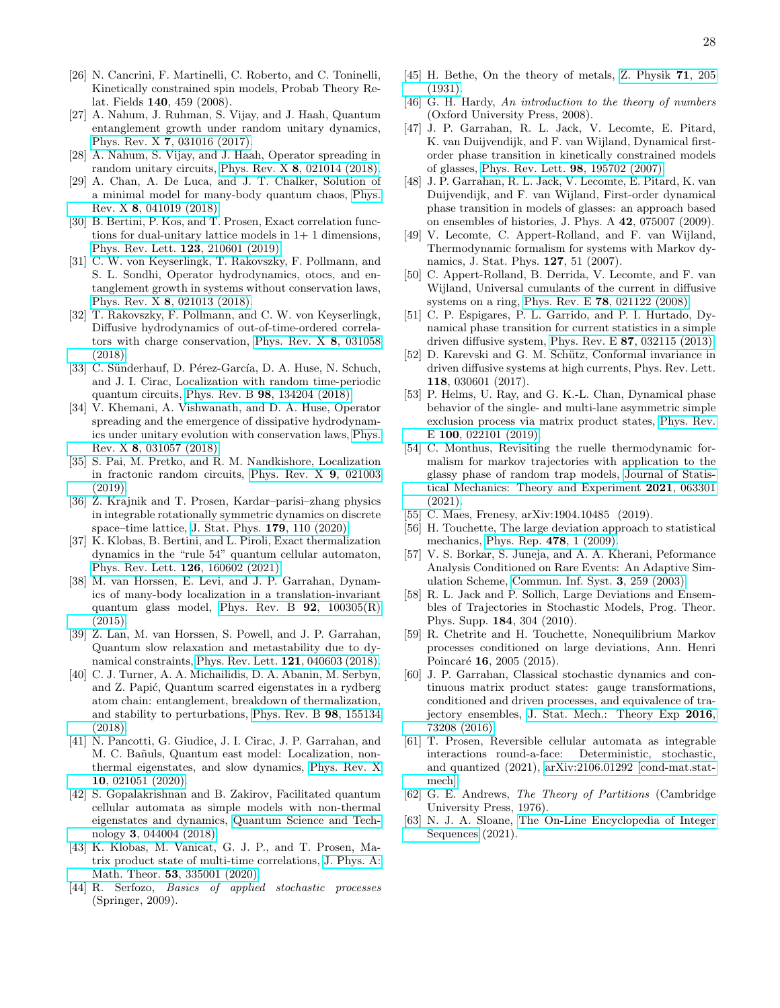- <span id="page-27-0"></span>[26] N. Cancrini, F. Martinelli, C. Roberto, and C. Toninelli, Kinetically constrained spin models, Probab Theory Relat. Fields 140, 459 (2008).
- <span id="page-27-1"></span>[27] A. Nahum, J. Ruhman, S. Vijay, and J. Haah, Quantum entanglement growth under random unitary dynamics, Phys. Rev. X 7[, 031016 \(2017\).](https://doi.org/10.1103/PhysRevX.7.031016)
- [28] A. Nahum, S. Vijay, and J. Haah, Operator spreading in random unitary circuits, Phys. Rev. X 8[, 021014 \(2018\).](https://doi.org/10.1103/PhysRevX.8.021014)
- [29] A. Chan, A. De Luca, and J. T. Chalker, Solution of a minimal model for many-body quantum chaos, [Phys.](https://doi.org/10.1103/PhysRevX.8.041019) Rev. X 8[, 041019 \(2018\).](https://doi.org/10.1103/PhysRevX.8.041019)
- <span id="page-27-3"></span>[30] B. Bertini, P. Kos, and T. Prosen, Exact correlation functions for dual-unitary lattice models in  $1+1$  dimensions, [Phys. Rev. Lett.](https://doi.org/10.1103/PhysRevLett.123.210601) 123, 210601 (2019).
- [31] C. W. von Keyserlingk, T. Rakovszky, F. Pollmann, and S. L. Sondhi, Operator hydrodynamics, otocs, and entanglement growth in systems without conservation laws, Phys. Rev. X 8[, 021013 \(2018\).](https://doi.org/10.1103/PhysRevX.8.021013)
- [32] T. Rakovszky, F. Pollmann, and C. W. von Keyserlingk, Diffusive hydrodynamics of out-of-time-ordered correlators with charge conservation, [Phys. Rev. X](https://doi.org/10.1103/PhysRevX.8.031058) 8, 031058 [\(2018\).](https://doi.org/10.1103/PhysRevX.8.031058)
- [33] C. Sünderhauf, D. Pérez-García, D. A. Huse, N. Schuch, and J. I. Cirac, Localization with random time-periodic quantum circuits, Phys. Rev. B 98[, 134204 \(2018\).](https://doi.org/10.1103/PhysRevB.98.134204)
- [34] V. Khemani, A. Vishwanath, and D. A. Huse, Operator spreading and the emergence of dissipative hydrodynamics under unitary evolution with conservation laws, [Phys.](https://doi.org/10.1103/PhysRevX.8.031057) Rev. X 8[, 031057 \(2018\).](https://doi.org/10.1103/PhysRevX.8.031057)
- <span id="page-27-2"></span>[35] S. Pai, M. Pretko, and R. M. Nandkishore, Localization in fractonic random circuits, [Phys. Rev. X](https://doi.org/10.1103/PhysRevX.9.021003) 9, 021003 [\(2019\).](https://doi.org/10.1103/PhysRevX.9.021003)
- <span id="page-27-4"></span>[36]  $\ddot{Z}$ . Krajnik and T. Prosen, Kardar–parisi–zhang physics in integrable rotationally symmetric dynamics on discrete space–time lattice, [J. Stat. Phys.](https://doi.org/10.1007/s10955-020-02523-1) 179, 110 (2020).
- <span id="page-27-5"></span>[37] K. Klobas, B. Bertini, and L. Piroli, Exact thermalization dynamics in the "rule 54" quantum cellular automaton, [Phys. Rev. Lett.](https://doi.org/10.1103/PhysRevLett.126.160602) 126, 160602 (2021).
- <span id="page-27-6"></span>[38] M. van Horssen, E. Levi, and J. P. Garrahan, Dynamics of many-body localization in a translation-invariant quantum glass model, [Phys. Rev. B](https://doi.org/10.1103/PhysRevB.92.100305)  $92$ ,  $100305(R)$ [\(2015\).](https://doi.org/10.1103/PhysRevB.92.100305)
- [39] Z. Lan, M. van Horssen, S. Powell, and J. P. Garrahan, Quantum slow relaxation and metastability due to dynamical constraints, [Phys. Rev. Lett.](https://doi.org/10.1103/PhysRevLett.121.040603) 121, 040603 (2018).
- [40] C. J. Turner, A. A. Michailidis, D. A. Abanin, M. Serbyn, and Z. Papić, Quantum scarred eigenstates in a rydberg atom chain: entanglement, breakdown of thermalization, and stability to perturbations, [Phys. Rev. B](https://doi.org/10.1103/PhysRevB.98.155134) 98, 155134 [\(2018\).](https://doi.org/10.1103/PhysRevB.98.155134)
- <span id="page-27-7"></span>[41] N. Pancotti, G. Giudice, J. I. Cirac, J. P. Garrahan, and M. C. Ba˜nuls, Quantum east model: Localization, nonthermal eigenstates, and slow dynamics, [Phys. Rev. X](https://doi.org/10.1103/PhysRevX.10.021051) 10[, 021051 \(2020\).](https://doi.org/10.1103/PhysRevX.10.021051)
- <span id="page-27-8"></span>[42] S. Gopalakrishnan and B. Zakirov, Facilitated quantum cellular automata as simple models with non-thermal eigenstates and dynamics, [Quantum Science and Tech](https://doi.org/10.1088/2058-9565/aad759)nology 3[, 044004 \(2018\).](https://doi.org/10.1088/2058-9565/aad759)
- <span id="page-27-9"></span>[43] K. Klobas, M. Vanicat, G. J. P., and T. Prosen, Matrix product state of multi-time correlations, [J. Phys. A:](https://doi.org/10.1088/1751-8121/ab8c62) Math. Theor. 53[, 335001 \(2020\).](https://doi.org/10.1088/1751-8121/ab8c62)
- <span id="page-27-10"></span>[44] R. Serfozo, Basics of applied stochastic processes (Springer, 2009).
- <span id="page-27-11"></span>[45] H. Bethe, On the theory of metals, [Z. Physik](https://doi.org/10.1007/BF01341708) 71, 205 [\(1931\).](https://doi.org/10.1007/BF01341708)
- <span id="page-27-12"></span>[46] G. H. Hardy, An introduction to the theory of numbers (Oxford University Press, 2008).
- <span id="page-27-13"></span>[47] J. P. Garrahan, R. L. Jack, V. Lecomte, E. Pitard, K. van Duijvendijk, and F. van Wijland, Dynamical firstorder phase transition in kinetically constrained models of glasses, [Phys. Rev. Lett.](http://dx.doi.org/10.1103/PhysRevLett.98.195702) 98, 195702 (2007).
- <span id="page-27-14"></span>[48] J. P. Garrahan, R. L. Jack, V. Lecomte, E. Pitard, K. van Duijvendijk, and F. van Wijland, First-order dynamical phase transition in models of glasses: an approach based on ensembles of histories, J. Phys. A 42, 075007 (2009).
- <span id="page-27-15"></span>[49] V. Lecomte, C. Appert-Rolland, and F. van Wijland, Thermodynamic formalism for systems with Markov dynamics, J. Stat. Phys. 127, 51 (2007).
- [50] C. Appert-Rolland, B. Derrida, V. Lecomte, and F. van Wijland, Universal cumulants of the current in diffusive systems on a ring, Phys. Rev. E 78[, 021122 \(2008\).](https://doi.org/10.1103/PhysRevE.78.021122)
- [51] C. P. Espigares, P. L. Garrido, and P. I. Hurtado, Dynamical phase transition for current statistics in a simple driven diffusive system, Phys. Rev. E 87[, 032115 \(2013\).](https://doi.org/10.1103/PhysRevE.87.032115)
- [52] D. Karevski and G. M. Schütz, Conformal invariance in driven diffusive systems at high currents, Phys. Rev. Lett. 118, 030601 (2017).
- [53] P. Helms, U. Ray, and G. K.-L. Chan, Dynamical phase behavior of the single- and multi-lane asymmetric simple exclusion process via matrix product states, [Phys. Rev.](https://doi.org/10.1103/PhysRevE.100.022101) E 100[, 022101 \(2019\).](https://doi.org/10.1103/PhysRevE.100.022101)
- <span id="page-27-16"></span>[54] C. Monthus, Revisiting the ruelle thermodynamic formalism for markov trajectories with application to the glassy phase of random trap models, [Journal of Statis](https://doi.org/10.1088/1742-5468/ac06c1)[tical Mechanics: Theory and Experiment](https://doi.org/10.1088/1742-5468/ac06c1) 2021, 063301 [\(2021\).](https://doi.org/10.1088/1742-5468/ac06c1)
- <span id="page-27-17"></span>[55] C. Maes, Frenesy, arXiv:1904.10485 (2019).
- <span id="page-27-18"></span>[56] H. Touchette, The large deviation approach to statistical mechanics, [Phys. Rep.](https://doi.org/10.1016/j.physrep.2009.05.002) 478, 1 (2009).
- <span id="page-27-19"></span>[57] V. S. Borkar, S. Juneja, and A. A. Kherani, Peformance Analysis Conditioned on Rare Events: An Adaptive Simulation Scheme, [Commun. Inf. Syst.](https://projecteuclid.org:443/euclid.cis/1119639799) 3, 259 (2003).
- [58] R. L. Jack and P. Sollich, Large Deviations and Ensembles of Trajectories in Stochastic Models, Prog. Theor. Phys. Supp. 184, 304 (2010).
- [59] R. Chetrite and H. Touchette, Nonequilibrium Markov processes conditioned on large deviations, Ann. Henri Poincaré 16, 2005 (2015).
- <span id="page-27-20"></span>[60] J. P. Garrahan, Classical stochastic dynamics and continuous matrix product states: gauge transformations, conditioned and driven processes, and equivalence of trajectory ensembles, [J. Stat. Mech.: Theory Exp](http://stacks.iop.org/1742-5468/2016/i=7/a=073208) 2016, [73208 \(2016\).](http://stacks.iop.org/1742-5468/2016/i=7/a=073208)
- <span id="page-27-21"></span>[61] T. Prosen, Reversible cellular automata as integrable interactions round-a-face: Deterministic, stochastic, and quantized (2021), [arXiv:2106.01292 \[cond-mat.stat](https://arxiv.org/abs/2106.01292)[mech\].](https://arxiv.org/abs/2106.01292)
- <span id="page-27-22"></span>[62] G. E. Andrews, The Theory of Partitions (Cambridge University Press, 1976).
- <span id="page-27-23"></span>[63] N. J. A. Sloane, [The On-Line Encyclopedia of Integer](http://oeis.org/A000041) [Sequences](http://oeis.org/A000041) (2021).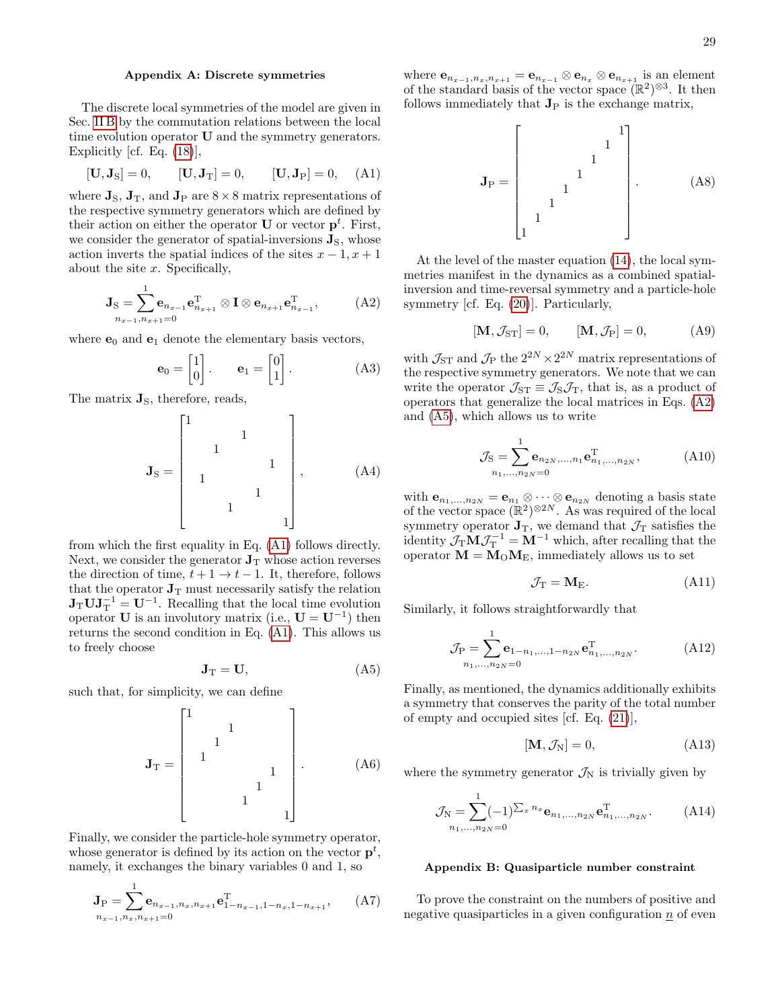## <span id="page-28-2"></span><span id="page-28-0"></span>Appendix A: Discrete symmetries

The discrete local symmetries of the model are given in Sec. [II B](#page-2-5) by the commutation relations between the local time evolution operator U and the symmetry generators. Explicitly [cf. Eq. [\(18\)](#page-2-6)],

$$
[\mathbf{U}, \mathbf{J}_S] = 0, \qquad [\mathbf{U}, \mathbf{J}_T] = 0, \qquad [\mathbf{U}, \mathbf{J}_P] = 0, \quad (A1)
$$

where  $\mathbf{J}_\text{S}$ ,  $\mathbf{J}_\text{T}$ , and  $\mathbf{J}_\text{P}$  are  $8 \times 8$  matrix representations of the respective symmetry generators which are defined by their action on either the operator **U** or vector  $\mathbf{p}^t$ . First, we consider the generator of spatial-inversions  $\mathbf{J}_\text{S}$ , whose action inverts the spatial indices of the sites  $x - 1$ ,  $x + 1$ about the site  $x$ . Specifically,

$$
\mathbf{J}_{\mathbf{S}} = \sum_{n_{x-1}, n_{x+1}=0}^{1} \mathbf{e}_{n_{x-1}} \mathbf{e}_{n_{x+1}}^{\mathrm{T}} \otimes \mathbf{I} \otimes \mathbf{e}_{n_{x+1}} \mathbf{e}_{n_{x-1}}^{\mathrm{T}}, \qquad (A2)
$$

where  $e_0$  and  $e_1$  denote the elementary basis vectors,

<span id="page-28-3"></span>
$$
\mathbf{e}_0 = \begin{bmatrix} 1 \\ 0 \end{bmatrix}, \qquad \mathbf{e}_1 = \begin{bmatrix} 0 \\ 1 \end{bmatrix}.
$$
 (A3)

The matrix  $\mathbf{J}_\text{S}$ , therefore, reads,

$$
\mathbf{J}_{\mathrm{S}} = \begin{bmatrix} 1 & & & & & & & \\ & & 1 & & & & & \\ & & 1 & & & & & \\ & & 1 & & & & & \\ & & & 1 & & & & \\ & & & 1 & & & & \\ & & & & & 1 & & \\ & & & & & & 1 \end{bmatrix}, \tag{A4}
$$

from which the first equality in Eq. [\(A1\)](#page-28-2) follows directly. Next, we consider the generator  $J_T$  whose action reverses the direction of time,  $t + 1 \rightarrow t - 1$ . It, therefore, follows that the operator  $J_T$  must necessarily satisfy the relation  $J_T U J_T^{-1} = U^{-1}$ . Recalling that the local time evolution operator **U** is an involutory matrix (i.e.,  $\mathbf{U} = \mathbf{U}^{-1}$ ) then returns the second condition in Eq. [\(A1\)](#page-28-2). This allows us to freely choose

<span id="page-28-4"></span>
$$
\mathbf{J}_{\mathrm{T}} = \mathbf{U},\tag{A5}
$$

such that, for simplicity, we can define

$$
\mathbf{J}_{\mathrm{T}} = \begin{bmatrix} 1 & & & & & \\ & 1 & & & & \\ & 1 & & & & \\ & & 1 & & & \\ & & & 1 & & \\ & & & & 1 & & \\ & & & & & 1 & \\ & & & & & & 1 \end{bmatrix} . \tag{A6}
$$

Finally, we consider the particle-hole symmetry operator, whose generator is defined by its action on the vector  $p^t$ , namely, it exchanges the binary variables 0 and 1, so

$$
\mathbf{J}_{\mathrm{P}} = \sum_{n_{x-1}, n_x, n_{x+1} = 0}^{1} \mathbf{e}_{n_{x-1}, n_x, n_{x+1}} \mathbf{e}_{1-n_{x-1}, 1-n_x, 1-n_{x+1}}^{\mathrm{T}}, \qquad \text{(A7)}
$$

where  $\mathbf{e}_{n_{x-1},n_x,n_{x+1}} = \mathbf{e}_{n_{x-1}} \otimes \mathbf{e}_{n_x} \otimes \mathbf{e}_{n_{x+1}}$  is an element of the standard basis of the vector space  $(\mathbb{R}^2)^{\otimes 3}$ . It then follows immediately that  $J_P$  is the exchange matrix,

J<sup>P</sup> = 1 1 1 1 1 1 1 1 . (A8)

At the level of the master equation [\(14\)](#page-2-7), the local symmetries manifest in the dynamics as a combined spatialinversion and time-reversal symmetry and a particle-hole symmetry [cf. Eq. [\(20\)](#page-3-4)]. Particularly,

$$
[\mathbf{M}, \mathcal{J}_{ST}] = 0, \qquad [\mathbf{M}, \mathcal{J}_P] = 0, \tag{A9}
$$

with  $\mathcal{J}_{ST}$  and  $\mathcal{J}_{P}$  the  $2^{2N} \times 2^{2N}$  matrix representations of the respective symmetry generators. We note that we can write the operator  $\mathcal{J}_{ST} \equiv \mathcal{J}_S \mathcal{J}_T$ , that is, as a product of operators that generalize the local matrices in Eqs. [\(A2\)](#page-28-3) and [\(A5\)](#page-28-4), which allows us to write

$$
\mathcal{J}_{S} = \sum_{n_1,\dots,n_{2N}=0}^{1} \mathbf{e}_{n_{2N},\dots,n_1} \mathbf{e}_{n_1,\dots,n_{2N}}^{\mathrm{T}}, \tag{A10}
$$

with  $\mathbf{e}_{n_1,...,n_{2N}} = \mathbf{e}_{n_1} \otimes \cdots \otimes \mathbf{e}_{n_{2N}}$  denoting a basis state of the vector space  $(\mathbb{R}^2)^{\otimes 2N}$ . As was required of the local symmetry operator  $\mathbf{J}_T$ , we demand that  $\mathcal{J}_T$  satisfies the identity  $\mathcal{J}_{T} \mathbf{M} \mathcal{J}_{T}^{-1} = \mathbf{M}^{-1}$  which, after recalling that the operator  $M = M_0 M_E$ , immediately allows us to set

$$
\mathcal{J}_{\mathrm{T}} = \mathbf{M}_{\mathrm{E}}.\tag{A11}
$$

Similarly, it follows straightforwardly that

$$
\mathcal{J}_{P} = \sum_{n_1, ..., n_{2N}}^{1} \mathbf{e}_{1-n_1, ..., 1-n_{2N}} \mathbf{e}_{n_1, ..., n_{2N}}^{T}.
$$
 (A12)

Finally, as mentioned, the dynamics additionally exhibits a symmetry that conserves the parity of the total number of empty and occupied sites [cf. Eq. [\(21\)](#page-3-5)],

$$
[\mathbf{M}, \mathcal{J}_N] = 0,\tag{A13}
$$

where the symmetry generator  $\mathcal{J}_N$  is trivially given by

$$
\mathcal{J}_N = \sum_{n_1,\dots,n_{2N}=0}^{1} (-1)^{\sum_x n_x} \mathbf{e}_{n_1,\dots,n_{2N}} \mathbf{e}_{n_1,\dots,n_{2N}}^{\mathrm{T}}.
$$
 (A14)

### <span id="page-28-1"></span>Appendix B: Quasiparticle number constraint

To prove the constraint on the numbers of positive and negative quasiparticles in a given configuration  $n$  of even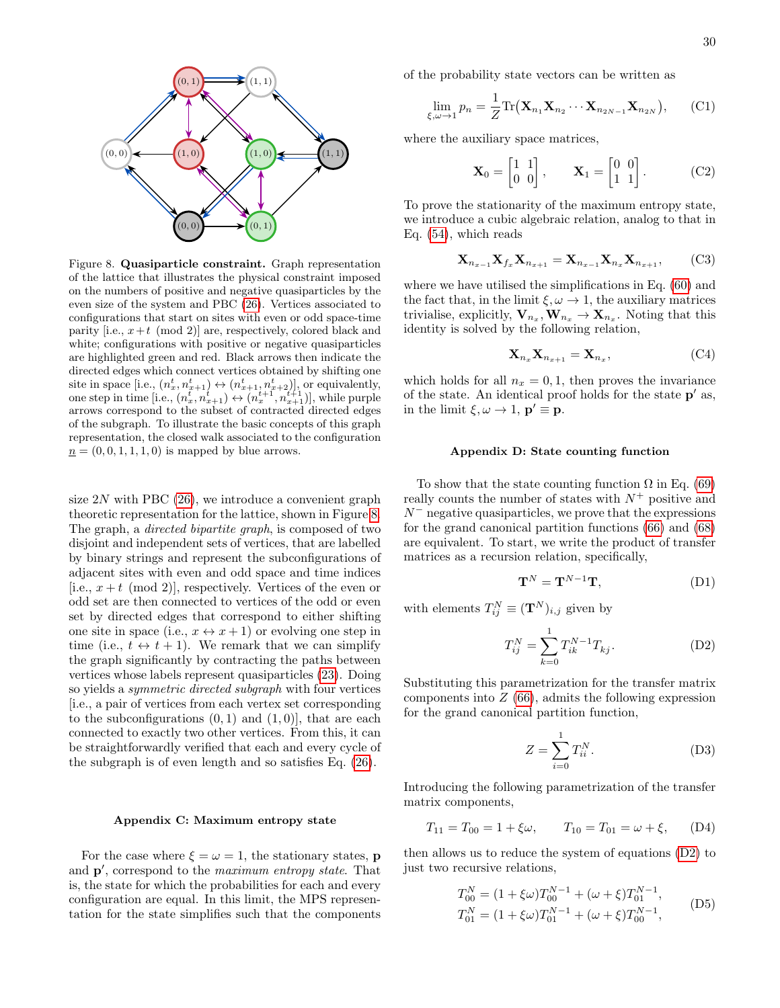

<span id="page-29-2"></span>Figure 8. Quasiparticle constraint. Graph representation of the lattice that illustrates the physical constraint imposed on the numbers of positive and negative quasiparticles by the even size of the system and PBC [\(26\)](#page-3-2). Vertices associated to configurations that start on sites with even or odd space-time parity [i.e.,  $x+t \pmod{2}$ ] are, respectively, colored black and white; configurations with positive or negative quasiparticles are highlighted green and red. Black arrows then indicate the directed edges which connect vertices obtained by shifting one site in space [i.e.,  $(n_x^t, n_{x+1}^t) \leftrightarrow (n_{x+1}^t, n_{x+2}^t)$ ], or equivalently, one step in time [i.e.,  $(n_x^t, n_{x+1}^t) \leftrightarrow (n_x^{t+1}, n_{x+1}^{t+1})$ ], while purple arrows correspond to the subset of contracted directed edges of the subgraph. To illustrate the basic concepts of this graph representation, the closed walk associated to the configuration  $n = (0, 0, 1, 1, 1, 0)$  is mapped by blue arrows.

size  $2N$  with PBC  $(26)$ , we introduce a convenient graph theoretic representation for the lattice, shown in Figure [8.](#page-29-2) The graph, a directed bipartite graph, is composed of two disjoint and independent sets of vertices, that are labelled by binary strings and represent the subconfigurations of adjacent sites with even and odd space and time indices [i.e.,  $x + t \pmod{2}$ ], respectively. Vertices of the even or odd set are then connected to vertices of the odd or even set by directed edges that correspond to either shifting one site in space (i.e.,  $x \leftrightarrow x+1$ ) or evolving one step in time (i.e.,  $t \leftrightarrow t + 1$ ). We remark that we can simplify the graph significantly by contracting the paths between vertices whose labels represent quasiparticles [\(23\)](#page-3-3). Doing so yields a *symmetric directed subgraph* with four vertices [i.e., a pair of vertices from each vertex set corresponding to the subconfigurations  $(0, 1)$  and  $(1, 0)$ , that are each connected to exactly two other vertices. From this, it can be straightforwardly verified that each and every cycle of the subgraph is of even length and so satisfies Eq. [\(26\)](#page-3-2).

### <span id="page-29-0"></span>Appendix C: Maximum entropy state

For the case where  $\xi = \omega = 1$ , the stationary states, **p** and  $\mathbf{p}'$ , correspond to the *maximum entropy state*. That is, the state for which the probabilities for each and every configuration are equal. In this limit, the MPS representation for the state simplifies such that the components of the probability state vectors can be written as

$$
\lim_{\xi,\omega \to 1} p_n = \frac{1}{Z} \text{Tr}(\mathbf{X}_{n_1} \mathbf{X}_{n_2} \cdots \mathbf{X}_{n_{2N-1}} \mathbf{X}_{n_{2N}}), \qquad (C1)
$$

where the auxiliary space matrices,

$$
\mathbf{X}_0 = \begin{bmatrix} 1 & 1 \\ 0 & 0 \end{bmatrix}, \qquad \mathbf{X}_1 = \begin{bmatrix} 0 & 0 \\ 1 & 1 \end{bmatrix}. \tag{C2}
$$

To prove the stationarity of the maximum entropy state, we introduce a cubic algebraic relation, analog to that in Eq. [\(54\)](#page-6-1), which reads

$$
\mathbf{X}_{n_{x-1}} \mathbf{X}_{f_x} \mathbf{X}_{n_{x+1}} = \mathbf{X}_{n_{x-1}} \mathbf{X}_{n_x} \mathbf{X}_{n_{x+1}},
$$
 (C3)

where we have utilised the simplifications in Eq. [\(60\)](#page-6-9) and the fact that, in the limit  $\xi, \omega \to 1$ , the auxiliary matrices trivialise, explicitly,  $\mathbf{V}_{n_x}, \mathbf{W}_{n_x} \to \mathbf{X}_{n_x}$ . Noting that this identity is solved by the following relation,

$$
\mathbf{X}_{n_x} \mathbf{X}_{n_{x+1}} = \mathbf{X}_{n_x},\tag{C4}
$$

which holds for all  $n_x = 0, 1$ , then proves the invariance of the state. An identical proof holds for the state  $p'$  as, in the limit  $\xi, \omega \to 1$ ,  $\mathbf{p}' \equiv \mathbf{p}$ .

## <span id="page-29-1"></span>Appendix D: State counting function

To show that the state counting function  $\Omega$  in Eq. [\(69\)](#page-7-1) really counts the number of states with  $N^+$  positive and  $N^-$  negative quasiparticles, we prove that the expressions for the grand canonical partition functions [\(66\)](#page-7-2) and [\(68\)](#page-7-3) are equivalent. To start, we write the product of transfer matrices as a recursion relation, specifically,

<span id="page-29-3"></span>
$$
\mathbf{T}^N = \mathbf{T}^{N-1}\mathbf{T},\tag{D1}
$$

with elements  $T_{ij}^N \equiv (\mathbf{T}^N)_{i,j}$  given by

$$
T_{ij}^N = \sum_{k=0}^1 T_{ik}^{N-1} T_{kj}.
$$
 (D2)

Substituting this parametrization for the transfer matrix components into  $Z(66)$  $Z(66)$ , admits the following expression for the grand canonical partition function,

$$
Z = \sum_{i=0}^{1} T_{ii}^N.
$$
 (D3)

Introducing the following parametrization of the transfer matrix components,

$$
T_{11} = T_{00} = 1 + \xi \omega, \qquad T_{10} = T_{01} = \omega + \xi, \qquad (D4)
$$

then allows us to reduce the system of equations [\(D2\)](#page-29-3) to just two recursive relations,

<span id="page-29-4"></span>
$$
T_{00}^{N} = (1 + \xi \omega) T_{00}^{N-1} + (\omega + \xi) T_{01}^{N-1},
$$
  
\n
$$
T_{01}^{N} = (1 + \xi \omega) T_{01}^{N-1} + (\omega + \xi) T_{00}^{N-1},
$$
\n(D5)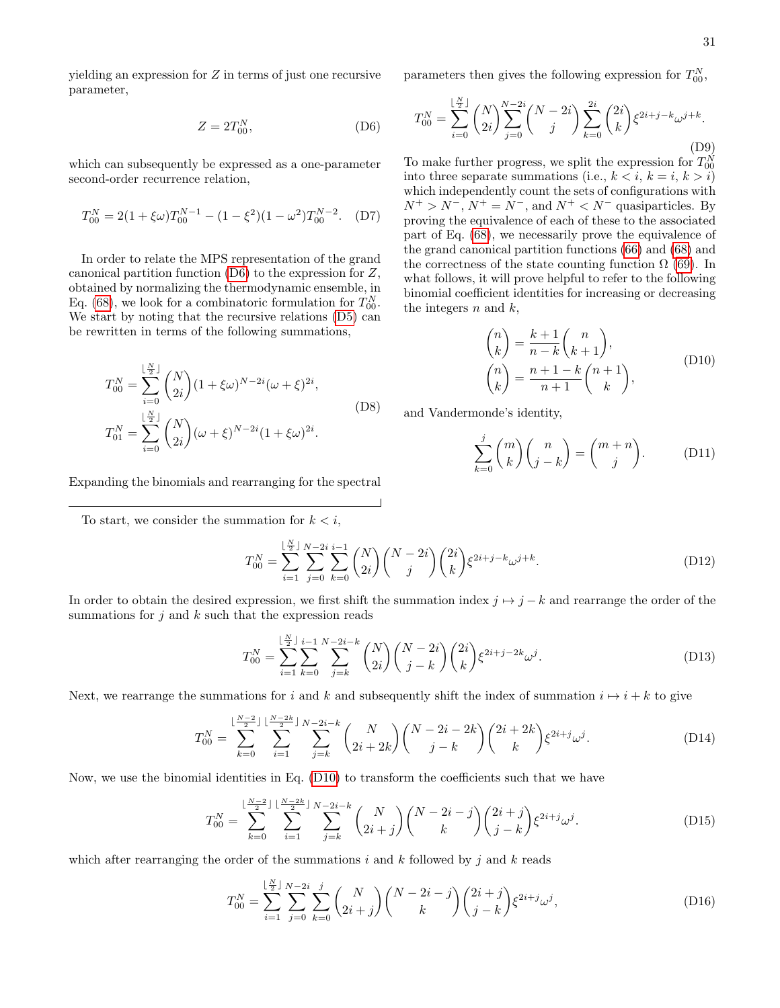<span id="page-30-0"></span>yielding an expression for Z in terms of just one recursive parameter,

$$
Z = 2T_{00}^N,\tag{D6}
$$

which can subsequently be expressed as a one-parameter second-order recurrence relation,

$$
T_{00}^{N} = 2(1 + \xi\omega)T_{00}^{N-1} - (1 - \xi^{2})(1 - \omega^{2})T_{00}^{N-2}.
$$
 (D7)

In order to relate the MPS representation of the grand canonical partition function [\(D6\)](#page-30-0) to the expression for Z, obtained by normalizing the thermodynamic ensemble, in Eq. [\(68\)](#page-7-3), we look for a combinatoric formulation for  $T_{00}^N$ . We start by noting that the recursive relations [\(D5\)](#page-29-4) can be rewritten in terms of the following summations,

$$
T_{00}^{N} = \sum_{i=0}^{\lfloor \frac{N}{2} \rfloor} {N \choose 2i} (1 + \xi \omega)^{N-2i} (\omega + \xi)^{2i},
$$
  
\n
$$
T_{01}^{N} = \sum_{i=0}^{\lfloor \frac{N}{2} \rfloor} {N \choose 2i} (\omega + \xi)^{N-2i} (1 + \xi \omega)^{2i}.
$$
 (D8)

parameters then gives the following expression for  $T_{00}^N$ ,

$$
T_{00}^{N} = \sum_{i=0}^{\lfloor \frac{N}{2} \rfloor} {N \choose 2i} \sum_{j=0}^{N-2i} {N-2i \choose j} \sum_{k=0}^{2i} {2i \choose k} \xi^{2i+j-k} \omega^{j+k}.
$$
 (D9)

To make further progress, we split the expression for  $T_{00}^N$ into three separate summations (i.e.,  $k < i$ ,  $k = i$ ,  $k > i$ ) which independently count the sets of configurations with  $N^+ > N^-$ ,  $N^+ = N^-$ , and  $N^+ < N^-$  quasiparticles. By proving the equivalence of each of these to the associated part of Eq. [\(68\)](#page-7-3), we necessarily prove the equivalence of the grand canonical partition functions [\(66\)](#page-7-2) and [\(68\)](#page-7-3) and the correctness of the state counting function  $\Omega$  [\(69\)](#page-7-1). In what follows, it will prove helpful to refer to the following binomial coefficient identities for increasing or decreasing the integers  $n$  and  $k$ ,

<span id="page-30-1"></span>
$$
\binom{n}{k} = \frac{k+1}{n-k} \binom{n}{k+1},
$$
\n
$$
\binom{n}{k} = \frac{n+1-k}{n+1} \binom{n+1}{k},
$$
\n(D10)

and Vandermonde's identity,

<span id="page-30-2"></span>
$$
\sum_{k=0}^{j} \binom{m}{k} \binom{n}{j-k} = \binom{m+n}{j}.
$$
 (D11)

Expanding the binomials and rearranging for the spectral

To start, we consider the summation for  $k < i$ ,

$$
T_{00}^N = \sum_{i=1}^{\lfloor \frac{N}{2} \rfloor} \sum_{j=0}^{N-2i} \sum_{k=0}^{i-1} \binom{N}{2i} \binom{N-2i}{j} \binom{2i}{k} \xi^{2i+j-k} \omega^{j+k}.
$$
 (D12)

In order to obtain the desired expression, we first shift the summation index  $j \mapsto j - k$  and rearrange the order of the summations for  $j$  and  $k$  such that the expression reads

$$
T_{00}^{N} = \sum_{i=1}^{\lfloor \frac{N}{2} \rfloor} \sum_{k=0}^{i-1} \sum_{j=k}^{N-2i-k} \binom{N}{2i} \binom{N-2i}{j-k} \binom{2i}{k} \xi^{2i+j-2k} \omega^{j}.
$$
 (D13)

Next, we rearrange the summations for i and k and subsequently shift the index of summation  $i \mapsto i + k$  to give

$$
T_{00}^N = \sum_{k=0}^{\lfloor \frac{N-2}{2} \rfloor} \sum_{i=1}^{\lfloor \frac{N-2k}{2} \rfloor} \sum_{j=k}^{N-2i-k} {N \choose 2i+2k} {N-2i-2k \choose j-k} {2i+2k \choose k} \xi^{2i+j} \omega^j.
$$
 (D14)

Now, we use the binomial identities in Eq. [\(D10\)](#page-30-1) to transform the coefficients such that we have

$$
T_{00}^{N} = \sum_{k=0}^{\lfloor \frac{N-2}{2} \rfloor} \sum_{i=1}^{\lfloor \frac{N-2k}{2} \rfloor} \sum_{j=k}^{N-2i-k} {N \choose 2i+j} {N-2i-j \choose k} {2i+j \choose j-k} \xi^{2i+j} \omega^{j}.
$$
 (D15)

which after rearranging the order of the summations i and k followed by j and k reads

$$
T_{00}^{N} = \sum_{i=1}^{\lfloor \frac{N}{2} \rfloor} \sum_{j=0}^{N-2i} \sum_{k=0}^{j} {N \choose 2i+j} {N-2i-j \choose k} {2i+j \choose j-k} \xi^{2i+j} \omega^{j}, \tag{D16}
$$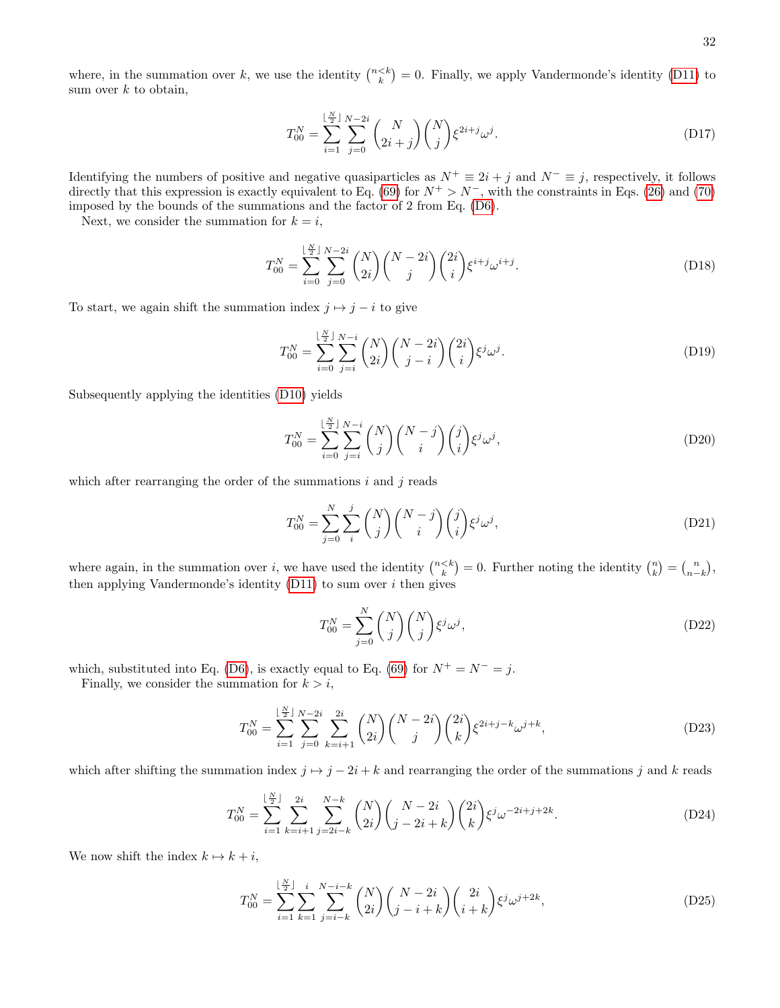where, in the summation over k, we use the identity  $\binom{n\leq k}{k} = 0$ . Finally, we apply Vandermonde's identity [\(D11\)](#page-30-2) to sum over  $k$  to obtain,

$$
T_{00}^{N} = \sum_{i=1}^{\lfloor \frac{N}{2} \rfloor} \sum_{j=0}^{N-2i} {N \choose 2i+j} {N \choose j} \xi^{2i+j} \omega^{j}.
$$
 (D17)

Identifying the numbers of positive and negative quasiparticles as  $N^+ \equiv 2i + j$  and  $N^- \equiv j$ , respectively, it follows directly that this expression is exactly equivalent to Eq. [\(69\)](#page-7-1) for  $N^+ > N^-$ , with the constraints in Eqs. [\(26\)](#page-3-2) and [\(70\)](#page-7-4) imposed by the bounds of the summations and the factor of 2 from Eq. [\(D6\)](#page-30-0).

Next, we consider the summation for  $k = i$ ,

$$
T_{00}^{N} = \sum_{i=0}^{\lfloor \frac{N}{2} \rfloor} \sum_{j=0}^{N-2i} \binom{N}{2i} \binom{N-2i}{j} \binom{2i}{i} \xi^{i+j} \omega^{i+j}.
$$
 (D18)

To start, we again shift the summation index  $j \mapsto j - i$  to give

$$
T_{00}^N = \sum_{i=0}^{\lfloor \frac{N}{2} \rfloor} \sum_{j=i}^{N-i} \binom{N}{2i} \binom{N-2i}{j-i} \binom{2i}{i} \xi^j \omega^j.
$$
 (D19)

Subsequently applying the identities [\(D10\)](#page-30-1) yields

$$
T_{00}^N = \sum_{i=0}^{\lfloor \frac{N}{2} \rfloor} \sum_{j=i}^{N-i} \binom{N}{j} \binom{N-j}{i} \binom{j}{i} \xi^j \omega^j,
$$
 (D20)

which after rearranging the order of the summations  $i$  and  $j$  reads

$$
T_{00}^N = \sum_{j=0}^N \sum_i^j \binom{N}{j} \binom{N-j}{i} \binom{j}{i} \xi^j \omega^j,
$$
 (D21)

where again, in the summation over i, we have used the identity  $\binom{n \leq k}{k} = 0$ . Further noting the identity  $\binom{n}{k} = \binom{n}{n-k}$ , then applying Vandermonde's identity  $(D11)$  to sum over i then gives

$$
T_{00}^{N} = \sum_{j=0}^{N} \binom{N}{j} \binom{N}{j} \xi^{j} \omega^{j},\tag{D22}
$$

which, substituted into Eq. [\(D6\)](#page-30-0), is exactly equal to Eq. [\(69\)](#page-7-1) for  $N^+ = N^- = j$ .

Finally, we consider the summation for  $k > i$ ,

$$
T_{00}^{N} = \sum_{i=1}^{\lfloor \frac{N}{2} \rfloor} \sum_{j=0}^{N-2i} \sum_{k=i+1}^{2i} {N \choose 2i} {N-2i \choose j} {2i \choose k} \xi^{2i+j-k} \omega^{j+k}, \tag{D23}
$$

which after shifting the summation index  $j \mapsto j - 2i + k$  and rearranging the order of the summations j and k reads

$$
T_{00}^{N} = \sum_{i=1}^{\lfloor \frac{N}{2} \rfloor} \sum_{k=i+1}^{2i} \sum_{j=2i-k}^{N-k} {N \choose 2i} {N-2i \choose j-2i+k} {2i \choose k} \xi^{j} \omega^{-2i+j+2k}.
$$
 (D24)

We now shift the index  $k \mapsto k + i$ ,

$$
T_{00}^{N} = \sum_{i=1}^{\lfloor \frac{N}{2} \rfloor} \sum_{k=1}^{i} \sum_{j=i-k}^{N-i-k} \binom{N}{2i} \binom{N-2i}{j-i+k} \binom{2i}{i+k} \xi^{j} \omega^{j+2k},\tag{D25}
$$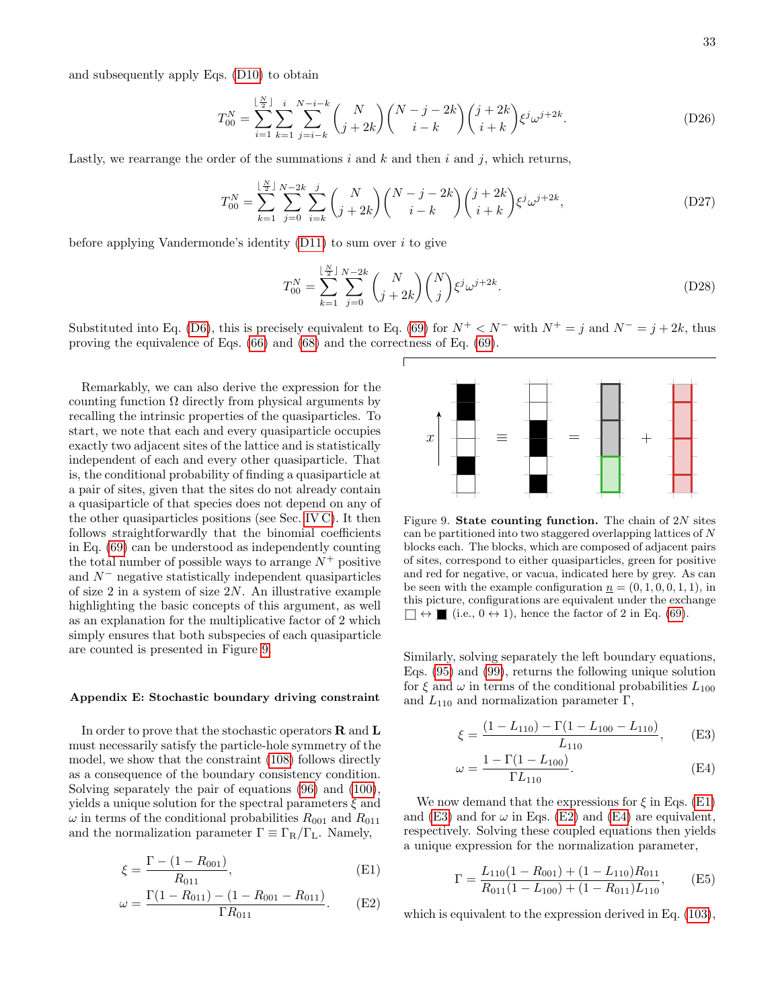33

and subsequently apply Eqs. [\(D10\)](#page-30-1) to obtain

$$
T_{00}^{N} = \sum_{i=1}^{\lfloor \frac{N}{2} \rfloor} \sum_{k=1}^{i} \sum_{j=i-k}^{N-i-k} {N \choose j+2k} {N-j-2k \choose i-k} {j+2k \choose i+k} \xi^{j} \omega^{j+2k}.
$$
 (D26)

Lastly, we rearrange the order of the summations  $i$  and  $k$  and then  $i$  and  $j$ , which returns,

$$
T_{00}^{N} = \sum_{k=1}^{\lfloor \frac{N}{2} \rfloor} \sum_{j=0}^{N-2k} \sum_{i=k}^{j} {N \choose j+2k} {N-j-2k \choose i-k} {j+2k \choose i+k} \xi^{j} \omega^{j+2k}, \tag{D27}
$$

before applying Vandermonde's identity  $(D11)$  to sum over i to give

 $\mathbf{v}$ 

$$
T_{00}^{N} = \sum_{k=1}^{\lfloor \frac{N}{2} \rfloor} \sum_{j=0}^{N-2k} {N \choose j+2k} {N \choose j} \xi^{j} \omega^{j+2k}.
$$
 (D28)

Substituted into Eq. [\(D6\)](#page-30-0), this is precisely equivalent to Eq. [\(69\)](#page-7-1) for  $N^+ < N^-$  with  $N^+ = j$  and  $N^- = j + 2k$ , thus proving the equivalence of Eqs. [\(66\)](#page-7-2) and [\(68\)](#page-7-3) and the correctness of Eq. [\(69\)](#page-7-1).

Remarkably, we can also derive the expression for the counting function  $\Omega$  directly from physical arguments by recalling the intrinsic properties of the quasiparticles. To start, we note that each and every quasiparticle occupies exactly two adjacent sites of the lattice and is statistically independent of each and every other quasiparticle. That is, the conditional probability of finding a quasiparticle at a pair of sites, given that the sites do not already contain a quasiparticle of that species does not depend on any of the other quasiparticles positions (see Sec. [IV C\)](#page-11-4). It then follows straightforwardly that the binomial coefficients in Eq. [\(69\)](#page-7-1) can be understood as independently counting the total number of possible ways to arrange  $N^+$  positive and  $N^-$  negative statistically independent quasiparticles of size  $2$  in a system of size  $2N$ . An illustrative example highlighting the basic concepts of this argument, as well as an explanation for the multiplicative factor of 2 which simply ensures that both subspecies of each quasiparticle are counted is presented in Figure [9.](#page-32-1)

### <span id="page-32-0"></span>Appendix E: Stochastic boundary driving constraint

In order to prove that the stochastic operators  $\bf R$  and  $\bf L$ must necessarily satisfy the particle-hole symmetry of the model, we show that the constraint [\(108\)](#page-10-6) follows directly as a consequence of the boundary consistency condition. Solving separately the pair of equations [\(96\)](#page-9-8) and [\(100\)](#page-10-7), yields a unique solution for the spectral parameters  $\xi$  and  $\omega$  in terms of the conditional probabilities  $R_{001}$  and  $R_{011}$ and the normalization parameter  $\Gamma \equiv \Gamma_R/\Gamma_L$ . Namely,

$$
\xi = \frac{\Gamma - (1 - R_{001})}{R_{011}},\tag{E1}
$$

$$
\omega = \frac{\Gamma(1 - R_{011}) - (1 - R_{001} - R_{011})}{\Gamma R_{011}}.
$$
 (E2)



<span id="page-32-1"></span>Figure 9. State counting function. The chain of  $2N$  sites can be partitioned into two staggered overlapping lattices of N blocks each. The blocks, which are composed of adjacent pairs of sites, correspond to either quasiparticles, green for positive and red for negative, or vacua, indicated here by grey. As can be seen with the example configuration  $n = (0, 1, 0, 0, 1, 1)$ , in this picture, configurations are equivalent under the exchange  $\Box \leftrightarrow \blacksquare$  (i.e.,  $0 \leftrightarrow 1$ ), hence the factor of 2 in Eq. [\(69\)](#page-7-1).

Similarly, solving separately the left boundary equations, Eqs. [\(95\)](#page-9-9) and [\(99\)](#page-10-8), returns the following unique solution for  $\xi$  and  $\omega$  in terms of the conditional probabilities  $L_{100}$ and  $L_{110}$  and normalization parameter Γ,

<span id="page-32-5"></span><span id="page-32-3"></span>
$$
\xi = \frac{(1 - L_{110}) - \Gamma(1 - L_{100} - L_{110})}{L_{110}}, \quad \text{(E3)}
$$

$$
\omega = \frac{1 - \Gamma(1 - L_{100})}{\Gamma L_{110}}.
$$
 (E4)

We now demand that the expressions for  $\xi$  in Eqs. [\(E1\)](#page-32-2) and [\(E3\)](#page-32-3) and for  $\omega$  in Eqs. [\(E2\)](#page-32-4) and [\(E4\)](#page-32-5) are equivalent, respectively. Solving these coupled equations then yields a unique expression for the normalization parameter,

$$
\Gamma = \frac{L_{110}(1 - R_{001}) + (1 - L_{110})R_{011}}{R_{011}(1 - L_{100}) + (1 - R_{011})L_{110}},
$$
(E5)

<span id="page-32-4"></span><span id="page-32-2"></span>which is equivalent to the expression derived in Eq.  $(103)$ ,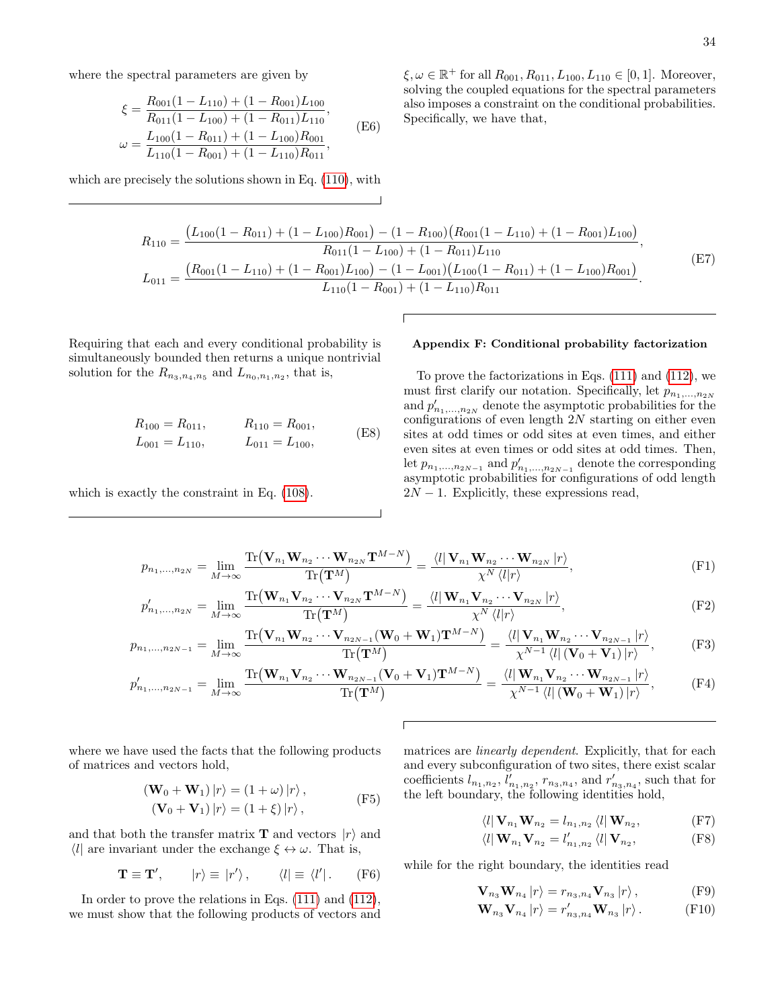where the spectral parameters are given by

$$
\xi = \frac{R_{001}(1 - L_{110}) + (1 - R_{001})L_{100}}{R_{011}(1 - L_{100}) + (1 - R_{011})L_{110}},
$$
  
\n
$$
\omega = \frac{L_{100}(1 - R_{011}) + (1 - L_{100})R_{001}}{L_{110}(1 - R_{001}) + (1 - L_{110})R_{011}},
$$
 (E6)

which are precisely the solutions shown in Eq. [\(110\)](#page-10-5), with

 $\xi, \omega \in \mathbb{R}^+$  for all  $R_{001}, R_{011}, L_{100}, L_{110} \in [0, 1]$ . Moreover, solving the coupled equations for the spectral parameters also imposes a constraint on the conditional probabilities. Specifically, we have that,

$$
R_{110} = \frac{(L_{100}(1 - R_{011}) + (1 - L_{100})R_{001}) - (1 - R_{100})(R_{001}(1 - L_{110}) + (1 - R_{001})L_{100})}{R_{011}(1 - L_{100}) + (1 - R_{011})L_{110}},
$$
  
\n
$$
L_{011} = \frac{(R_{001}(1 - L_{110}) + (1 - R_{001})L_{100}) - (1 - L_{001})(L_{100}(1 - R_{011}) + (1 - L_{100})R_{001})}{L_{110}(1 - R_{001}) + (1 - L_{110})R_{011}}.
$$
\n(E7)

ſ

Requiring that each and every conditional probability is simultaneously bounded then returns a unique nontrivial solution for the  $R_{n_3,n_4,n_5}$  and  $L_{n_0,n_1,n_2}$ , that is,

$$
R_{100} = R_{011}, \t R_{110} = R_{001},
$$
  
\n
$$
L_{001} = L_{110}, \t L_{011} = L_{100},
$$
 (E8)

which is exactly the constraint in Eq.  $(108)$ .

## <span id="page-33-0"></span>Appendix F: Conditional probability factorization

To prove the factorizations in Eqs. [\(111\)](#page-11-5) and [\(112\)](#page-11-6), we must first clarify our notation. Specifically, let  $p_{n_1,...,n_{2N}}$ and  $p'_{n_1,...,n_{2N}}$  denote the asymptotic probabilities for the configurations of even length  $2N$  starting on either even sites at odd times or odd sites at even times, and either even sites at even times or odd sites at odd times. Then, let  $p_{n_1,...,n_{2N-1}}$  and  $p'_{n_1,...,n_{2N-1}}$  denote the corresponding asymptotic probabilities for configurations of odd length  $2N-1$ . Explicitly, these expressions read,

$$
p_{n_1,\ldots,n_{2N}} = \lim_{M \to \infty} \frac{\text{Tr}\left(\mathbf{V}_{n_1}\mathbf{W}_{n_2}\cdots\mathbf{W}_{n_{2N}}\mathbf{T}^{M-N}\right)}{\text{Tr}\left(\mathbf{T}^M\right)} = \frac{\langle l|\mathbf{V}_{n_1}\mathbf{W}_{n_2}\cdots\mathbf{W}_{n_{2N}}|r\rangle}{\chi^N\langle l|r\rangle},\tag{F1}
$$

$$
p'_{n_1,\ldots,n_{2N}} = \lim_{M \to \infty} \frac{\text{Tr}\left(\mathbf{W}_{n_1}\mathbf{V}_{n_2}\cdots\mathbf{V}_{n_{2N}}\mathbf{T}^{M-N}\right)}{\text{Tr}\left(\mathbf{T}^{M}\right)} = \frac{\langle l|\mathbf{W}_{n_1}\mathbf{V}_{n_2}\cdots\mathbf{V}_{n_{2N}}|r\rangle}{\chi^N\langle l|r\rangle},
$$
(F2)

$$
p_{n_1,\ldots,n_{2N-1}} = \lim_{M \to \infty} \frac{\text{Tr}\left(\mathbf{V}_{n_1}\mathbf{W}_{n_2}\cdots\mathbf{V}_{n_{2N-1}}(\mathbf{W}_0 + \mathbf{W}_1)\mathbf{T}^{M-N}\right)}{\text{Tr}\left(\mathbf{T}^M\right)} = \frac{\langle l|\mathbf{V}_{n_1}\mathbf{W}_{n_2}\cdots\mathbf{V}_{n_{2N-1}}|r\rangle}{\chi^{N-1}\langle l|(\mathbf{V}_0 + \mathbf{V}_1)|r\rangle},\tag{F3}
$$

$$
p'_{n_1,\ldots,n_{2N-1}} = \lim_{M \to \infty} \frac{\text{Tr}\left(\mathbf{W}_{n_1}\mathbf{V}_{n_2}\cdots\mathbf{W}_{n_{2N-1}}(\mathbf{V}_0 + \mathbf{V}_1)\mathbf{T}^{M-N}\right)}{\text{Tr}\left(\mathbf{T}^M\right)} = \frac{\langle l|\mathbf{W}_{n_1}\mathbf{V}_{n_2}\cdots\mathbf{W}_{n_{2N-1}}|r\rangle}{\chi^{N-1}\langle l|\left(\mathbf{W}_0 + \mathbf{W}_1\right)|r\rangle},\tag{F4}
$$

where we have used the facts that the following products of matrices and vectors hold,

$$
(\mathbf{W}_0 + \mathbf{W}_1) |r\rangle = (1 + \omega) |r\rangle, \n(\mathbf{V}_0 + \mathbf{V}_1) |r\rangle = (1 + \xi) |r\rangle,
$$
\n(F5)

and that both the transfer matrix **T** and vectors  $|r\rangle$  and  $\langle l \rangle$  are invariant under the exchange  $\xi \leftrightarrow \omega$ . That is,

$$
\mathbf{T} \equiv \mathbf{T}', \qquad |r\rangle \equiv |r'\rangle, \qquad \langle l| \equiv \langle l'|. \qquad \text{(F6)}
$$

In order to prove the relations in Eqs. [\(111\)](#page-11-5) and [\(112\)](#page-11-6), we must show that the following products of vectors and matrices are *linearly dependent*. Explicitly, that for each and every subconfiguration of two sites, there exist scalar coefficients  $l_{n_1,n_2}$ ,  $l'_{n_1,n_2}$ ,  $r_{n_3,n_4}$ , and  $r'_{n_3,n_4}$ , such that for the left boundary, the following identities hold,

<span id="page-33-6"></span><span id="page-33-5"></span><span id="page-33-3"></span><span id="page-33-2"></span><span id="page-33-1"></span>
$$
\langle l | \mathbf{V}_{n_1} \mathbf{W}_{n_2} = l_{n_1, n_2} \langle l | \mathbf{W}_{n_2},
$$
 (F7)

<span id="page-33-4"></span>
$$
\langle l | \mathbf{W}_{n_1} \mathbf{V}_{n_2} = l'_{n_1, n_2} \langle l | \mathbf{V}_{n_2},
$$
 (F8)

while for the right boundary, the identities read

<span id="page-33-8"></span><span id="page-33-7"></span>
$$
\mathbf{V}_{n_3}\mathbf{W}_{n_4}|r\rangle = r_{n_3,n_4}\mathbf{V}_{n_3}|r\rangle, \qquad \text{(F9)}
$$

$$
\mathbf{W}_{n_3}\mathbf{V}_{n_4}|r\rangle = r'_{n_3,n_4}\mathbf{W}_{n_3}|r\rangle.
$$
 (F10)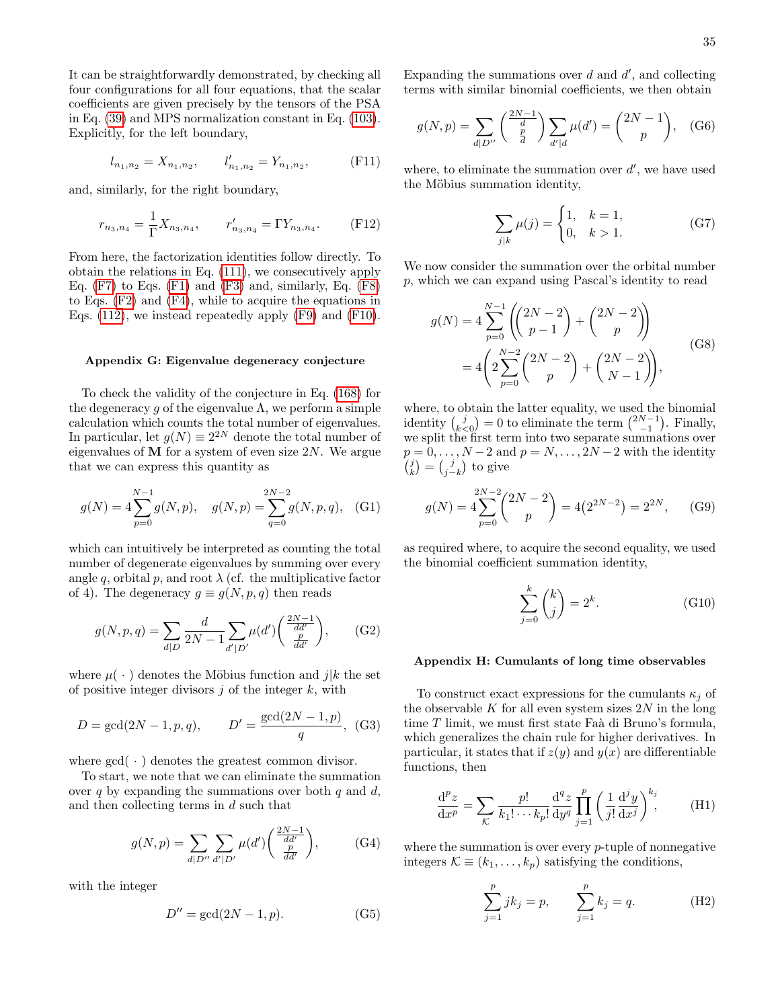It can be straightforwardly demonstrated, by checking all four configurations for all four equations, that the scalar coefficients are given precisely by the tensors of the PSA in Eq. [\(39\)](#page-5-6) and MPS normalization constant in Eq. [\(103\)](#page-10-9). Explicitly, for the left boundary,

$$
l_{n_1,n_2} = X_{n_1,n_2}, \qquad l'_{n_1,n_2} = Y_{n_1,n_2}, \qquad \text{(F11)}
$$

and, similarly, for the right boundary,

$$
r_{n_3,n_4} = \frac{1}{\Gamma} X_{n_3,n_4}, \qquad r'_{n_3,n_4} = \Gamma Y_{n_3,n_4}.
$$
 (F12)

From here, the factorization identities follow directly. To obtain the relations in Eq. [\(111\)](#page-11-5), we consecutively apply Eq.  $(F7)$  to Eqs.  $(F1)$  and  $(F3)$  and, similarly, Eq.  $(F8)$ to Eqs. [\(F2\)](#page-33-5) and [\(F4\)](#page-33-6), while to acquire the equations in Eqs. [\(112\)](#page-11-6), we instead repeatedly apply [\(F9\)](#page-33-7) and [\(F10\)](#page-33-8).

#### <span id="page-34-0"></span>Appendix G: Eigenvalue degeneracy conjecture

To check the validity of the conjecture in Eq. [\(168\)](#page-16-5) for the degeneracy q of the eigenvalue  $\Lambda$ , we perform a simple calculation which counts the total number of eigenvalues. In particular, let  $g(N) \equiv 2^{2N}$  denote the total number of eigenvalues of  **for a system of even size**  $2N$ **. We argue** that we can express this quantity as

$$
g(N) = 4\sum_{p=0}^{N-1} g(N, p), \quad g(N, p) = \sum_{q=0}^{2N-2} g(N, p, q), \quad (G1)
$$

which can intuitively be interpreted as counting the total number of degenerate eigenvalues by summing over every angle q, orbital p, and root  $\lambda$  (cf. the multiplicative factor of 4). The degeneracy  $g \equiv g(N, p, q)$  then reads

$$
g(N, p, q) = \sum_{d|D} \frac{d}{2N - 1} \sum_{d'|D'} \mu(d') \left( \frac{\frac{2N - 1}{dd'} }{\frac{p}{dd'}} \right), \qquad (G2)
$$

where  $\mu(\cdot)$  denotes the Möbius function and j|k the set of positive integer divisors  $j$  of the integer  $k$ , with

$$
D = \gcd(2N - 1, p, q), \qquad D' = \frac{\gcd(2N - 1, p)}{q}, \tag{G3}
$$

where  $gcd(\cdot)$  denotes the greatest common divisor.

To start, we note that we can eliminate the summation over q by expanding the summations over both  $q$  and  $d$ , and then collecting terms in d such that

$$
g(N, p) = \sum_{d|D''} \sum_{d'|D'} \mu(d') \left( \frac{\frac{2N-1}{dd'}}{\frac{p}{dd'}} \right), \quad (G4)
$$

with the integer

$$
D'' = \gcd(2N - 1, p). \tag{G5}
$$

Expanding the summations over  $d$  and  $d'$ , and collecting terms with similar binomial coefficients, we then obtain

$$
g(N, p) = \sum_{d|D''} \binom{\frac{2N-1}{d}}{\frac{p}{d}} \sum_{d'|d} \mu(d') = \binom{2N-1}{p}, \quad (G6)
$$

where, to eliminate the summation over  $d'$ , we have used the Möbius summation identity,

$$
\sum_{j|k} \mu(j) = \begin{cases} 1, & k = 1, \\ 0, & k > 1. \end{cases}
$$
 (G7)

We now consider the summation over the orbital number p, which we can expand using Pascal's identity to read

$$
g(N) = 4 \sum_{p=0}^{N-1} \left( \binom{2N-2}{p-1} + \binom{2N-2}{p} \right)
$$
  
= 
$$
4 \left( 2 \sum_{p=0}^{N-2} \binom{2N-2}{p} + \binom{2N-2}{N-1} \right),
$$
 (G8)

where, to obtain the latter equality, we used the binomial identity  $\binom{j}{k < 0} = 0$  to eliminate the term  $\binom{2N-1}{-1}$ . Finally, we split the first term into two separate summations over  $p = 0, \ldots, N-2$  and  $p = N, \ldots, 2N-2$  with the identity  $\begin{pmatrix} j \\ k \end{pmatrix} = \begin{pmatrix} j \\ j - k \end{pmatrix}$  to give

$$
g(N) = 4\sum_{p=0}^{2N-2} {2N-2 \choose p} = 4(2^{2N-2}) = 2^{2N}, \qquad (G9)
$$

as required where, to acquire the second equality, we used the binomial coefficient summation identity,

$$
\sum_{j=0}^{k} \binom{k}{j} = 2^{k}.\tag{G10}
$$

### <span id="page-34-1"></span>Appendix H: Cumulants of long time observables

To construct exact expressions for the cumulants  $\kappa_i$  of the observable K for all even system sizes  $2N$  in the long time  $T$  limit, we must first state Faà di Bruno's formula, which generalizes the chain rule for higher derivatives. In particular, it states that if  $z(y)$  and  $y(x)$  are differentiable functions, then

<span id="page-34-2"></span>
$$
\frac{\mathrm{d}^p z}{\mathrm{d}x^p} = \sum_{\mathcal{K}} \frac{p!}{k_1! \cdots k_p!} \frac{\mathrm{d}^q z}{\mathrm{d}y^q} \prod_{j=1}^p \left(\frac{1}{j!} \frac{\mathrm{d}^j y}{\mathrm{d}x^j}\right)^{k_j},\tag{H1}
$$

where the summation is over every  $p$ -tuple of nonnegative integers  $\mathcal{K} \equiv (k_1, \ldots, k_p)$  satisfying the conditions,

<span id="page-34-3"></span>
$$
\sum_{j=1}^{p} jk_j = p, \qquad \sum_{j=1}^{p} k_j = q.
$$
 (H2)